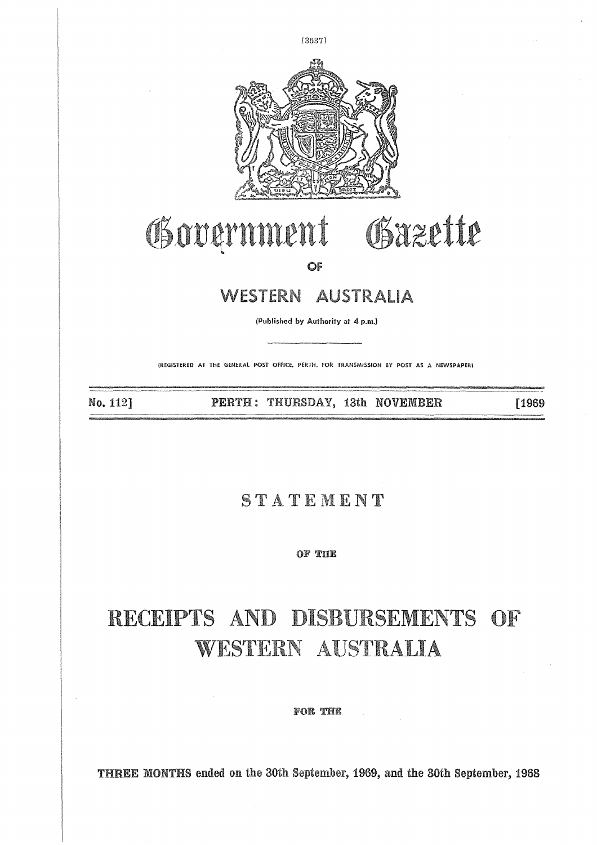

# Government  $\begin{minipage}{0.9\textwidth} \begin{tabular}{c} {\bf (P)WIMLENT} \end{tabular} \begin{tabular}{c} \multicolumn{2}{c}{\textbf{CF}} \end{tabular} \end{minipage} \begin{minipage}{0.9\textwidth} \begin{tabular}{c} {\bf (P)WESTERN} & \textit{AUSTRALIA} \end{tabular} \end{minipage} \begin{minipage}{0.9\textwidth} \begin{tabular}{c} {\bf (P)WIsihed by Authority at 4 p.m.}\end{tabular} \end{minipage} \end{minipage} \begin{minipage}{0.9\textwidth} \begin{tabular}{c} {\bf (P)WESTERN$

**OF**

#### WESTERN AUSTRALIA

(Published by Authority at 4 p.m.)

(REGISTERED AT THE GENERAL POST OFFICE, PERTH, FOR TRANSMISSION BY POST AS A NEWSPAPER,

No. 112] 

[1969

#### STATEMENT

OF THE

### **RECEIPTS AND DISBURSEMENTS OF WESTERN AUSTRALIA**

**FOR THE** 

**THREE MONTHS** ended on the 30th September, 1969, and the 30th September, 1968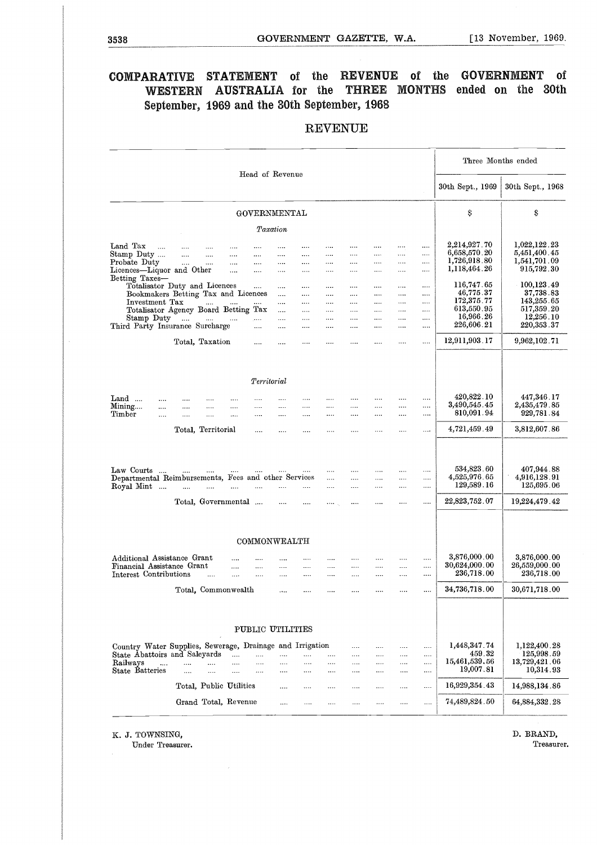## 3538<br>
GOVERNMENT GAZETTE, W.A. [13 November, 1969.<br>
COMPARATIVE STATEMENT of the REVENUE of the GOVERNMENT of **COMPARATIVE STATEMENT** of the **REVENUE** of the **GOVERNMENT** of WESTERN AUSTRALIA for the **THREE MONTHS** ended on the 30th September, 1969 and the 30th September, 1968

#### REVENUE

| Three Months ended<br>Head of Revenue<br>30th Sept., 1969<br>Ş<br>Ş<br>GOVERNMENTAL<br>Taxation<br>2,214,927.70<br>1,022,122.23<br>Land Tax<br>$\cdots$<br><br><br>$\mathbf{1}$<br><br>$\cdots$<br>$\cdots$<br><br>$\cdots$<br>$\cdots$<br>$\cdots$<br><br>6,658,570.20<br>5,451,400.45<br>Stamp Duty<br>$\ldots$ . The $\sim$<br>$\dots$<br>$\cdots$<br><br>$\cdots$<br><br>$\cdots$<br>$\cdots$<br><br><br><br>1,726,918.80<br>1,541,701.09<br>Probate Duty<br>$\ldots$ . $\ldots$<br>$\cdots$<br><br><br>$\cdots$<br><br><br>$\cdots$<br><br><br>1,118,464.26<br>915,792.30<br>Licences-Liquor and Other<br>$\mathbf{1},\mathbf{2},\mathbf{3},\mathbf{4}$<br>$\cdots$<br>$\cdots$<br><br><br>$\cdots$<br>$\cdots$<br>$\cdots$<br>$\cdots$<br>Betting Taxes-<br>116,747.65<br>100,123.49<br>Totalisator Duty and Licences<br><br>$\cdots$<br>$\cdots$<br>$\cdots$<br><br><br>.<br>46,775.37<br>37,738.83<br>Bookmakers Betting Tax and Licences<br>$\cdots$<br>$\cdots$<br>$\cdots$<br><br><br><br><br>172,375.77<br>143,255.65<br>Investment Tax<br>$\Delta \Delta \Delta \Delta \Delta$<br>aas.<br>المستحدث المتناء<br><br><br><br><br>$\cdots$<br><br>613,550.95<br>517,359.20<br>Totalisator Agency Board Betting Tax<br><br>$\cdots$<br><br>$\cdots$<br>$\cdots$<br><br><br>16,966.26<br>12,256.10<br>Stamp Duty<br><br>$\cdots$<br><br><br><br><br><br>226,606.21<br>$220,\!353$ . $37$<br>Third Party Insurance Surcharge<br>$\ldots$<br>aaaan.<br><br>$\cdots$<br><br><br>$\cdots$<br><br>12,911,903.17<br>9,962,102.71<br>Total, Taxation<br>$\cdots$<br>$\cdots$<br>$\cdots$<br><br><br><br><br><br>Territorial<br>420,822.10<br>447,346.17<br>Land<br>$\cdots$<br><br><br><br>$\cdots$<br><br>$\cdots$<br>$\cdots$<br><br>$\cdots$<br>$\cdots$<br><br>3,490,545.45<br>2,435,479.85<br>Mining<br>$\cdots$<br><br>$\cdots$<br><br><br><br>$\cdots$<br>$\cdots$<br><br>$\cdots$<br><br>810,091.94<br>929,781.84<br>Timber<br>$\ldots$<br>$\cdots$<br>$\cdots$<br><br><br><br>$\cdots$<br>$\cdots$<br><br><br>$\cdots$<br><br>4,721,459.49<br>3,812,607.86<br>Total, Territorial<br><br>$\cdots$<br>$\cdots$<br>$\sim$ $\sim$<br>$\cdots$<br><br><br>$\cdots$<br>534,823.60<br>407,944.88<br>Law Courts<br><b>Contract Contract</b><br>$\cdots$<br>$\sim$<br>and the<br><br>$\cdots$<br><br>$\ldots$<br><br>Departmental Reimbursements, Fees and other Services<br>4,525,976.65<br>4,916,128.91<br>$\mathbf{r}$<br>$\ldots$<br>$\cdots$<br><br><br>129,589.16<br>125,695.06<br>Royal Mint<br>and the same of<br>$\cdots$<br>$\cdots$<br>$\cdots$<br>$\cdots$<br>$\cdots$<br><br>$22,\!823,\!752$ . $07$<br>Total, Governmental<br>19,224,479.42<br>$\sim 100$<br>$\cdots$<br><br><br>$\sim 10^{11}$ km $^{-1}$<br>$\cdots$<br>$\cdots$<br>COMMONWEALTH<br>3,876,000.00<br>$3,876,000$ . $00$<br>Additional Assistance Grant<br>$\cdots$<br>$\cdots$<br><br><br><br><br><br>$\cdots$<br><br>30,624,000.00<br>26,559,000.00<br>Financial Assistance Grant<br>$\cdots$<br>$\ldots$<br><br><br><br><br><br><br><br>236,718.00<br>236,718.00<br>Interest Contributions<br><br><br><br>.<br>$\cdots$<br>$\ldots$<br><br>$\cdots$<br>$\ldots$<br>$\cdots$<br>34,736,718.00<br>30,671,718.00<br>Total, Commonwealth<br><br>PUBLIC UTILITIES<br>1,448,347.74<br>Country Water Supplies, Sewerage, Drainage and Irrigation<br>1,122,400.28<br><br><br><br><br>459.32<br>State Abattoirs and Saleyards<br>125,998.59<br><br>.<br><br>.<br><br><br><br><br><br>15,461,539,56<br>13,729,421.06<br>Railways<br>$\cdots$<br><br><br><br><br><br><br><br><br>19,007.81<br>10,314.93<br><b>State Batteries</b><br><br><br><br><br>$\cdots$<br><br><br><br><br><br><br>16,929,354.43<br>Total, Public Utilities<br>14,988,134.86<br><br><br><br><br><br><br><br>Grand Total, Revenue<br>74,489,824.50<br>64,884,332.28<br>$\cdots$<br><br><br><br><br><br> |  |  |  | REVENUE |  |  |                  |
|----------------------------------------------------------------------------------------------------------------------------------------------------------------------------------------------------------------------------------------------------------------------------------------------------------------------------------------------------------------------------------------------------------------------------------------------------------------------------------------------------------------------------------------------------------------------------------------------------------------------------------------------------------------------------------------------------------------------------------------------------------------------------------------------------------------------------------------------------------------------------------------------------------------------------------------------------------------------------------------------------------------------------------------------------------------------------------------------------------------------------------------------------------------------------------------------------------------------------------------------------------------------------------------------------------------------------------------------------------------------------------------------------------------------------------------------------------------------------------------------------------------------------------------------------------------------------------------------------------------------------------------------------------------------------------------------------------------------------------------------------------------------------------------------------------------------------------------------------------------------------------------------------------------------------------------------------------------------------------------------------------------------------------------------------------------------------------------------------------------------------------------------------------------------------------------------------------------------------------------------------------------------------------------------------------------------------------------------------------------------------------------------------------------------------------------------------------------------------------------------------------------------------------------------------------------------------------------------------------------------------------------------------------------------------------------------------------------------------------------------------------------------------------------------------------------------------------------------------------------------------------------------------------------------------------------------------------------------------------------------------------------------------------------------------------------------------------------------------------------------------------------------------------------------------------------------------------------------------------------------------------------------------------------------------------------------------------------------------------------------------------------------------------------------------------------------------------------------------------------------------------------------------------------------------------------------------------------------------------------------------------------------------------------------------------------------------------------------------------------------------------------------------------------------------------------------------------------------------|--|--|--|---------|--|--|------------------|
|                                                                                                                                                                                                                                                                                                                                                                                                                                                                                                                                                                                                                                                                                                                                                                                                                                                                                                                                                                                                                                                                                                                                                                                                                                                                                                                                                                                                                                                                                                                                                                                                                                                                                                                                                                                                                                                                                                                                                                                                                                                                                                                                                                                                                                                                                                                                                                                                                                                                                                                                                                                                                                                                                                                                                                                                                                                                                                                                                                                                                                                                                                                                                                                                                                                                                                                                                                                                                                                                                                                                                                                                                                                                                                                                                                                                                                                    |  |  |  |         |  |  |                  |
|                                                                                                                                                                                                                                                                                                                                                                                                                                                                                                                                                                                                                                                                                                                                                                                                                                                                                                                                                                                                                                                                                                                                                                                                                                                                                                                                                                                                                                                                                                                                                                                                                                                                                                                                                                                                                                                                                                                                                                                                                                                                                                                                                                                                                                                                                                                                                                                                                                                                                                                                                                                                                                                                                                                                                                                                                                                                                                                                                                                                                                                                                                                                                                                                                                                                                                                                                                                                                                                                                                                                                                                                                                                                                                                                                                                                                                                    |  |  |  |         |  |  | 30th Sept., 1968 |
|                                                                                                                                                                                                                                                                                                                                                                                                                                                                                                                                                                                                                                                                                                                                                                                                                                                                                                                                                                                                                                                                                                                                                                                                                                                                                                                                                                                                                                                                                                                                                                                                                                                                                                                                                                                                                                                                                                                                                                                                                                                                                                                                                                                                                                                                                                                                                                                                                                                                                                                                                                                                                                                                                                                                                                                                                                                                                                                                                                                                                                                                                                                                                                                                                                                                                                                                                                                                                                                                                                                                                                                                                                                                                                                                                                                                                                                    |  |  |  |         |  |  |                  |
|                                                                                                                                                                                                                                                                                                                                                                                                                                                                                                                                                                                                                                                                                                                                                                                                                                                                                                                                                                                                                                                                                                                                                                                                                                                                                                                                                                                                                                                                                                                                                                                                                                                                                                                                                                                                                                                                                                                                                                                                                                                                                                                                                                                                                                                                                                                                                                                                                                                                                                                                                                                                                                                                                                                                                                                                                                                                                                                                                                                                                                                                                                                                                                                                                                                                                                                                                                                                                                                                                                                                                                                                                                                                                                                                                                                                                                                    |  |  |  |         |  |  |                  |
|                                                                                                                                                                                                                                                                                                                                                                                                                                                                                                                                                                                                                                                                                                                                                                                                                                                                                                                                                                                                                                                                                                                                                                                                                                                                                                                                                                                                                                                                                                                                                                                                                                                                                                                                                                                                                                                                                                                                                                                                                                                                                                                                                                                                                                                                                                                                                                                                                                                                                                                                                                                                                                                                                                                                                                                                                                                                                                                                                                                                                                                                                                                                                                                                                                                                                                                                                                                                                                                                                                                                                                                                                                                                                                                                                                                                                                                    |  |  |  |         |  |  |                  |
|                                                                                                                                                                                                                                                                                                                                                                                                                                                                                                                                                                                                                                                                                                                                                                                                                                                                                                                                                                                                                                                                                                                                                                                                                                                                                                                                                                                                                                                                                                                                                                                                                                                                                                                                                                                                                                                                                                                                                                                                                                                                                                                                                                                                                                                                                                                                                                                                                                                                                                                                                                                                                                                                                                                                                                                                                                                                                                                                                                                                                                                                                                                                                                                                                                                                                                                                                                                                                                                                                                                                                                                                                                                                                                                                                                                                                                                    |  |  |  |         |  |  |                  |
|                                                                                                                                                                                                                                                                                                                                                                                                                                                                                                                                                                                                                                                                                                                                                                                                                                                                                                                                                                                                                                                                                                                                                                                                                                                                                                                                                                                                                                                                                                                                                                                                                                                                                                                                                                                                                                                                                                                                                                                                                                                                                                                                                                                                                                                                                                                                                                                                                                                                                                                                                                                                                                                                                                                                                                                                                                                                                                                                                                                                                                                                                                                                                                                                                                                                                                                                                                                                                                                                                                                                                                                                                                                                                                                                                                                                                                                    |  |  |  |         |  |  |                  |
|                                                                                                                                                                                                                                                                                                                                                                                                                                                                                                                                                                                                                                                                                                                                                                                                                                                                                                                                                                                                                                                                                                                                                                                                                                                                                                                                                                                                                                                                                                                                                                                                                                                                                                                                                                                                                                                                                                                                                                                                                                                                                                                                                                                                                                                                                                                                                                                                                                                                                                                                                                                                                                                                                                                                                                                                                                                                                                                                                                                                                                                                                                                                                                                                                                                                                                                                                                                                                                                                                                                                                                                                                                                                                                                                                                                                                                                    |  |  |  |         |  |  |                  |
|                                                                                                                                                                                                                                                                                                                                                                                                                                                                                                                                                                                                                                                                                                                                                                                                                                                                                                                                                                                                                                                                                                                                                                                                                                                                                                                                                                                                                                                                                                                                                                                                                                                                                                                                                                                                                                                                                                                                                                                                                                                                                                                                                                                                                                                                                                                                                                                                                                                                                                                                                                                                                                                                                                                                                                                                                                                                                                                                                                                                                                                                                                                                                                                                                                                                                                                                                                                                                                                                                                                                                                                                                                                                                                                                                                                                                                                    |  |  |  |         |  |  |                  |
|                                                                                                                                                                                                                                                                                                                                                                                                                                                                                                                                                                                                                                                                                                                                                                                                                                                                                                                                                                                                                                                                                                                                                                                                                                                                                                                                                                                                                                                                                                                                                                                                                                                                                                                                                                                                                                                                                                                                                                                                                                                                                                                                                                                                                                                                                                                                                                                                                                                                                                                                                                                                                                                                                                                                                                                                                                                                                                                                                                                                                                                                                                                                                                                                                                                                                                                                                                                                                                                                                                                                                                                                                                                                                                                                                                                                                                                    |  |  |  |         |  |  |                  |
|                                                                                                                                                                                                                                                                                                                                                                                                                                                                                                                                                                                                                                                                                                                                                                                                                                                                                                                                                                                                                                                                                                                                                                                                                                                                                                                                                                                                                                                                                                                                                                                                                                                                                                                                                                                                                                                                                                                                                                                                                                                                                                                                                                                                                                                                                                                                                                                                                                                                                                                                                                                                                                                                                                                                                                                                                                                                                                                                                                                                                                                                                                                                                                                                                                                                                                                                                                                                                                                                                                                                                                                                                                                                                                                                                                                                                                                    |  |  |  |         |  |  |                  |
|                                                                                                                                                                                                                                                                                                                                                                                                                                                                                                                                                                                                                                                                                                                                                                                                                                                                                                                                                                                                                                                                                                                                                                                                                                                                                                                                                                                                                                                                                                                                                                                                                                                                                                                                                                                                                                                                                                                                                                                                                                                                                                                                                                                                                                                                                                                                                                                                                                                                                                                                                                                                                                                                                                                                                                                                                                                                                                                                                                                                                                                                                                                                                                                                                                                                                                                                                                                                                                                                                                                                                                                                                                                                                                                                                                                                                                                    |  |  |  |         |  |  |                  |
|                                                                                                                                                                                                                                                                                                                                                                                                                                                                                                                                                                                                                                                                                                                                                                                                                                                                                                                                                                                                                                                                                                                                                                                                                                                                                                                                                                                                                                                                                                                                                                                                                                                                                                                                                                                                                                                                                                                                                                                                                                                                                                                                                                                                                                                                                                                                                                                                                                                                                                                                                                                                                                                                                                                                                                                                                                                                                                                                                                                                                                                                                                                                                                                                                                                                                                                                                                                                                                                                                                                                                                                                                                                                                                                                                                                                                                                    |  |  |  |         |  |  |                  |
|                                                                                                                                                                                                                                                                                                                                                                                                                                                                                                                                                                                                                                                                                                                                                                                                                                                                                                                                                                                                                                                                                                                                                                                                                                                                                                                                                                                                                                                                                                                                                                                                                                                                                                                                                                                                                                                                                                                                                                                                                                                                                                                                                                                                                                                                                                                                                                                                                                                                                                                                                                                                                                                                                                                                                                                                                                                                                                                                                                                                                                                                                                                                                                                                                                                                                                                                                                                                                                                                                                                                                                                                                                                                                                                                                                                                                                                    |  |  |  |         |  |  |                  |
|                                                                                                                                                                                                                                                                                                                                                                                                                                                                                                                                                                                                                                                                                                                                                                                                                                                                                                                                                                                                                                                                                                                                                                                                                                                                                                                                                                                                                                                                                                                                                                                                                                                                                                                                                                                                                                                                                                                                                                                                                                                                                                                                                                                                                                                                                                                                                                                                                                                                                                                                                                                                                                                                                                                                                                                                                                                                                                                                                                                                                                                                                                                                                                                                                                                                                                                                                                                                                                                                                                                                                                                                                                                                                                                                                                                                                                                    |  |  |  |         |  |  |                  |
|                                                                                                                                                                                                                                                                                                                                                                                                                                                                                                                                                                                                                                                                                                                                                                                                                                                                                                                                                                                                                                                                                                                                                                                                                                                                                                                                                                                                                                                                                                                                                                                                                                                                                                                                                                                                                                                                                                                                                                                                                                                                                                                                                                                                                                                                                                                                                                                                                                                                                                                                                                                                                                                                                                                                                                                                                                                                                                                                                                                                                                                                                                                                                                                                                                                                                                                                                                                                                                                                                                                                                                                                                                                                                                                                                                                                                                                    |  |  |  |         |  |  |                  |
|                                                                                                                                                                                                                                                                                                                                                                                                                                                                                                                                                                                                                                                                                                                                                                                                                                                                                                                                                                                                                                                                                                                                                                                                                                                                                                                                                                                                                                                                                                                                                                                                                                                                                                                                                                                                                                                                                                                                                                                                                                                                                                                                                                                                                                                                                                                                                                                                                                                                                                                                                                                                                                                                                                                                                                                                                                                                                                                                                                                                                                                                                                                                                                                                                                                                                                                                                                                                                                                                                                                                                                                                                                                                                                                                                                                                                                                    |  |  |  |         |  |  |                  |
|                                                                                                                                                                                                                                                                                                                                                                                                                                                                                                                                                                                                                                                                                                                                                                                                                                                                                                                                                                                                                                                                                                                                                                                                                                                                                                                                                                                                                                                                                                                                                                                                                                                                                                                                                                                                                                                                                                                                                                                                                                                                                                                                                                                                                                                                                                                                                                                                                                                                                                                                                                                                                                                                                                                                                                                                                                                                                                                                                                                                                                                                                                                                                                                                                                                                                                                                                                                                                                                                                                                                                                                                                                                                                                                                                                                                                                                    |  |  |  |         |  |  |                  |
|                                                                                                                                                                                                                                                                                                                                                                                                                                                                                                                                                                                                                                                                                                                                                                                                                                                                                                                                                                                                                                                                                                                                                                                                                                                                                                                                                                                                                                                                                                                                                                                                                                                                                                                                                                                                                                                                                                                                                                                                                                                                                                                                                                                                                                                                                                                                                                                                                                                                                                                                                                                                                                                                                                                                                                                                                                                                                                                                                                                                                                                                                                                                                                                                                                                                                                                                                                                                                                                                                                                                                                                                                                                                                                                                                                                                                                                    |  |  |  |         |  |  |                  |
|                                                                                                                                                                                                                                                                                                                                                                                                                                                                                                                                                                                                                                                                                                                                                                                                                                                                                                                                                                                                                                                                                                                                                                                                                                                                                                                                                                                                                                                                                                                                                                                                                                                                                                                                                                                                                                                                                                                                                                                                                                                                                                                                                                                                                                                                                                                                                                                                                                                                                                                                                                                                                                                                                                                                                                                                                                                                                                                                                                                                                                                                                                                                                                                                                                                                                                                                                                                                                                                                                                                                                                                                                                                                                                                                                                                                                                                    |  |  |  |         |  |  |                  |
|                                                                                                                                                                                                                                                                                                                                                                                                                                                                                                                                                                                                                                                                                                                                                                                                                                                                                                                                                                                                                                                                                                                                                                                                                                                                                                                                                                                                                                                                                                                                                                                                                                                                                                                                                                                                                                                                                                                                                                                                                                                                                                                                                                                                                                                                                                                                                                                                                                                                                                                                                                                                                                                                                                                                                                                                                                                                                                                                                                                                                                                                                                                                                                                                                                                                                                                                                                                                                                                                                                                                                                                                                                                                                                                                                                                                                                                    |  |  |  |         |  |  |                  |
|                                                                                                                                                                                                                                                                                                                                                                                                                                                                                                                                                                                                                                                                                                                                                                                                                                                                                                                                                                                                                                                                                                                                                                                                                                                                                                                                                                                                                                                                                                                                                                                                                                                                                                                                                                                                                                                                                                                                                                                                                                                                                                                                                                                                                                                                                                                                                                                                                                                                                                                                                                                                                                                                                                                                                                                                                                                                                                                                                                                                                                                                                                                                                                                                                                                                                                                                                                                                                                                                                                                                                                                                                                                                                                                                                                                                                                                    |  |  |  |         |  |  |                  |
|                                                                                                                                                                                                                                                                                                                                                                                                                                                                                                                                                                                                                                                                                                                                                                                                                                                                                                                                                                                                                                                                                                                                                                                                                                                                                                                                                                                                                                                                                                                                                                                                                                                                                                                                                                                                                                                                                                                                                                                                                                                                                                                                                                                                                                                                                                                                                                                                                                                                                                                                                                                                                                                                                                                                                                                                                                                                                                                                                                                                                                                                                                                                                                                                                                                                                                                                                                                                                                                                                                                                                                                                                                                                                                                                                                                                                                                    |  |  |  |         |  |  |                  |
|                                                                                                                                                                                                                                                                                                                                                                                                                                                                                                                                                                                                                                                                                                                                                                                                                                                                                                                                                                                                                                                                                                                                                                                                                                                                                                                                                                                                                                                                                                                                                                                                                                                                                                                                                                                                                                                                                                                                                                                                                                                                                                                                                                                                                                                                                                                                                                                                                                                                                                                                                                                                                                                                                                                                                                                                                                                                                                                                                                                                                                                                                                                                                                                                                                                                                                                                                                                                                                                                                                                                                                                                                                                                                                                                                                                                                                                    |  |  |  |         |  |  |                  |
|                                                                                                                                                                                                                                                                                                                                                                                                                                                                                                                                                                                                                                                                                                                                                                                                                                                                                                                                                                                                                                                                                                                                                                                                                                                                                                                                                                                                                                                                                                                                                                                                                                                                                                                                                                                                                                                                                                                                                                                                                                                                                                                                                                                                                                                                                                                                                                                                                                                                                                                                                                                                                                                                                                                                                                                                                                                                                                                                                                                                                                                                                                                                                                                                                                                                                                                                                                                                                                                                                                                                                                                                                                                                                                                                                                                                                                                    |  |  |  |         |  |  |                  |
|                                                                                                                                                                                                                                                                                                                                                                                                                                                                                                                                                                                                                                                                                                                                                                                                                                                                                                                                                                                                                                                                                                                                                                                                                                                                                                                                                                                                                                                                                                                                                                                                                                                                                                                                                                                                                                                                                                                                                                                                                                                                                                                                                                                                                                                                                                                                                                                                                                                                                                                                                                                                                                                                                                                                                                                                                                                                                                                                                                                                                                                                                                                                                                                                                                                                                                                                                                                                                                                                                                                                                                                                                                                                                                                                                                                                                                                    |  |  |  |         |  |  |                  |
|                                                                                                                                                                                                                                                                                                                                                                                                                                                                                                                                                                                                                                                                                                                                                                                                                                                                                                                                                                                                                                                                                                                                                                                                                                                                                                                                                                                                                                                                                                                                                                                                                                                                                                                                                                                                                                                                                                                                                                                                                                                                                                                                                                                                                                                                                                                                                                                                                                                                                                                                                                                                                                                                                                                                                                                                                                                                                                                                                                                                                                                                                                                                                                                                                                                                                                                                                                                                                                                                                                                                                                                                                                                                                                                                                                                                                                                    |  |  |  |         |  |  |                  |
|                                                                                                                                                                                                                                                                                                                                                                                                                                                                                                                                                                                                                                                                                                                                                                                                                                                                                                                                                                                                                                                                                                                                                                                                                                                                                                                                                                                                                                                                                                                                                                                                                                                                                                                                                                                                                                                                                                                                                                                                                                                                                                                                                                                                                                                                                                                                                                                                                                                                                                                                                                                                                                                                                                                                                                                                                                                                                                                                                                                                                                                                                                                                                                                                                                                                                                                                                                                                                                                                                                                                                                                                                                                                                                                                                                                                                                                    |  |  |  |         |  |  |                  |
|                                                                                                                                                                                                                                                                                                                                                                                                                                                                                                                                                                                                                                                                                                                                                                                                                                                                                                                                                                                                                                                                                                                                                                                                                                                                                                                                                                                                                                                                                                                                                                                                                                                                                                                                                                                                                                                                                                                                                                                                                                                                                                                                                                                                                                                                                                                                                                                                                                                                                                                                                                                                                                                                                                                                                                                                                                                                                                                                                                                                                                                                                                                                                                                                                                                                                                                                                                                                                                                                                                                                                                                                                                                                                                                                                                                                                                                    |  |  |  |         |  |  |                  |
|                                                                                                                                                                                                                                                                                                                                                                                                                                                                                                                                                                                                                                                                                                                                                                                                                                                                                                                                                                                                                                                                                                                                                                                                                                                                                                                                                                                                                                                                                                                                                                                                                                                                                                                                                                                                                                                                                                                                                                                                                                                                                                                                                                                                                                                                                                                                                                                                                                                                                                                                                                                                                                                                                                                                                                                                                                                                                                                                                                                                                                                                                                                                                                                                                                                                                                                                                                                                                                                                                                                                                                                                                                                                                                                                                                                                                                                    |  |  |  |         |  |  |                  |
|                                                                                                                                                                                                                                                                                                                                                                                                                                                                                                                                                                                                                                                                                                                                                                                                                                                                                                                                                                                                                                                                                                                                                                                                                                                                                                                                                                                                                                                                                                                                                                                                                                                                                                                                                                                                                                                                                                                                                                                                                                                                                                                                                                                                                                                                                                                                                                                                                                                                                                                                                                                                                                                                                                                                                                                                                                                                                                                                                                                                                                                                                                                                                                                                                                                                                                                                                                                                                                                                                                                                                                                                                                                                                                                                                                                                                                                    |  |  |  |         |  |  |                  |
|                                                                                                                                                                                                                                                                                                                                                                                                                                                                                                                                                                                                                                                                                                                                                                                                                                                                                                                                                                                                                                                                                                                                                                                                                                                                                                                                                                                                                                                                                                                                                                                                                                                                                                                                                                                                                                                                                                                                                                                                                                                                                                                                                                                                                                                                                                                                                                                                                                                                                                                                                                                                                                                                                                                                                                                                                                                                                                                                                                                                                                                                                                                                                                                                                                                                                                                                                                                                                                                                                                                                                                                                                                                                                                                                                                                                                                                    |  |  |  |         |  |  |                  |
|                                                                                                                                                                                                                                                                                                                                                                                                                                                                                                                                                                                                                                                                                                                                                                                                                                                                                                                                                                                                                                                                                                                                                                                                                                                                                                                                                                                                                                                                                                                                                                                                                                                                                                                                                                                                                                                                                                                                                                                                                                                                                                                                                                                                                                                                                                                                                                                                                                                                                                                                                                                                                                                                                                                                                                                                                                                                                                                                                                                                                                                                                                                                                                                                                                                                                                                                                                                                                                                                                                                                                                                                                                                                                                                                                                                                                                                    |  |  |  |         |  |  |                  |
|                                                                                                                                                                                                                                                                                                                                                                                                                                                                                                                                                                                                                                                                                                                                                                                                                                                                                                                                                                                                                                                                                                                                                                                                                                                                                                                                                                                                                                                                                                                                                                                                                                                                                                                                                                                                                                                                                                                                                                                                                                                                                                                                                                                                                                                                                                                                                                                                                                                                                                                                                                                                                                                                                                                                                                                                                                                                                                                                                                                                                                                                                                                                                                                                                                                                                                                                                                                                                                                                                                                                                                                                                                                                                                                                                                                                                                                    |  |  |  |         |  |  |                  |
|                                                                                                                                                                                                                                                                                                                                                                                                                                                                                                                                                                                                                                                                                                                                                                                                                                                                                                                                                                                                                                                                                                                                                                                                                                                                                                                                                                                                                                                                                                                                                                                                                                                                                                                                                                                                                                                                                                                                                                                                                                                                                                                                                                                                                                                                                                                                                                                                                                                                                                                                                                                                                                                                                                                                                                                                                                                                                                                                                                                                                                                                                                                                                                                                                                                                                                                                                                                                                                                                                                                                                                                                                                                                                                                                                                                                                                                    |  |  |  |         |  |  |                  |
|                                                                                                                                                                                                                                                                                                                                                                                                                                                                                                                                                                                                                                                                                                                                                                                                                                                                                                                                                                                                                                                                                                                                                                                                                                                                                                                                                                                                                                                                                                                                                                                                                                                                                                                                                                                                                                                                                                                                                                                                                                                                                                                                                                                                                                                                                                                                                                                                                                                                                                                                                                                                                                                                                                                                                                                                                                                                                                                                                                                                                                                                                                                                                                                                                                                                                                                                                                                                                                                                                                                                                                                                                                                                                                                                                                                                                                                    |  |  |  |         |  |  |                  |
|                                                                                                                                                                                                                                                                                                                                                                                                                                                                                                                                                                                                                                                                                                                                                                                                                                                                                                                                                                                                                                                                                                                                                                                                                                                                                                                                                                                                                                                                                                                                                                                                                                                                                                                                                                                                                                                                                                                                                                                                                                                                                                                                                                                                                                                                                                                                                                                                                                                                                                                                                                                                                                                                                                                                                                                                                                                                                                                                                                                                                                                                                                                                                                                                                                                                                                                                                                                                                                                                                                                                                                                                                                                                                                                                                                                                                                                    |  |  |  |         |  |  |                  |
|                                                                                                                                                                                                                                                                                                                                                                                                                                                                                                                                                                                                                                                                                                                                                                                                                                                                                                                                                                                                                                                                                                                                                                                                                                                                                                                                                                                                                                                                                                                                                                                                                                                                                                                                                                                                                                                                                                                                                                                                                                                                                                                                                                                                                                                                                                                                                                                                                                                                                                                                                                                                                                                                                                                                                                                                                                                                                                                                                                                                                                                                                                                                                                                                                                                                                                                                                                                                                                                                                                                                                                                                                                                                                                                                                                                                                                                    |  |  |  |         |  |  |                  |
|                                                                                                                                                                                                                                                                                                                                                                                                                                                                                                                                                                                                                                                                                                                                                                                                                                                                                                                                                                                                                                                                                                                                                                                                                                                                                                                                                                                                                                                                                                                                                                                                                                                                                                                                                                                                                                                                                                                                                                                                                                                                                                                                                                                                                                                                                                                                                                                                                                                                                                                                                                                                                                                                                                                                                                                                                                                                                                                                                                                                                                                                                                                                                                                                                                                                                                                                                                                                                                                                                                                                                                                                                                                                                                                                                                                                                                                    |  |  |  |         |  |  |                  |
|                                                                                                                                                                                                                                                                                                                                                                                                                                                                                                                                                                                                                                                                                                                                                                                                                                                                                                                                                                                                                                                                                                                                                                                                                                                                                                                                                                                                                                                                                                                                                                                                                                                                                                                                                                                                                                                                                                                                                                                                                                                                                                                                                                                                                                                                                                                                                                                                                                                                                                                                                                                                                                                                                                                                                                                                                                                                                                                                                                                                                                                                                                                                                                                                                                                                                                                                                                                                                                                                                                                                                                                                                                                                                                                                                                                                                                                    |  |  |  |         |  |  |                  |
|                                                                                                                                                                                                                                                                                                                                                                                                                                                                                                                                                                                                                                                                                                                                                                                                                                                                                                                                                                                                                                                                                                                                                                                                                                                                                                                                                                                                                                                                                                                                                                                                                                                                                                                                                                                                                                                                                                                                                                                                                                                                                                                                                                                                                                                                                                                                                                                                                                                                                                                                                                                                                                                                                                                                                                                                                                                                                                                                                                                                                                                                                                                                                                                                                                                                                                                                                                                                                                                                                                                                                                                                                                                                                                                                                                                                                                                    |  |  |  |         |  |  |                  |
|                                                                                                                                                                                                                                                                                                                                                                                                                                                                                                                                                                                                                                                                                                                                                                                                                                                                                                                                                                                                                                                                                                                                                                                                                                                                                                                                                                                                                                                                                                                                                                                                                                                                                                                                                                                                                                                                                                                                                                                                                                                                                                                                                                                                                                                                                                                                                                                                                                                                                                                                                                                                                                                                                                                                                                                                                                                                                                                                                                                                                                                                                                                                                                                                                                                                                                                                                                                                                                                                                                                                                                                                                                                                                                                                                                                                                                                    |  |  |  |         |  |  |                  |
|                                                                                                                                                                                                                                                                                                                                                                                                                                                                                                                                                                                                                                                                                                                                                                                                                                                                                                                                                                                                                                                                                                                                                                                                                                                                                                                                                                                                                                                                                                                                                                                                                                                                                                                                                                                                                                                                                                                                                                                                                                                                                                                                                                                                                                                                                                                                                                                                                                                                                                                                                                                                                                                                                                                                                                                                                                                                                                                                                                                                                                                                                                                                                                                                                                                                                                                                                                                                                                                                                                                                                                                                                                                                                                                                                                                                                                                    |  |  |  |         |  |  |                  |
|                                                                                                                                                                                                                                                                                                                                                                                                                                                                                                                                                                                                                                                                                                                                                                                                                                                                                                                                                                                                                                                                                                                                                                                                                                                                                                                                                                                                                                                                                                                                                                                                                                                                                                                                                                                                                                                                                                                                                                                                                                                                                                                                                                                                                                                                                                                                                                                                                                                                                                                                                                                                                                                                                                                                                                                                                                                                                                                                                                                                                                                                                                                                                                                                                                                                                                                                                                                                                                                                                                                                                                                                                                                                                                                                                                                                                                                    |  |  |  |         |  |  |                  |

K. J. TOWNSING, Under Treasurer. D. BRAND, Treasurer.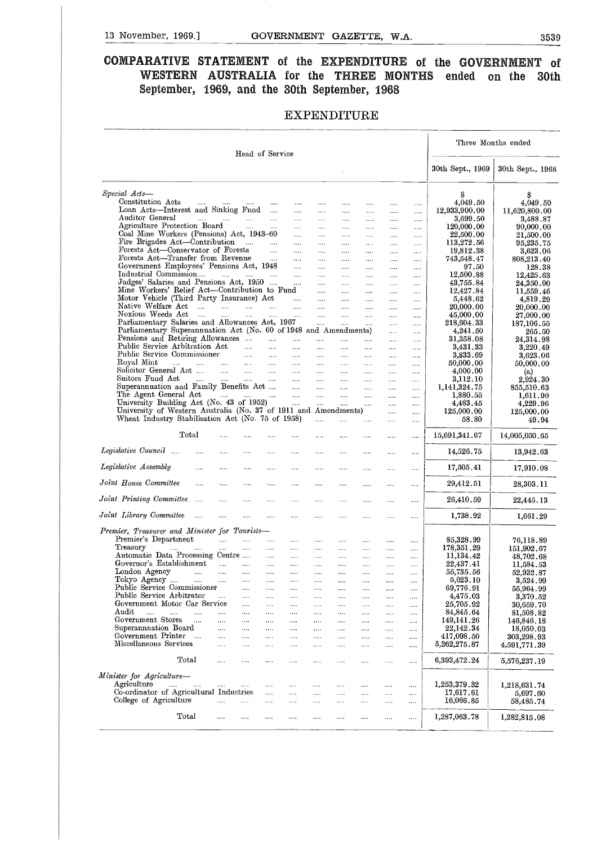### 13 November, 1969.] GOVERNMENT GAZETTE, W.A. 3539<br>COMPARATIVE STATEMENT of the EXPENDITURE of the GOVERNMENT of **COMPARATIVE STATEMENT** of the EXPENDITURE of the GOVERNMENT of **WESTERN AUSTRALIA for the THREE MONTHS ended on the 30th September, 1969, and the 30th September, 1968**

#### EXPENDITURE

|                                                                                                                      |                             |                                  |                      |                               |                           |              | <b>EXPENDITURE</b>   |                        |                      |                              |                              |
|----------------------------------------------------------------------------------------------------------------------|-----------------------------|----------------------------------|----------------------|-------------------------------|---------------------------|--------------|----------------------|------------------------|----------------------|------------------------------|------------------------------|
|                                                                                                                      |                             | Head of Service                  |                      |                               |                           |              |                      |                        |                      |                              | Three Months ended           |
|                                                                                                                      |                             |                                  |                      |                               |                           |              |                      |                        |                      | 30th Sept., 1969             | 30th Sept., 1968             |
|                                                                                                                      |                             |                                  |                      |                               |                           |              |                      |                        |                      |                              |                              |
| Special Acts-                                                                                                        |                             |                                  |                      |                               |                           |              |                      |                        |                      | S                            | S                            |
| Constitution Acts<br>$\mathbf{1}$ , and $\mathbf{1}$<br>Loan Acts-Interest and Sinking Fund                          | <b>Service</b>              | <b>Contract</b>                  | $\cdots$             | $\cdots$<br>$\cdots$          | $\cdots$<br>$\cdots$      | <br>$\cdots$ | $\cdots$<br>$\cdots$ | $\cdots$               | .                    | 4,049.50<br>12,933,900.00    | 4,049.50<br>11,620,800.00    |
| Auditor General                                                                                                      | and the manufacturer        | and the                          | $\ldots$             | $\ldots$ .                    | $\cdots$                  | $\cdots$     | $\ldots$             | $\sim 100$<br>$\ldots$ | <br>$\cdots$         | 3,699.50                     | 3,488.87                     |
| Agriculture Protection Board                                                                                         |                             | $\Delta\Delta\Delta\approx 0.01$ | $\ldots$             | $\cdots$                      |                           | $\cdots$     |                      | $\cdots$               | $\cdots$             | 120,000.00                   | 90,000.00                    |
| Coal Mine Workers (Pensions) Act, 1943-60                                                                            |                             |                                  |                      | $\cdots$                      | $\cdots$                  | $\cdots$     | $\cdots$             | $\cdots$               |                      | 22,500.00                    | 21,500.00                    |
| Fire Brigades Act—Contribution<br>Forests Act—Conservator of Forests                                                 |                             | التقليل المتفقي                  | $\mathbf{r}$         | $\cdots$                      | $\cdots$                  | $\cdots$     | $\ldots$             | $\cdots$               |                      | 113,272.56                   | 95,235.75                    |
| Forests Act-Transfer from Revenue                                                                                    |                             |                                  | <b>Contractor</b>    | $\ldots$<br>$\cdots$          | $\ldots$<br>$\cdots$      | <br>$\cdots$ | $\cdots$<br>$\cdots$ | $\cdots$<br>$\ldots$ . | $\cdots$<br>$\cdots$ | 19,812.38<br>743,548.47      | 3,623.06<br>808,213.40       |
| Government Employees' Pensions Act, 1948                                                                             |                             |                                  |                      | $\sim$                        | $\cdots$                  | $\cdots$     | $\cdots$             | $\sim 100$             |                      | 97.50                        | 128.38                       |
| Industrial Commission                                                                                                | $\cdots$                    | <b>Sales Control</b>             | $\sim$ $\sim$        | $\cdots$                      | $\cdots$                  | $\cdots$     |                      | $\ldots$ .             | $\cdots$             | 12,500.88                    | 12,425.63                    |
| Judges' Salaries and Pensions Act, 1950                                                                              |                             |                                  |                      | $\cdots$                      | $\cdots$                  |              | $\cdots$             | $\sim 100$             | $\cdots$             | 43,755.84                    | 24,350.00                    |
| Mine Workers' Relief Act—Contribution to Fund<br>Motor Vehicle (Third Party Insurance) Act                           |                             |                                  |                      | $\sim$                        | $\cdots$                  | $\cdots$     | $\cdots$             | $\sim 100$             | $\cdots$             | 12,427.84<br>5,448.62        | 11,559.46<br>4,819.29        |
| Native Welfare Act<br>$\cdots$                                                                                       | $\cdots$                    | $\cdots$                         | $\ddotsc$            | $\cdots$                      | $\cdots$<br>$\cdots$      | <br>$\cdots$ | .<br>$\cdots$        | <br>$\cdots$           | <br>                 | 20,000.00                    | 20,000.00                    |
| Noxious Weeds Act<br>$\sim$                                                                                          | $\cdots$                    | $\cdots$                         | $\cdots$             | $\cdots$                      | $\cdots$                  |              | $\cdots$             | $\cdots$               |                      | 45,000.00                    | 27,000.00                    |
| Parliamentary Salaries and Allowances Act, 1967                                                                      |                             |                                  |                      |                               | $\mathbf{r}_{\text{max}}$ | .            | $\cdots$             | $\cdots$               | .                    | 218,604.33                   | 187,106.55                   |
| Parliamentary Superannuation Act (No. 60 of 1948 and Amendments)                                                     |                             |                                  |                      |                               |                           |              |                      | $\cdots$               | $\ldots$             | 4,241.50                     | 265.50                       |
| Pensions and Retiring Allowances<br>Public Service Arbitration Act                                                   |                             | $\cdots$                         | $\ldots$<br>$\cdots$ | <br>$\cdots$                  | $\cdots$<br>$\cdots$      | $\cdots$<br> | <br>$\cdots$         | $\cdots$               |                      | 31,358.08<br>3,431.33        | 24,314.98<br>3,220.49        |
| Public Service Commissioner                                                                                          |                             | $\Delta\Delta\omega_{\rm{eff}}$  | $\cdots$             | $\cdots$                      | $\cdots$                  | $\cdots$     | $\cdots$             | <br>$\cdots$           | $\cdots$<br>$\cdots$ | 3,833.69                     | 3,623.06                     |
| Royal Mint<br>$\mathbf{r}$<br>$\mathbf{r}$ and $\mathbf{r}$ and $\mathbf{r}$                                         |                             | and the main                     |                      | $\cdots$                      | $\cdots$                  | $\cdots$     |                      | $\sim$ . $\sim$        | $\cdots$             | 50,000.00                    | 50,000.00                    |
| Solicitor General Act                                                                                                | <b>Sales</b>                | $\ldots$ . $\ldots$              |                      | $\sim 100$ and $\sim 100$     | $\cdots$                  |              |                      | .                      | $\sim$ . $\sim$      | 4,000.00                     | (a)                          |
| Suitors Fund Act<br><b>Contractor</b>                                                                                |                             |                                  |                      | التبين المستحدث التبيت المتبد | $\cdots$                  | $\cdots$     | $\cdots$             | $\cdots$               | $\cdots$             | 3,112.10                     | 2,924.30                     |
| Superannuation and Family Benefits Act<br>The Agent General Act                                                      | التبين المالينين المتناورات |                                  |                      | $\sim 100$                    | $\sim$ $\sim$<br>$\cdots$ | $\cdots$<br> | $\ldots$<br>$\cdots$ | $\cdots$<br>$\cdots$   | $\cdots$<br>$\cdots$ | 1,141,324.75<br>1,880.55     | 855,510.63<br>1,611.90       |
| University Building Act (No. 43 of 1952)                                                                             |                             |                                  |                      | <b>College</b>                | $\cdots$                  | $\cdots$     | $\cdots$             | $\cdots$               | $\cdots$             | 4,483.45                     | 4,229.96                     |
| University of Western Australia (No. 37 of 1911 and Amendments)<br>Wheat Industry Stabilisation Act (No. 75 of 1958) |                             |                                  |                      |                               | $\mathbf{r}$              |              |                      | $\cdots$<br>           | <br>$\cdots$         | 125,000.00<br>58.80          | 125,000.00<br>49.94          |
| Total                                                                                                                | $\cdots$                    |                                  | .                    | .                             | $\cdots$                  | $\cdots$     | .                    | $\cdots$               | $\cdots$             | 15,691,341.67                | 14,005,050.65                |
| Legislative Council                                                                                                  |                             | $\cdots$                         |                      | $\cdots$                      | $\cdots$                  | .            | $\cdots$             |                        |                      | 14,526.75                    | 13,942.63                    |
| Legislative Assembly<br>.                                                                                            | $\cdots$                    | $\cdots$                         |                      |                               | $\cdots$                  |              |                      |                        |                      | 17,505.41                    | 17,910.08                    |
| Joint House Committee<br>                                                                                            | $\cdots$                    | $\ldots$ .                       | $\cdots$             |                               | $\cdots$                  |              |                      | $\cdots$               |                      | 29,412.51                    | 28,303.11                    |
| Joint Printing Committee                                                                                             | $\cdots$                    |                                  |                      |                               |                           |              |                      |                        | $\ldots$             | 26,410.59                    | 22,445.13                    |
| Joint Library Committee<br>$\cdots$                                                                                  | $\cdots$                    | $\cdots$                         | $\cdots$             | $\cdots$                      |                           |              |                      |                        |                      | 1,738.92                     | 1,661.29                     |
| Premier, Treasurer and Minister for Tourists-                                                                        |                             |                                  |                      |                               |                           |              |                      |                        |                      |                              |                              |
|                                                                                                                      |                             |                                  | <br>                 |                               |                           | $\cdots$     | .<br>                | <br>$\cdots$           | <br>                 | 85,328.99<br>178,351.29      | 76,118.89<br>151,902.67      |
| Premier's Department                                                                                                 |                             |                                  |                      |                               |                           |              |                      | $\ldots$ .             |                      | 11,134.42                    | 48,702.68                    |
| Treasury<br>$\ldots$ .<br>Automatic Data Processing Centre                                                           |                             |                                  |                      |                               |                           | $\cdots$     |                      |                        |                      | 22,437.41                    | 11,584.53                    |
| Governor's Establishment                                                                                             | $\cdots$                    |                                  |                      |                               |                           | $\ldots$     | .                    | $\cdots$               |                      |                              |                              |
| London Agency<br>$\cdots$                                                                                            | $\cdots$                    | $\cdots$                         |                      |                               | $\cdots$                  | $\cdots$     |                      |                        |                      | 55,735.56                    | 52,932.87                    |
| Tokyo Agency<br>$\cdots$                                                                                             |                             | $\cdots$                         |                      |                               |                           |              |                      |                        |                      | 5,023.10                     | 3,524.99                     |
| Public Service Commissioner<br>Public Service Arbitrator                                                             | $\cdots$                    | $\cdots$<br>$\cdots$             |                      | <br>                          | <br>                      | <br>         | $\cdots$<br>         | <br>                   |                      | 69,776.91                    | 55,964.99                    |
| Government Motor Car Service                                                                                         |                             | $\ldots$                         | .                    |                               |                           |              |                      |                        | <br>                 | 4,475.03<br>25,705.92        | 3,370.52<br>30,659.70        |
| Audit<br>$\mathbf{r}$<br>$\mathbf{r}$<br>in in                                                                       | $\cdots$                    |                                  |                      |                               |                           | $\cdots$     | $\cdots$             | $\sim$ . $\sim$        | $\cdots$             | 84,845.64                    | 81,508.82                    |
| Government Stores<br>.                                                                                               | $\cdots$                    |                                  |                      | $\cdots$                      | $\cdots$                  | $\cdots$     | $\cdots$             |                        | $\cdots$             | 149,141.26                   | 146,846.18                   |
| Superannuation Board                                                                                                 | $\cdots$                    |                                  |                      |                               | $\cdots$                  | .            |                      |                        | $\cdots$             | 22,142.34                    | 18,050.03                    |
| Government Printer<br>$\sim$<br>Miscellaneous Services                                                               | <br>                        |                                  | .                    | <br>$\cdots$                  | .<br>$\cdots$             | $\cdots$<br> | <br>.                |                        | $\cdots$             | 417,098.50                   | 303,298.93                   |
| Total                                                                                                                |                             | <br>                             |                      |                               |                           |              |                      | <br>                   | <br>                 | 5,262,275.87<br>6,393,472.24 | 4,591,771.39<br>5,576,237.19 |
|                                                                                                                      |                             |                                  |                      |                               |                           |              |                      |                        |                      |                              |                              |
| Agriculture<br>$\sim$<br>.                                                                                           | $\cdots$                    | $\cdots$                         | $\cdots$             | .                             |                           | .            | .                    |                        |                      | 1,253,379.32                 | 1,218,631.74                 |
| Co-ordinator of Agricultural Industries                                                                              |                             |                                  | $\cdots$             |                               |                           |              |                      |                        |                      | 17,617.61                    | 5,697.60                     |
| Minister for Agriculture-<br>College of Agriculture                                                                  | $\ddotsc$                   | $\cdots$                         | $\cdots$             |                               |                           | $\cdots$     | .                    |                        |                      | 16,066.85                    | 58,485.74                    |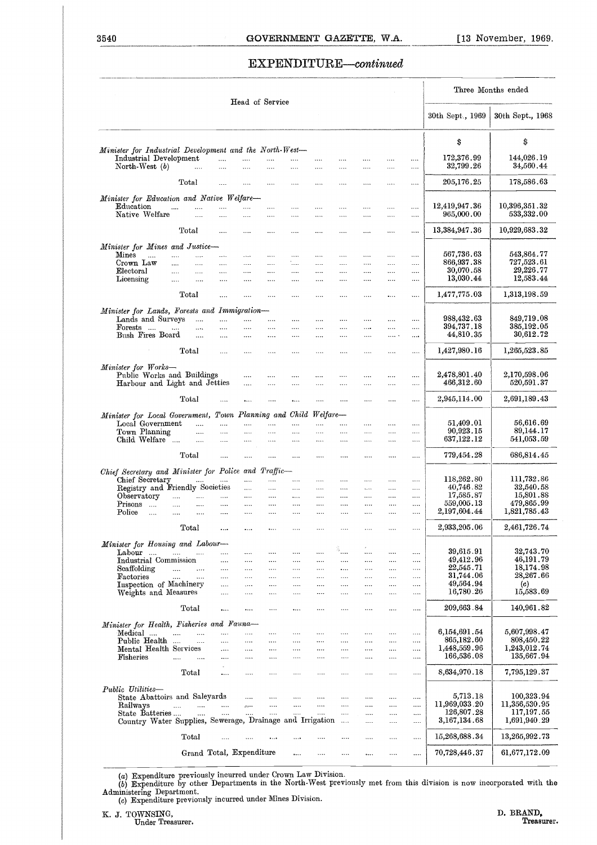# 3540<br>
GOVERNMENT GAZETTE, W.A.<br>
EXPENDITURE—continued EXPENDITURE—continued

|                                                                                    |                                            |                                   |                                |                                                    |                      |                      | EXPENDITURE-continued |                      |                      |              |                      |                                |                             |
|------------------------------------------------------------------------------------|--------------------------------------------|-----------------------------------|--------------------------------|----------------------------------------------------|----------------------|----------------------|-----------------------|----------------------|----------------------|--------------|----------------------|--------------------------------|-----------------------------|
|                                                                                    |                                            |                                   |                                |                                                    | Head of Service      |                      |                       |                      |                      |              |                      |                                | Three Months ended          |
|                                                                                    |                                            |                                   |                                |                                                    |                      |                      |                       |                      |                      |              |                      | 30th Sept., 1969               | 30th Sept., 1968            |
| Minister for Industrial Development and the North-West-                            |                                            |                                   |                                |                                                    |                      |                      |                       |                      |                      |              |                      | \$                             | S                           |
| Industrial Development<br>North-West (b)                                           |                                            | $\sim$ $\sim$ $\sim$              | $\cdots$<br>                   | $\cdots$<br>$\cdots$                               | .<br>$\cdots$        | <br>                 | $\cdots$<br>$\cdots$  | <br>$\cdots$         |                      |              | <br>                 | 172,376.99<br>32,799.26        | 144,026.19<br>34,560.44     |
|                                                                                    | Total                                      |                                   | $\cdots$                       | $\cdots$                                           | $\cdots$             |                      | $\cdots$              | $\cdots$             | $\cdots$             | $\cdots$     |                      | 205,176.25                     | 178,586.63                  |
| Minister for Education and Native Welfare-<br>Education                            | $\cdots$                                   | $\cdots$                          |                                | .                                                  | $\cdots$             |                      | $\cdots$              | $\cdots$             |                      |              | $\cdots$             | 12,419,947.36                  | 10,396,351.32               |
| Native Welfare                                                                     | Total                                      | $\cdots$                          |                                | .                                                  |                      |                      |                       |                      |                      |              |                      | 965,000.00<br>13, 384, 947. 36 | 533,332.00<br>10,929,683.32 |
|                                                                                    |                                            |                                   |                                |                                                    |                      |                      | $\cdots$              | $\cdots$             | $\cdots$             | $\cdots$     |                      |                                |                             |
| Minister for Mines and Justice-<br>$\mathbf{M}$ ines<br>Crown Law                  | $\cdots$<br>$\cdots$                       | $\cdots$<br>$\cdots$              | $\cdots$<br>                   | $\cdots$<br>$\cdots$                               | $\cdots$<br>$\cdots$ | $\cdots$<br>         | $\cdots$<br>          | $\cdots$<br>$\cdots$ | $\cdots$<br>$\cdots$ | $\cdots$<br> | $\cdots$<br>         | 567,736.63<br>866,937.38       | 543,864.77<br>727,523.61    |
| Electoral<br>Licensing                                                             | $\cdots$<br>$\cdots$                       | $\cdots$<br>$\cdots$              | $\cdots$<br>$\cdots$           | $\cdots$<br>$\cdots$                               | $\cdots$<br>$\cdots$ | $\cdots$<br>$\cdots$ | $\cdots$<br>$\cdots$  | $\cdots$<br>$\cdots$ | $\cdots$<br>$\cdots$ | <br>$\cdots$ | <br>$\cdots$         | 30,070.58<br>13,030.44         | 29,226.77<br>12,583.44      |
|                                                                                    | Total                                      |                                   | $\cdots$                       | $\cdots$                                           |                      | $\cdots$             | $\cdots$              | $\cdots$             | $\cdots$             | $\cdots$     | $\cdots$             | 1,477,775.03                   | 1,313,198.59                |
| Minister for Lands, Forests and Immigration-                                       |                                            |                                   |                                |                                                    |                      |                      |                       |                      |                      |              |                      |                                |                             |
| Lands and Surveys<br>Forests                                                       | $\cdots$                                   | $\cdots$                          | $\cdots$<br>$\cdots$           | $\cdots$<br>$\cdots$                               | $\cdots$<br>.        | <br>                 | $\cdots$<br>$\cdots$  | $\cdots$<br>$\cdots$ | $\cdots$<br>$\cdots$ | <br>$\cdots$ | $\ldots$<br>$\cdots$ | 988,432.63<br>394,737.18       | 849,719.08<br>385,192.05    |
| Bush Fires Board                                                                   |                                            | $\cdots$                          | $\cdots$                       | $\cdots$                                           | .                    |                      |                       |                      |                      | .            | $\cdots$             | 44,810.35                      | 30,612.72                   |
|                                                                                    | $\rm Total$                                |                                   | $\cdots$                       | $\cdots$                                           | $\cdots$             | $\cdots$             | $\cdots$              | $\cdots$             | $\cdots$             | $\cdots$     | $\cdots$             | 1,427,980.16                   | 1,265,523.85                |
| Minister for Works-<br>Public Works and Buildings<br>Harbour and Light and Jetties |                                            |                                   |                                | $\cdots$<br>.                                      | $\cdots$<br>         | $\cdots$<br>         | $\cdots$<br>          | <br>                 | $\cdots$<br>         | $\cdots$<br> | $\cdots$<br>         | 2,478,801.40<br>466,312.60     | 2,170,598.06<br>520,591.37  |
|                                                                                    | Total                                      |                                   | $\ddotsc$                      | $\ddotsc$                                          | $\cdots$             | $\ddotsc$            | $\cdots$              | $\cdots$             | $\cdots$             | $\cdots$     |                      | 2,945,114.00                   | 2,691,189.43                |
| Minister for Local Government, Town Planning and Child Welfare-                    |                                            |                                   |                                |                                                    |                      |                      |                       |                      |                      |              |                      |                                |                             |
| Local Government<br>Town Planning                                                  |                                            | $\ldots$<br>$\cdots$              | $\cdots$<br>$\cdots$           | $\cdots$<br>$\cdots$                               | $\cdots$<br>         | $\cdots$<br>         | $\cdots$<br>$\cdots$  | <br>                 | $\cdots$<br>         | $\cdots$<br> | <br>                 | 51,409.01<br>90,923.15         | 56,616.69<br>89,144.17      |
| Child Welfare                                                                      |                                            | $\sim$                            | $\cdots$                       | $\cdots$                                           | $\cdots$             | $\cdots$             |                       | $\cdots$             | $\cdots$             |              |                      | 637,122.12                     | 541,053.59                  |
|                                                                                    | Total                                      |                                   |                                |                                                    | $\cdots$             | $\cdots$             | $\cdots$              |                      |                      |              |                      | 779,454.28                     | 686,814.45                  |
| Chief Secretary and Minister for Police and Traffic-                               |                                            |                                   |                                |                                                    |                      |                      |                       |                      |                      |              |                      | 118,262.80                     | 111,732.86                  |
| Chief Secretary<br>Registry and Friendly Societies                                 |                                            |                                   | and the company of the company | and the<br>and the                                 | $\cdots$<br>$\ldots$ | $\cdots$<br>$\cdots$ | <br>$\cdots$          | <br>$\cdots$         | <br>$\cdots$         | <br>$\cdots$ | <br>$\cdots$         | 40,746.82                      | 32,540.58                   |
| Observatory<br>Prisons<br>                                                         |                                            | and and an<br>                    |                                | $\cdots$<br>                                       | $\ldots$<br>         | $\ldots$ .<br>       | $\cdots$<br>          | $\cdots$<br>         | $\cdots$<br>         | $\cdots$<br> | <br>                 | 17,585.87<br>559,005.13        | 15,801.88<br>479,865.99     |
| Police<br>$\cdots$                                                                 |                                            |                                   |                                |                                                    |                      |                      |                       |                      | $\cdots$             | $\cdots$     | $\cdots$             | 2,197,604.44                   | 1,821,785.43                |
|                                                                                    |                                            | Total                             |                                | $\cdots$                                           |                      |                      |                       |                      |                      |              |                      | 2,933,205.06                   | 2,461,726.74                |
| Minister for Housing and Labour-                                                   |                                            |                                   |                                |                                                    |                      |                      |                       |                      |                      |              |                      |                                |                             |
| Labour<br>Industrial Commission                                                    |                                            |                                   | $\cdots$<br>$\cdots$           | $\ldots$<br>$\cdots$                               | $\cdots$<br>$\cdots$ | <br>$\cdots$         | $\ldots$<br>$\cdots$  | â.,<br>$\cdots$      | $\cdots$<br>         | <br>         | <br>$\cdots$         | 39,615.91<br>49,412.96         | 32,743.70<br>46,191.79      |
| $\operatorname{Scaffolding}$                                                       | المندار المندا                             |                                   | $\cdots$                       | $\cdots$                                           |                      | $\cdots$             | $\cdots$              |                      | $\ldots$             | $\cdots$     |                      | 22,545.71                      | 18.174.98                   |
| Factories                                                                          | الممرات الممرات                            |                                   | $\cdots$                       | $\cdots$                                           | $\cdots$             | $\cdots$             | $\cdots$              | $\cdots$             | $\cdots$             |              | $\cdots$             | 31,744.06<br>49,564.94         | 28,267.66<br>(c)            |
| Inspection of Machinery<br>Weights and Measures                                    |                                            |                                   | $\cdots$<br>$\cdots$           | $\cdots$<br>$\ldots$                               | $\cdots$<br>         | $\cdots$<br>$\cdots$ | $\cdots$<br>          | <br>                 | <br>                 | <br>         | $\cdots$<br>$\ldots$ | 16,780.26                      | 15,583.69                   |
|                                                                                    |                                            | Total                             | $\cdots$                       | $\cdots$                                           |                      | $\cdots$             |                       |                      |                      |              | $\ldots$             | 209,663.84                     | 140,961.82                  |
| Minister for Health, Fisheries and Fauna-                                          |                                            |                                   |                                |                                                    |                      |                      |                       |                      |                      |              |                      |                                |                             |
| Medical                                                                            |                                            | and the state of the state of the | $\ldots$                       | $\cdots$                                           | $\cdots$             | $\cdots$             | $\cdots$              | $\cdots$             |                      |              |                      | 6,154,691.54                   | 5,607,998.47                |
| Public Health<br>Mental Health Services                                            |                                            | $\ldots$                          | $\cdots$<br>$\cdots$           | $\cdots$<br>$\cdots$                               | $\cdots$<br>$\cdots$ | $\cdots$<br>$\cdots$ | <br>$\cdots$          | $\cdots$<br>$\cdots$ | $\cdots$<br>$\cdots$ | <br>         | <br>                 | 865,182.60<br>1,448,559.96     | 808,450.22<br>1,243,012.74  |
| Fisheries                                                                          | $\mathbf{r} = \mathbf{r} \cdot \mathbf{r}$ |                                   | $\cdots$                       | $\cdots$                                           | $\cdots$             | $\cdots$             | $\cdots$              | $\cdots$             | $\cdots$             |              | $\ldots$             | 166,536.08                     | 135,667.94                  |
|                                                                                    |                                            | Total                             | $\cdots$                       | $\ldots$                                           |                      |                      |                       |                      |                      |              | $\cdots$             | 8,634,970.18                   | 7,795,129.37                |
| Public Utilities-                                                                  |                                            |                                   |                                |                                                    |                      |                      |                       |                      |                      |              |                      |                                |                             |
| State Abattoirs and Saleyards<br>Railways                                          |                                            | المتناد المتبدر المتنادر          |                                | $\cdots$<br>$\langle \hat{z}_2, \hat{z}_3 \rangle$ | $\cdots$<br>$\ldots$ | $\cdots$<br>$\ldots$ | $\cdots$<br>$\cdots$  | $\ldots$<br>$\cdots$ | $\cdots$<br>$\cdots$ | <br>         | $\cdots$<br>$\ldots$ | 5,713.18<br>11,969,033.20      | 100,323.94<br>11,356,530.95 |
| State Batteries                                                                    |                                            | $\sim$ $\sim$ $\sim$              | $\cdots$                       | $\cdots$                                           | $\ldots$             | $\cdots$             | $\ldots$              | $\ldots$             | $\ldots$             |              | $\cdots$             | 126,807.28                     | 117,197.55                  |
| Country Water Supplies, Sewerage, Drainage and Irrigation                          |                                            |                                   |                                |                                                    |                      |                      |                       |                      | $\cdots$             |              |                      | 3,167,134.68                   | 1,691,940.29                |
|                                                                                    |                                            | Total                             | $\cdots$                       | $\cdots$                                           | $\ldots$             | $\cdots$             | $\cdots$              | $\cdots$             |                      |              |                      | 15,268,688.34                  | 13,265,992.73               |
|                                                                                    |                                            |                                   | Grand Total, Expenditure       |                                                    |                      | $\ldots$             |                       |                      | $\ldots$             |              |                      | 70,728,446.37                  | 61,677,172.09               |

(a) Expenditure previously incurred under Crown Law Division.<br>
(b) Expenditure by other Departments in the North-West previously met from this division is now incorporated with the Administering Department.<br>
(c) Expenditur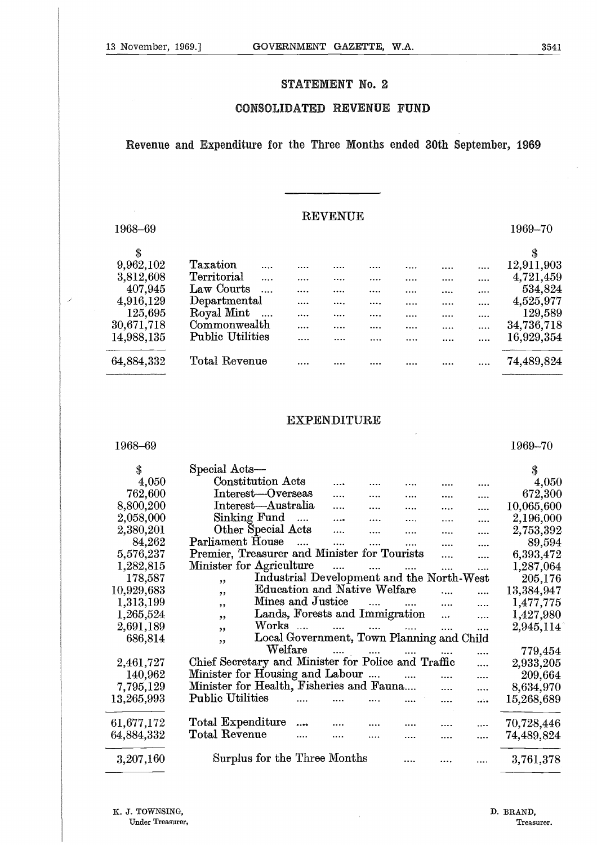#### STATEMENT No. 2

#### **CONSOLIDATED REVENUE FUND**

#### Revenue and Expenditure for **the Three Months ended 30th September, 1969**

 $\overline{\phantom{a}}$ 

#### REVENUE

|            | Revenue and Expenditure for the Three Months ended 30th September, 1969 |                |  |  |            |
|------------|-------------------------------------------------------------------------|----------------|--|--|------------|
|            |                                                                         |                |  |  |            |
|            |                                                                         | <b>REVENUE</b> |  |  |            |
| 1968-69    |                                                                         |                |  |  | 1969-70    |
| \$         |                                                                         |                |  |  | \$         |
| 9,962,102  | Taxation                                                                |                |  |  | 12,911,903 |
| 3,812,608  | Territorial                                                             |                |  |  | 4,721,459  |
| 407,945    | Law Courts                                                              |                |  |  | 534,824    |
| 4,916,129  | Departmental                                                            |                |  |  | 4,525,977  |
| 125,695    | Royal Mint                                                              |                |  |  | 129,589    |
| 30,671,718 | Commonwealth                                                            |                |  |  | 34,736,718 |
| 14,988,135 | <b>Public Utilities</b>                                                 |                |  |  | 16,929,354 |
| 64,884,332 | Total Revenue                                                           |                |  |  | 74,489,824 |
|            |                                                                         |                |  |  |            |
|            |                                                                         |                |  |  |            |

#### EXPENDITURE

| 64,884,332                          | Total Revenue                                       |                   |                                     |                |                                           |          |          | 74,489,824              |
|-------------------------------------|-----------------------------------------------------|-------------------|-------------------------------------|----------------|-------------------------------------------|----------|----------|-------------------------|
|                                     |                                                     |                   | <b>EXPENDITURE</b>                  |                |                                           |          |          |                         |
| 1968-69                             |                                                     |                   |                                     |                |                                           |          |          | 1969-70                 |
| \$                                  | Special Acts-                                       |                   |                                     |                |                                           |          |          | \$                      |
| 4,050                               | <b>Constitution Acts</b>                            |                   |                                     |                |                                           |          |          | 4,050                   |
| 762,600                             | Interest-Overseas                                   |                   |                                     |                |                                           |          | .        | 672,300                 |
| 8,800,200                           | Interest-Australia                                  |                   |                                     |                |                                           |          |          | 10,065,600              |
| 2,058,000                           | Sinking Fund                                        | $\cdots$          |                                     |                |                                           |          |          | 2,196,000               |
| 2,380,201                           | Other Special Acts                                  |                   | .                                   |                | .                                         |          |          | 2,753,392               |
| 84,262                              | Parliament House                                    | $\ddotsc$         |                                     |                |                                           |          |          | 89,594                  |
| 5,576,237                           | Premier, Treasurer and Minister for Tourists        |                   |                                     |                |                                           |          | $\cdots$ | 6,393,472               |
| 1,282,815                           | Minister for Agriculture                            |                   |                                     |                |                                           | $\cdots$ |          | 1,287,064               |
| 178,587                             | ,                                                   |                   |                                     |                | Industrial Development and the North-West |          |          | 205,176                 |
| 10,929,683                          | ,,                                                  |                   | <b>Education and Native Welfare</b> |                |                                           |          |          | 13,384,947              |
| 1,313,199                           | ,,                                                  | Mines and Justice |                                     | $\overline{1}$ |                                           | .        |          | 1,477,775               |
| 1,265,524                           | , 9                                                 |                   | Lands, Forests and Immigration      |                |                                           |          |          | 1,427,980               |
| 2,691,189                           | Works                                               | $\ldots$          |                                     |                |                                           |          |          | 2,945,114               |
| 686,814                             | ,,                                                  |                   |                                     |                | Local Government, Town Planning and Child |          |          |                         |
|                                     | , ,                                                 | Welfare           |                                     |                |                                           |          |          | 779,454                 |
| 2,461,727                           | Chief Secretary and Minister for Police and Traffic |                   |                                     |                |                                           |          |          | 2,933,205               |
| 140,962                             | Minister for Housing and Labour                     |                   |                                     |                |                                           | .        |          | 209,664                 |
| 7,795,129                           | Minister for Health, Fisheries and Fauna            |                   |                                     |                |                                           | .        |          | 8,634,970               |
| 13,265,993                          | <b>Public Utilities</b>                             |                   |                                     |                |                                           |          |          | 15,268,689              |
|                                     |                                                     |                   |                                     |                |                                           |          |          |                         |
| 61,677,172                          | Total Expenditure                                   |                   |                                     |                |                                           |          |          | 70,728,446              |
| 64,884,332                          | Total Revenue                                       |                   |                                     |                |                                           |          |          | 74,489,824              |
|                                     |                                                     |                   |                                     |                |                                           |          |          |                         |
| 3,207,160                           | Surplus for the Three Months                        |                   |                                     |                |                                           |          | .        | 3,761,378               |
| K. J. TOWNSING,<br>Under Treasurer, |                                                     |                   |                                     |                |                                           |          |          | D. BRAND,<br>Treasurer. |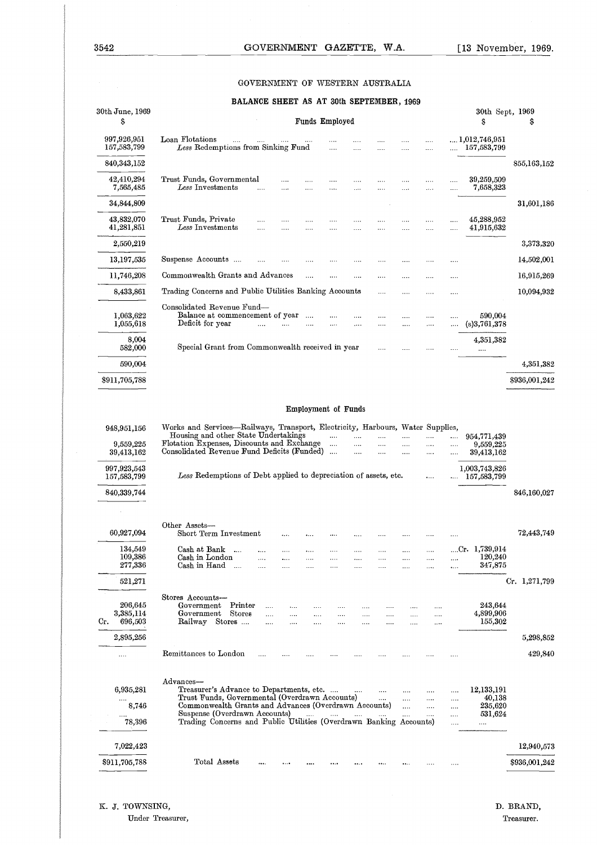#### GOVERNMENT OF WESTERN AUSTRALIA

#### **BALANCE SHEET AS AT 30th SEPTEMBER, 1969**

| Loan Flotations<br>Less Redemptions from Sinking Fund      |                            |                                                                                                                                                                                                            |                                                                                 |                                                                                                          |                                          |                                                                                                                                                                     |                                                                                                                                                                                                                                          |                                                                                                  |                                                                                  |                                                                                            |                                                                                     |                                                                                                            |
|------------------------------------------------------------|----------------------------|------------------------------------------------------------------------------------------------------------------------------------------------------------------------------------------------------------|---------------------------------------------------------------------------------|----------------------------------------------------------------------------------------------------------|------------------------------------------|---------------------------------------------------------------------------------------------------------------------------------------------------------------------|------------------------------------------------------------------------------------------------------------------------------------------------------------------------------------------------------------------------------------------|--------------------------------------------------------------------------------------------------|----------------------------------------------------------------------------------|--------------------------------------------------------------------------------------------|-------------------------------------------------------------------------------------|------------------------------------------------------------------------------------------------------------|
|                                                            |                            |                                                                                                                                                                                                            |                                                                                 |                                                                                                          |                                          |                                                                                                                                                                     | .<br>                                                                                                                                                                                                                                    | $\cdots$<br>                                                                                     | <br>                                                                             |                                                                                            | $\dots 1{,}012{,}746{,}951$<br>157,583,799                                          |                                                                                                            |
|                                                            |                            |                                                                                                                                                                                                            |                                                                                 |                                                                                                          |                                          |                                                                                                                                                                     |                                                                                                                                                                                                                                          |                                                                                                  |                                                                                  |                                                                                            |                                                                                     | 855,163,152                                                                                                |
| Trust Funds, Governmental<br>$\it Less$ $\it In$ vestments |                            |                                                                                                                                                                                                            |                                                                                 |                                                                                                          | .<br>.                                   | .                                                                                                                                                                   | .<br>$\cdots$                                                                                                                                                                                                                            | .<br>$\cdots$                                                                                    | <br>$\cdots$                                                                     |                                                                                            | 39,259,509<br>7,658,323                                                             |                                                                                                            |
|                                                            |                            |                                                                                                                                                                                                            |                                                                                 |                                                                                                          |                                          |                                                                                                                                                                     |                                                                                                                                                                                                                                          |                                                                                                  |                                                                                  |                                                                                            |                                                                                     | 31,601,186                                                                                                 |
|                                                            |                            |                                                                                                                                                                                                            | $\cdots$<br>$\cdots$                                                            | $\cdots$<br>$\cdots$                                                                                     | $\cdots$<br>$\cdots$                     | $\cdots$<br>                                                                                                                                                        | .<br>$\cdots$                                                                                                                                                                                                                            | .<br>.                                                                                           | $\cdots$<br>                                                                     | <br>                                                                                       | 45,288,952<br>41,915,632                                                            |                                                                                                            |
|                                                            |                            |                                                                                                                                                                                                            |                                                                                 |                                                                                                          |                                          |                                                                                                                                                                     |                                                                                                                                                                                                                                          |                                                                                                  |                                                                                  |                                                                                            |                                                                                     | 3,373,320                                                                                                  |
|                                                            |                            |                                                                                                                                                                                                            | $\cdots$                                                                        |                                                                                                          |                                          |                                                                                                                                                                     |                                                                                                                                                                                                                                          | .                                                                                                |                                                                                  |                                                                                            |                                                                                     | 14,502,001                                                                                                 |
|                                                            |                            |                                                                                                                                                                                                            |                                                                                 | $\cdots$                                                                                                 | $\cdots$                                 | .                                                                                                                                                                   |                                                                                                                                                                                                                                          | .                                                                                                | $\cdots$                                                                         |                                                                                            |                                                                                     | 16,915,269                                                                                                 |
|                                                            |                            |                                                                                                                                                                                                            |                                                                                 |                                                                                                          |                                          |                                                                                                                                                                     |                                                                                                                                                                                                                                          |                                                                                                  | $\cdots$                                                                         | $\cdots$                                                                                   |                                                                                     | 10,094,932                                                                                                 |
|                                                            |                            |                                                                                                                                                                                                            |                                                                                 | $\cdots$                                                                                                 |                                          |                                                                                                                                                                     |                                                                                                                                                                                                                                          |                                                                                                  |                                                                                  | $\cdots$                                                                                   | 590,004                                                                             |                                                                                                            |
|                                                            |                            |                                                                                                                                                                                                            |                                                                                 |                                                                                                          |                                          |                                                                                                                                                                     |                                                                                                                                                                                                                                          |                                                                                                  |                                                                                  |                                                                                            |                                                                                     |                                                                                                            |
|                                                            |                            |                                                                                                                                                                                                            |                                                                                 |                                                                                                          |                                          |                                                                                                                                                                     |                                                                                                                                                                                                                                          |                                                                                                  |                                                                                  |                                                                                            | $\ldots$                                                                            |                                                                                                            |
|                                                            |                            |                                                                                                                                                                                                            |                                                                                 |                                                                                                          |                                          |                                                                                                                                                                     |                                                                                                                                                                                                                                          |                                                                                                  |                                                                                  |                                                                                            |                                                                                     | 4,351,382                                                                                                  |
|                                                            |                            |                                                                                                                                                                                                            |                                                                                 |                                                                                                          |                                          |                                                                                                                                                                     |                                                                                                                                                                                                                                          |                                                                                                  |                                                                                  |                                                                                            |                                                                                     | \$936,001,242                                                                                              |
|                                                            |                            |                                                                                                                                                                                                            |                                                                                 |                                                                                                          |                                          |                                                                                                                                                                     |                                                                                                                                                                                                                                          |                                                                                                  |                                                                                  |                                                                                            |                                                                                     |                                                                                                            |
|                                                            |                            |                                                                                                                                                                                                            |                                                                                 |                                                                                                          |                                          |                                                                                                                                                                     |                                                                                                                                                                                                                                          |                                                                                                  |                                                                                  |                                                                                            |                                                                                     |                                                                                                            |
|                                                            |                            |                                                                                                                                                                                                            |                                                                                 |                                                                                                          | $\cdots$                                 | $\cdots$<br>$\cdots$                                                                                                                                                | <br>                                                                                                                                                                                                                                     | <br>                                                                                             | <br>$\cdots$                                                                     | $\cdots$                                                                                   | 9,559,225<br>39,413,162                                                             |                                                                                                            |
|                                                            |                            |                                                                                                                                                                                                            |                                                                                 |                                                                                                          |                                          |                                                                                                                                                                     |                                                                                                                                                                                                                                          |                                                                                                  | $\cdots$                                                                         |                                                                                            | 157,583,799                                                                         |                                                                                                            |
|                                                            |                            |                                                                                                                                                                                                            |                                                                                 |                                                                                                          |                                          |                                                                                                                                                                     |                                                                                                                                                                                                                                          |                                                                                                  |                                                                                  |                                                                                            |                                                                                     | 846,160,027                                                                                                |
|                                                            |                            |                                                                                                                                                                                                            |                                                                                 |                                                                                                          |                                          |                                                                                                                                                                     |                                                                                                                                                                                                                                          |                                                                                                  |                                                                                  |                                                                                            |                                                                                     | 72,443,749                                                                                                 |
|                                                            | $\sim$<br>$\ldots$         |                                                                                                                                                                                                            | .                                                                               | $\cdots$                                                                                                 |                                          |                                                                                                                                                                     |                                                                                                                                                                                                                                          | .                                                                                                |                                                                                  |                                                                                            | 120,240<br>347,875                                                                  |                                                                                                            |
|                                                            |                            |                                                                                                                                                                                                            |                                                                                 |                                                                                                          |                                          |                                                                                                                                                                     |                                                                                                                                                                                                                                          |                                                                                                  |                                                                                  |                                                                                            |                                                                                     | Cr. 1,271,799                                                                                              |
| Government<br>Government<br>Railway                        | Printer<br>Stores          | $\cdots$<br><br>$\cdots$                                                                                                                                                                                   | <br>$\cdots$<br>$\cdots$                                                        | .<br>$\cdots$                                                                                            | $\cdots$<br>$\cdots$                     | $\cdots$<br>.                                                                                                                                                       | $\cdots$<br>$\cdots$                                                                                                                                                                                                                     | $\cdots$<br>$\cdots$                                                                             | <br>                                                                             |                                                                                            | 243,644<br>4,899,906<br>155,302                                                     |                                                                                                            |
|                                                            |                            |                                                                                                                                                                                                            |                                                                                 |                                                                                                          |                                          |                                                                                                                                                                     |                                                                                                                                                                                                                                          |                                                                                                  |                                                                                  |                                                                                            |                                                                                     | 5,298,852                                                                                                  |
|                                                            |                            |                                                                                                                                                                                                            |                                                                                 |                                                                                                          |                                          |                                                                                                                                                                     |                                                                                                                                                                                                                                          |                                                                                                  |                                                                                  |                                                                                            |                                                                                     | 429,840                                                                                                    |
|                                                            |                            |                                                                                                                                                                                                            |                                                                                 |                                                                                                          |                                          |                                                                                                                                                                     | $\cdots$<br>$\cdots$                                                                                                                                                                                                                     | $\cdots$<br>                                                                                     | .<br>$\cdots$                                                                    | <br>$\cdots$                                                                               | 12,133,191                                                                          |                                                                                                            |
|                                                            |                            |                                                                                                                                                                                                            |                                                                                 |                                                                                                          |                                          |                                                                                                                                                                     | $\cdots$                                                                                                                                                                                                                                 | <br>                                                                                             | <br>$\sim$ $\sim$                                                                | <br>$\cdots$                                                                               |                                                                                     |                                                                                                            |
|                                                            |                            |                                                                                                                                                                                                            |                                                                                 |                                                                                                          |                                          |                                                                                                                                                                     |                                                                                                                                                                                                                                          |                                                                                                  |                                                                                  | $\cdots$                                                                                   |                                                                                     |                                                                                                            |
|                                                            |                            |                                                                                                                                                                                                            |                                                                                 |                                                                                                          |                                          |                                                                                                                                                                     |                                                                                                                                                                                                                                          |                                                                                                  |                                                                                  |                                                                                            |                                                                                     | 12,940,573                                                                                                 |
|                                                            |                            |                                                                                                                                                                                                            |                                                                                 |                                                                                                          |                                          |                                                                                                                                                                     |                                                                                                                                                                                                                                          |                                                                                                  |                                                                                  |                                                                                            |                                                                                     | \$936,001,242                                                                                              |
|                                                            | Other Assets-<br>Advances- | Trust Funds, Private<br>Less Investments<br>Suspense Accounts<br>Deficit for year<br>Cash at Bank<br>Cash in London<br>Cash in Hand<br>Stores Accounts-<br>Stores<br>Remittances to London<br>Total Assets | $\cdots$<br><br>Consolidated Revenue Fund—<br>$\cdots$<br>Short Term Investment | Commonwealth Grants and Advances<br>Balance at commencement of year<br><br>Suspense (Overdrawn Accounts) | <br>Housing and other State Undertakings | $\cdots$<br>$\sim 10^{-1}$<br>Flotation Expenses, Discounts and Exchange<br>Consolidated Revenue Fund Deficits (Funded)<br>Treasurer's Advance to Departments, etc. | Trading Concerns and Public Utilities Banking Accounts<br>$\cdots$<br>Special Grant from Commonwealth received in year<br>Employment of Funds<br>$\cdots$<br>$\sim 100$ and $\sim 100$<br>Trust Funds, Governmental (Overdrawn Accounts) | <br>$\cdots$<br>Commonwealth Grants and Advances (Overdrawn Accounts)<br>and the same company of | $\cdots$<br><br>Less Redemptions of Debt applied to depreciation of assets, etc. | $\cdots$<br>$\cdots$<br>Trading Concerns and Public Utilities (Overdrawn Banking Accounts) | Works and Services—Railways, Transport, Electricity, Harbours, Water Supplies,<br>. | (s)3,761,378<br>4,351,382<br>954,771,439<br>1,003,743,826<br>Cr. 1,739,914<br>40,138<br>235,620<br>531,624 |

Under Treasurer,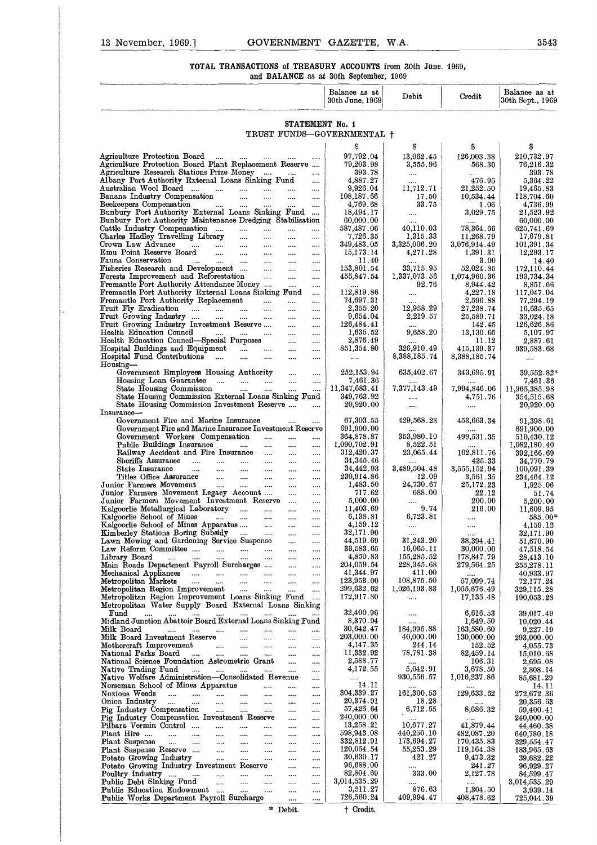## 13 November, 1969.] GOVERNMENT GAZETTE, W.A. 3543<br>TOTAL TRANSACTIONS of TREASURY ACCOUNTS from 30th June. 1969,<br>and BALANCE as at 30th September, 1969 TOTAL TRANSACTIONS of TREASURY ACCOUNTS from 30th June. 1969, and BALANCE as at 30th September, 1969

|  |  | $\alpha$ lld Distantivoli as as over popeomon, 1000 |  |
|--|--|-----------------------------------------------------|--|
|  |  |                                                     |  |
|  |  |                                                     |  |

| GOVERNMENT GAZETTE, W.A.<br>13 November, 1969.]                                                                                                                                         |                                  |                            |                                      | 3543                              |
|-----------------------------------------------------------------------------------------------------------------------------------------------------------------------------------------|----------------------------------|----------------------------|--------------------------------------|-----------------------------------|
| TOTAL TRANSACTIONS of TREASURY ACCOUNTS from 30th June. 1969,<br>and BALANCE as at 30th September, 1969                                                                                 |                                  |                            |                                      |                                   |
|                                                                                                                                                                                         | Balance as at<br>30th June, 1969 | Debit                      | Credit                               | Balance as at<br>30th Sept., 1969 |
| STATEMENT No. 1                                                                                                                                                                         |                                  |                            |                                      |                                   |
| TRUST FUNDS-GOVERNMENTAL +                                                                                                                                                              | S                                | S                          | s                                    | \$                                |
| Agriculture Protection Board<br>Agriculture Protection Board Plant Replacement Reserve                                                                                                  | 97,792.04<br>79,203.98           | 13,062.45<br>3,555.96      | 126,003.38<br>568.30                 | 210,732.97<br>76,216.32           |
| Agriculture Research Stations Prize Money<br>$\ldots$<br>Albany Port Authority External Loans Sinking Fund<br>$\ddotsc$                                                                 | 393.78<br>4,887.27               | $\ldots$                   | <br>476.95                           | 393.78<br>5,364.22                |
| Australian Wool Board<br>$\cdots$<br>$\cdots$<br>Banana Industry Compensation<br><b>Sales</b><br>$\cdots$<br>$\cdots$<br>$\cdots$                                                       | 9,926.04<br>108,187.66           | 11,712.71<br>17.50         | 21,252.50<br>10,534.44               | 19,465.83<br>118,704.60           |
| Beekeepers Compensation<br>المستحدث المتناولات<br>$\cdots$<br>$\cdots$<br>$\cdots$<br>Bunbury Port Authority External Loans Sinking Fund                                                | 4,769.68                         | 33.75                      | 1.06                                 | 4,736.99                          |
| Bunbury Port Authority Maintenance Dredging Stabilisation                                                                                                                               | 18,494.17<br>60,000.00           | $\ldots$<br>$\cdots$       | 3,029.75                             | 21,523.92<br>60,000.00            |
| Cattle Industry Compensation<br>$\cdots$<br>$\cdots$<br>Charles Hadley Travelling Library<br>$\cdots$<br>$\cdots$<br>$\cdots$                                                           | 587,487.06<br>7,726.35           | 40,110.03<br>1,315.33      | 78,364.66<br>11,268.79               | 625,741.69<br>17,679.81           |
| Crown Law Advance<br>$\cdots$ $\cdots$ $\cdots$ $\cdots$<br>$\ldots$<br>$\cdots$<br>$\cdots$<br>Emu Point Reserve Board<br>$\cdots$ $\cdots$<br>$\cdots$<br>$\cdots$                    | 349,483.05<br>15,173.14          | 3,325,006.20<br>4,271.28   | 3,076,914.49<br>1,391.31             | 101,391.34<br>12,293.17           |
| Fauna Conservation<br>and the company of the company<br>$\cdots$<br>$\cdots$<br>$\cdots$<br>Fisheries Research and Development<br>$\cdots$<br>$\cdots$<br>$\cdots$                      | 11.40<br>153,801.54              | $\ldots$<br>33,715.95      | 3.00<br>52,024.85                    | 14.40<br>172,110.44               |
| Forests Improvement and Reforestation<br>$\sim$<br>$\cdots$<br>$\cdots$<br>Fremantle Port Authority Attendance Money<br>$\cdots$<br>$\cdots$                                            | 455,847.54<br>$\cdots$           | 1,337,073.56<br>92.76      | 1,074,960.36<br>8,944.42             | 193,734.34<br>8,851.66            |
| Fremantle Port Authority External Loans Sinking Fund<br>$\cdots$<br>Fremantle Port Authority Replacement<br><b>Allen</b><br>$\ldots$                                                    | 112,819.86<br>74,697.31          | $\ldots$                   | 4,227.18<br>2,596.88                 | 117,047.04<br>77,294.19           |
| $\cdots$<br>Fruit Fly Eradication<br>$\cdots$<br>$\cdots$                                                                                                                               | 2,355.20                         | $\cdots$<br>12,958.29      | 27,238.74                            | 16,635.65                         |
| Fruit Growing Industry<br>المتنازل المتنازل المتنازل<br>$\cdots$<br><br>Fruit Growing Industry Investment Reserve<br>$\cdots$<br>$\cdots$                                               | 9,654.04<br>126,484.41           | 2,219.57<br>$\cdots$       | 25,589.71<br>142.45                  | 33,024.18<br>126,626.86           |
| Health Education Council<br>$\cdots$<br>$\cdots$<br>Health Education Council-Special Purposes<br>$\cdots$<br>$\cdots$                                                                   | 1,635.52<br>2,876.49             | 9,658.20                   | 13,130.65<br>11.12                   | 5,107.97<br>2,887.61              |
| Hospital Buildings and Equipment<br>$\cdots$<br>$\cdots$<br>Hospital Fund Contributions<br><b>Castle</b><br>$\cdots$<br>$\cdots$                                                        | 851,354.80<br>$\cdots$           | 326,910.49<br>8,388,185.74 | 415,139.37<br>8,388,185.74           | 939,583.68<br>$\cdots$            |
| Housing-<br>Government Employees Housing Authority<br>$\cdots$<br>$\cdots$                                                                                                              | 252,153.94                       | 635,402.67                 | 343,695.91                           | $39,552.82*$                      |
| Housing Loan Guarantee<br>$\sim$<br>$\cdots$<br>State Housing Commission<br>$\ldots$ . The set of $\mathbb{R}^n$<br>المتنازل<br>$\cdots$<br>$\ldots$                                    | 7,461.36<br>11,347,683.41        | 7,377,143.49               | 7,994,846.06                         | 7,461.36<br>11,965,385.98         |
| State Housing Commission External Loans Sinking Fund<br>State Housing Commission Investment Reserve<br>$\cdots$                                                                         | 349,763.92<br>20,920.00          | $\ldots$                   | 4,751.76                             | 354,515.68<br>20,920.00           |
| Insurance-                                                                                                                                                                              | 67,303.55                        | $\ldots$<br>429,568.28     | $\ldots$                             |                                   |
| Government Fire and Marine Insurance<br>$\cdots$<br>Government Fire and Marine Insurance Investment Reserve                                                                             | 691,900.00                       |                            | $\!\!\!\!\!453,\!663.34$<br>$\cdots$ | 91,398.61<br>691,900.00           |
| Government Workers Compensation<br>$\cdots$<br>$\cdots$<br>$\cdots$<br>Public Buildings Insurance<br>$\mathbf{1}$<br>$\cdots$<br>$\cdots$<br>$\cdots$                                   | 364,878.87<br>1,090,702.91       | 353,980.10<br>8,522.51     | 499,531.35                           | 510,430.12<br>1,082,180.40        |
| Railway Accident and Fire Insurance<br>$\cdots$<br>$\cdots$<br>Sheriffs Assurance<br>$\cdots$<br>$\cdots$<br>                                                                           | 312,420.37<br>34, 345.46         | 23,065.44                  | 102,811.76<br>425.33                 | 392,166.69<br>34,770.79           |
| State Insurance<br>المتداد المتداد<br>$\cdots$<br>$\cdots$<br>$\cdots$<br>$\cdots$<br>Titles Office Assurance<br>$\mathbf{u}$ and $\mathbf{u}$<br>$\cdots$<br>$\sim$ $\sim$<br>$\cdots$ | 34,442.93<br>230,914.86          | 3,489,504.48<br>12.09      | 3,555,152.94<br>3,561.35             | 100,091.39<br>234,464.12          |
| Junior Farmers Movement<br>$\sim$<br>$\ldots$<br>$\cdots$<br>$\cdots$<br>$\cdots$<br>Junior Farmers Movement Legacy Account<br>$\cdots$<br>$\cdots$                                     | 1,483.50<br>717.62               | 24,730.67<br>688.00        | 25,172,23<br>22.12                   | 1,925.06<br>51.74                 |
| Junior Farmers Movement Investment Reserve<br>$\cdots$<br>Kalgoorlie Metallurgical Laboratory<br>المنتقل<br><b>Sales</b><br>$\cdots$                                                    | 5,000.00<br>11,403.69            | $\cdots$<br>9.74           | 200.00<br>216.00                     | 5,200.00<br>11,609.95             |
| $\cdots$<br>Kalgoorlie School of Mines<br>$\mathbf{m} = \mathbf{m}$<br>$\cdots$<br>$\ldots$<br>$\cdots$                                                                                 | 6,138.81                         | 6,723.81                   |                                      | $585.00*$                         |
| Kalgoorlie School of Mines Apparatus<br>$\sim$<br>$\cdots$<br>Kimberley Stations Boring Subsidy<br>$\sim$<br>$\ldots$<br>$\cdots$                                                       | 4,159.12<br>32,171.90            | $\ldots$<br>$\cdots$       | <br>                                 | 4,159.12<br>32,171.90             |
| Lawn Mowing and Gardening Service Suspense<br>$\sim 100$ and $\sim 100$<br>$\cdots$<br>Law Reform Committee<br>$\sim$ $\sim$<br>$\cdots$                                                | 44,519.69<br>33,583.65           | 31,243.20<br>16,065.11     | 38,394.41<br>30,000.00               | 51,670.90<br>47,518.54            |
| Library Board<br>المستحدث السناد المسادات السناد<br>$\cdots$<br>$\cdots$<br>$\cdots$<br>Main Roads Department Payroll Surcharges<br>$\sim$ 100 $\mu$<br>$\cdots$                        | 4,850.83<br>204,059.54           | 155,285.52<br>228,345.68   | 178,847.79<br>279,564.25             | 28,413.10<br>255,278.11           |
| المسامين المسامين<br>Mechanical Appliances<br>$\sim$<br>$\cdots$<br>Metropolitan Markets<br>$\ldots$ $\ldots$<br>$\sim$<br>$\sim$ $\sim$<br>$\cdots$<br>$\cdots$                        | 41,344.97<br>123,953.00          | 411.00<br>108,875.50       | 57,099.74                            | 40,933.97<br>72,177.24            |
| Metropolitan Region Improvement<br>$\cdots$ $\cdots$<br>$\cdots$<br>$\cdots$<br>Metropolitan Region Improvement Loans Sinking Fund                                                      | 299,632.62<br>172,917.80         | 1,026,193.83<br>           | 1,055,676.49<br>17,135.48            | 329,115.28<br>190,053.28          |
| Metropolitan Water Supply Board External Loans Sinking<br>$\operatorname{Fund}$<br>$\ldots$ . $\ldots$ . $\ldots$<br>$\cdots$<br>$\cdots$<br>$\mathbf{r}$<br>$\cdots$                   | 32,400.96                        |                            | 6,616.53                             | 39,017.49                         |
| Midland Junction Abattoir Board External Loans Sinking Fund                                                                                                                             | 8,370.94                         | <br>                       | 1,649.50                             | 10,020.44                         |
| Milk Board<br>$\cdots$ $\cdots$<br>$\sim$<br>$\cdots$<br>$\cdots$<br><br>Milk Board Investment Reserve<br>$\cdots$<br>$\cdots$<br>                                                      | 30,642.47<br>203,000.00          | 184,995.88<br>40,000.00    | 163,580.60<br>130,000.00             | 9,227.19<br>293,000.00            |
| Mothercraft Improvement<br>$\cdots$<br>$\cdots$<br>$\cdots$<br>National Parks Board<br>$\sim$ $\sim$<br>$\sim$<br>$\sim$<br>$\sim$<br>$\cdots$<br>                                      | 4,147.35<br>11,332.92            | 244.14<br>78,781.38        | 152.52<br>82,459.14                  | 4,055.73<br>15,010.68             |
| National Science Foundation Astrometric Grant<br>$\cdots$<br>$\cdots$<br>Native Trading Fund<br>and and an<br>$\mathbf{1}$<br>$\cdots$                                                  | 2,588.77<br>4,172.55             | 5,042.91                   | 106.31<br>3,678.50                   | 2,695.08<br>2,808.14              |
| Native Welfare Administration-Consolidated Revenue<br><br>Norseman School of Mines Apparatus<br>$\sim$<br>$\cdots$<br>$\cdots$                                                          | $\cdots$<br>14.11                | 930,556.57                 | 1,016,237.86<br>                     | 85,681.29<br>14.11                |
| Noxious Weeds<br>$\cdots$ $\cdots$<br>$\cdots$<br>$\overline{1}$<br>$\cdots$<br>Onion Industry<br>$\sim$ 1000 $\mu$<br>$\cdots$<br>$\cdots$<br>$\cdots$<br>$\cdots$<br>$\cdots$<br>     | 304,339.27<br>20,374.91          | 161,300.53<br>18.28        | 129,633.62                           | 272,672.36<br>20,356.63           |
| Pig Industry Compensation<br><b><i>College</i></b><br>$\sim$ $\sim$<br>$\cdots$<br>$\cdots$<br>$\cdots$                                                                                 | 57,426.64<br>240,000.00          | 6,712.55                   | 8,686.32                             | 59,400.41                         |
| Pig Industry Compensation Investment Reserve<br>$\sim$<br>$\cdots$<br>Pilbara Vermin Control<br><b>Contract</b><br>$\cdots$<br>$\cdots$<br>$\cdots$                                     | 13,258.21                        | 10,677.27                  | 41,879.44                            | 240,000.00<br>44,460.38           |
| Plant Hire<br>التقليل الملبوث التلقي الملبوث<br>$\cdots$<br>$\cdots$<br>$\cdots$<br>Plant Suspense<br>المتناد المتناد التبين المبينات<br>$\cdots$<br>$\cdots$<br>$\cdots$               | 598,943.08<br>332,812.91         | 440,250.10<br>173,694.27   | 482,087.20<br>170,435.83             | 640,780.18<br>329,554.47          |
| Plant Suspense Reserve<br>$\sim 100$ and $\sim 100$<br>$\cdots$<br>$\cdots$<br><br>Potato Growing Industry<br>$\cdots$ $\cdots$<br>$\cdots$<br>$\cdots$<br>$\cdots$                     | 120.054.54<br>30,630.17          | 55,253.29<br>421.27        | 119,164.38<br>9,473.32               | 183,965.63<br>39,682.22           |
| Potato Growing Industry Investment Reserve<br>$\ddotsc$<br>$\cdots$<br>Poultry Industry<br>$\cdots$<br>$\cdots$<br>                                                                     | 96,688.00<br>82,804.69           | <br>333.00                 | 241.27<br>2,127.78                   | 96,929.27<br>84,599.47            |
| Public Debt Sinking Fund<br>المستنبين<br>$\cdots$<br>$\cdots$<br>$\cdots$<br>$\cdots$                                                                                                   | 3,014,535.29<br>3,511.27         | 876.63                     | $\cdots$                             | 3,014,535.29                      |
| Public Education Endowment<br>$\mathbf{m}$<br>$\cdots$<br>$\cdots$<br>$\cdots$<br>Public Works Department Payroll Surcharge<br>$\cdots$<br>                                             | 726,560.24                       | 409,994.47                 | 1,304.50<br>408,478.62               | 3,939.14<br>725,044.39            |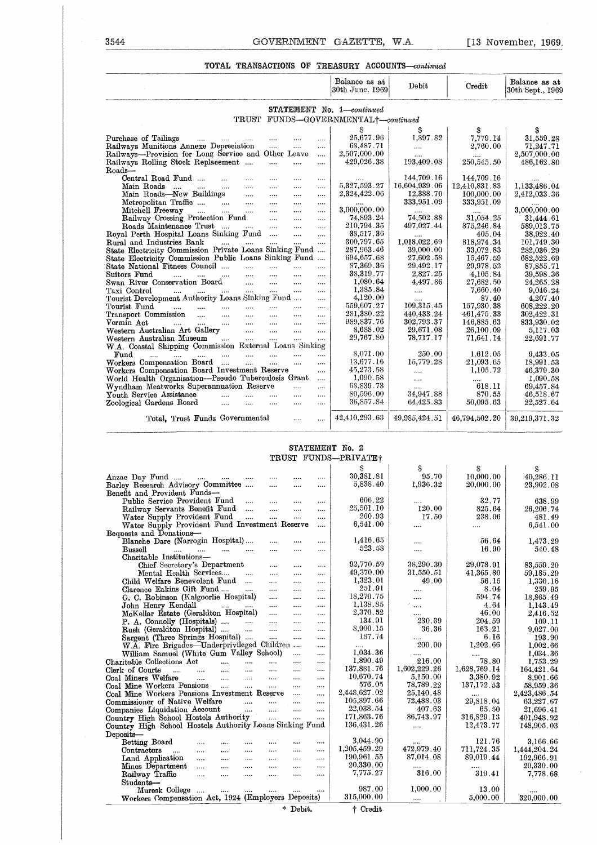#### TOTAL TRANSACTIONS OF TREASURY ACCOUNTS-continued

| 3544<br>GOVERNMENT GAZETTE, W.A.                                                                                                                                        |                                      |                           |                          | [13 November, 1969]                        |
|-------------------------------------------------------------------------------------------------------------------------------------------------------------------------|--------------------------------------|---------------------------|--------------------------|--------------------------------------------|
| <b>TOTAL TRANSACTIONS OF TREASURY ACCOUNTS—continued</b>                                                                                                                |                                      |                           |                          |                                            |
|                                                                                                                                                                         | Balance as at<br>30th June, 1969     | Debit                     | Credit                   | Balance as at<br>$30\rm{th}$ Sept., $1969$ |
|                                                                                                                                                                         | STATEMENT No. 1-continued            |                           |                          |                                            |
| TRUST FUNDS-GOVERNMENTAL+-continued                                                                                                                                     |                                      |                           |                          |                                            |
|                                                                                                                                                                         | s                                    | S                         | S                        | S                                          |
| Purchase of Tailings<br>$\overline{a}$<br>$\cdots$                                                                                                                      | 25,677.96<br>                        | 1,897.82                  | 7,779.14                 | 31,559.28                                  |
| Railways Munitions Annexe Depreciation<br>$\cdots$<br>                                                                                                                  | 68,487.71<br>$\cdots$                |                           | 2,760.00                 | 71,247.71                                  |
| Railways-Provision for Long Service and Other Leave                                                                                                                     | 2,507,000.00<br>$\ldots$             | <br>193,409.08            |                          | 2,507,000.00                               |
| Railways Rolling Stock Replacement<br>$\cdots$<br>$\cdots$<br>Roads-                                                                                                    | 429,026.38                           |                           | 250,545.50               | $\small 486,\!162$ . $\small 80$           |
| Central Road Fund<br>$\mathbf{r}$<br>$\mathbf{r}$<br>$\cdots$<br>$\cdots$                                                                                               | $\cdots$                             | 144,709.16                | 144,709.16               |                                            |
| Main Roads<br>$\mathbf{r}$ and $\mathbf{r}$ and $\mathbf{r}$<br>$\cdots$<br>$\cdots$<br>$\cdots$                                                                        | 5,327,593.27<br>                     | 16,604,939.06             | 12,410,831.83            | 1,133,486.04                               |
| Main Roads—New Buildings<br>$\mathbf{r}$<br>$\cdots$<br>                                                                                                                | 2,324,422.06<br>                     | 12,388.70                 | 100,000.00               | $2,\!412,\!033$ . $36$                     |
| Metropolitan Traffic<br>$\sim$<br><b>Contractor</b><br>$\cdots$                                                                                                         | <br>$\cdots$                         | 333,951.09                | 333,951.09               |                                            |
| Mitchell Freeway<br>$\sim$<br>$\cdots$<br>$\cdots$                                                                                                                      | 3,000,000.00<br>                     |                           |                          | 3,000,000.00                               |
| Railway Crossing Protection Fund<br>$\cdots$<br>$\cdots$                                                                                                                | 74,893.24<br>                        | 74,502.88                 | 31,054.25                | 31,444.61                                  |
| Roads Maintenance Trust<br>$\sim 10^{-11}$<br>$\cdots$                                                                                                                  | 210,794.35<br>                       | 497,027.44                | 875,246.84               | $\small{\textbf{589,013.75}}$              |
| Royal Perth Hospital Loans Sinking Fund<br>$\cdots$                                                                                                                     | 38,517.36<br><br>300,797.65          |                           | 405.04                   | 38,922.40                                  |
| Rural and Industries Bank<br>$\cdots$<br>$\cdots$<br><br>State Electricity Commission Private Loans Sinking Fund                                                        | $\cdots$<br>287,963.46               | 1,018,022.69<br>39,000.00 | 818,974.34<br>33,072.83  | 101,749.30<br>282,036.29                   |
| State Electricity Commission Public Loans Sinking Fund                                                                                                                  | 694,657.68                           | $27,\!602$ . $58$         | 15,467.59                | 682,522.69                                 |
| State National Fitness Council<br>$\cdots$<br>$\cdots$<br>$\cdots$                                                                                                      | 87,369.36<br>                        | 29,492.17                 | 29,978.52                | 87,855.71                                  |
| Suitors Fund<br>$\cdots$<br>$\cdots$<br>$\cdots$<br>$\cdots$<br>$\cdots$<br>$\mathbf{r}$                                                                                | 38,319.77<br>$\cdots$                | 2,827.25                  | 4,105.84                 | 39,598.36                                  |
| Swan River Conservation Board<br>$\cdots$<br>$\dddotsc$<br>$\cdots$                                                                                                     | 1,080.64<br>$\cdots$                 | 4,497.86                  | 27,682.50                | 24,265.28                                  |
| Taxi Control<br>$\cdots$ $\cdots$<br>$\mathbf{r}$ and $\mathbf{r}$<br>$\cdots$<br>$\cdots$<br>$\cdots$                                                                  | 1,385.84<br>                         | $\cdots$                  | 7,660.40                 | 9,046.24                                   |
| Tourist Development Authority Loans Sinking Fund                                                                                                                        | 4,120.00<br>$\cdots$                 | 109,315.45                | 87.40                    | 4,207.40                                   |
| Tourist Fund<br>$\ldots$ . $\ldots$<br>$\cdots$<br>$\cdots$<br>$\cdots$<br>Transport Commission<br>$\sim$ $\sim$ $\sim$<br>$\cdots$<br>$\cdots$<br>$\cdots$<br>$\cdots$ | 559,607.27<br>$\cdots$<br>281,380.22 | 440,433.24                | 157,930.38<br>461,475.33 | 608,222.20<br>$302,\!422.31$               |
| Vermin Act<br><b>Save Common</b><br>$\cdots$<br>$\cdots$<br>$\cdots$<br>$\cdots$                                                                                        | $\cdots$<br>989, 837. 76<br>$\cdots$ | 302,793.37                | 146,885.63               | 833,930.02                                 |
| Western Australian Art Gallery<br>$\ldots$<br>$\cdots$<br>$\cdots$                                                                                                      | 8,688.02<br>                         | 29,671.08                 | 26,100.09                | 5,117.03                                   |
| Western Australian Museum<br>المتناول المنتار<br>$\cdots$<br>$\sim$ 1000 $\mu$                                                                                          | 29,767.80<br>$\cdots$                | 78,717.17                 | 71,641.14                | 22,691.77                                  |
| W.A. Coastal Shipping Commission External Loans Sinking                                                                                                                 |                                      |                           |                          |                                            |
| $\mathbf{Fund}$<br>$\ldots$<br><br>$\cdots$<br>$\cdots$<br><br><br>                                                                                                     | 8,071.00<br>                         | 250.00                    | 1.612.05                 | 9,433.05                                   |
| Workers Compensation Board<br>$\cdots$<br><br><br>                                                                                                                      | 13,677.16<br>                        | 15,779.28                 | 21,093.65                | 18,991.53                                  |
| Workers Compensation Board Investment Reserve                                                                                                                           | 45,273.58<br><br>1,090.58            |                           | 1,105.72                 | 46,379.30                                  |
| World Health Organisation-Pseudo Tuberculosis Grant<br>Wyndham Meatworks Superannuation Reserve<br>                                                                     | <br>68,839.73<br>بمنت                | $\ldots$<br>              | <br>618.11               | 1,090.58<br>69,457.84                      |
| Youth Service Assistance<br><br>                                                                                                                                        | 80,596.00<br>                        | 34,947.88                 | 870.55                   | 46,518.67                                  |
| Zoological Gardens Board<br>$\cdots$<br><br>$\cdots$<br>                                                                                                                | 36,857.84<br>                        | 64,425.83                 | 50,095.63                | 22,527.64                                  |
|                                                                                                                                                                         |                                      |                           |                          |                                            |
| Total, Trust Funds Governmental<br>                                                                                                                                     | 42,410,293.63<br>,                   | 49,985,424.51             | 46,794,502.20            | 39,219,371.32                              |
|                                                                                                                                                                         |                                      |                           |                          |                                            |

#### **STATEMENT** No. 2 TRUST FUNDS-PRIVATEt

| товя? тые тапаз сологашенея                                                                 |                      |                       |              | 20,210 <i>,000</i> .00 | 40,000,144.01 | $+0, 194, 004.40$ | -09,419,971.04  |
|---------------------------------------------------------------------------------------------|----------------------|-----------------------|--------------|------------------------|---------------|-------------------|-----------------|
|                                                                                             |                      |                       |              | STATEMENT No. 2        |               |                   |                 |
|                                                                                             |                      |                       |              | TRUST FUNDS-PRIVATE+   |               |                   |                 |
|                                                                                             |                      |                       |              |                        |               |                   |                 |
|                                                                                             |                      |                       |              | S                      | s             | S                 | $\mathbb{S}$    |
| Anzae Day Fund                                                                              | $\cdots$             | $\cdots$              |              | 30,381.81<br>5,838.40  | 95.70         | 10,000.00         | 40,286.11       |
| Barley Research Advisory Committee                                                          | التبيات              | $\ddotsc$             | $\cdots$     |                        | 1,936.32      | 20,000.00         | $23,902$ . $08$ |
| Benefit and Provident Funds-<br>Public Service Provident Fund                               |                      |                       |              | 606.22                 |               | 32.77             |                 |
|                                                                                             | $\cdots$             | $\cdots$              | $\cdots$     | 25,501.10              | <br>120.00    |                   | 638.99          |
| Railway Servants Benefit Fund<br>Water Supply Provident Fund                                | $\cdots$<br>$\ldots$ | $\ldots$<br>$\ddotsc$ | <br>$\cdots$ | 260.93                 | 17.50         | 825.64<br>238.06  | 26,206.74       |
| Water Supply Provident Fund Investment Reserve                                              |                      |                       | $\cdots$     | 6,541.00               |               |                   | 481.49          |
| Bequests and Donations-                                                                     |                      |                       |              |                        |               | $\cdots$          | 6,541.00        |
| Blanche Dare (Narrogin Hospital)                                                            | المتناء              | $\cdots$              |              | 1,416.65               |               | 56.64             | 1,473.29        |
| <b>Bussell</b><br>التبينات التبيتات التبين الالتين الا                                      | $\mathbf{1}$         | $\cdots$              | $\cdots$     | 523.58                 | $\cdots$<br>  | 16.90             | 540.48          |
| Charitable Institutions-                                                                    |                      |                       |              |                        |               |                   |                 |
| Chief Secretary's Department                                                                | $\sim$ $\sim$ $\sim$ | $\overline{a}$        | $\cdots$     | 92,770.59              | 38,290.30     | 29,078.91         | 83,559.20       |
| Mental Health Services<br>$\mathbf{r} = \mathbf{r} \cdot \mathbf{r}$                        |                      | $\cdots$              | $\ldots$     | 49,370.00              | 31,550.51     | 41,365.80         | 59,185.29       |
| Child Welfare Benevolent Fund                                                               | المتناء              | $\cdots$              |              | 1,323.01               | 49.00         | 56.15             | 1,330.16        |
| Clarence Eakins Gift Fund<br>and a series of the                                            | <b>Second</b>        | $\cdots$              | .            | 251.91                 | $\cdots$      | 8.04              | 259.95          |
| G. C. Robinson (Kalgoorlie Hospital)                                                        | $\mathbf{r}$         | $\cdots$              | $\cdots$     | 18,270.75              | $\cdots$      | 594.74            | 18,865.49       |
| John Henry Kendall                                                                          | $\sim$               | $\sim$ 1000 $\mu$     |              | 1,138.85               | $\cdots$      | 4.64              | 1.143.49        |
| McKellar Estate (Geraldton Hospital)                                                        | المتناد              | $\sim$ $\sim$         | $\ddotsc$    | 2,370.52               | $\cdots$      | 46.00             | 2,416.52        |
| P. A. Connolly (Hospitals)<br>$\cdots$ $\cdots$                                             |                      | $\cdots$              |              | 134.91                 | 230.39        | 204.59            | 109.11          |
| Rush (Geraldton Hospital)<br>المتبادر                                                       | $\cdots$             | $\dddotsc$            | $\ddotsc$    | 8.900.15               | 36.36         | 163.21            | 9,027.00        |
| Sargent (Three Springs Hospital)                                                            | $\sim$ 1000 $\sim$   | $\mathbf{1}$          | $\cdots$     | 187.74                 | $\cdots$      | 6.16              | 193.90          |
| W.A. Fire Brigades-Underprivileged Children                                                 |                      |                       | $\ddotsc$    | $\cdots$               | 200.00        | 1,202.66          | 1,002.66        |
| William Samuel (White Gum Valley School)                                                    |                      |                       | $\cdots$     | 1,034.36               | $\cdots$      | $\cdots$          | 1,034.36        |
| Charitable Collections Act                                                                  | $\mathbf{r}$         | $\mathbf{r}$          | $\cdots$     | 1,890.49               | 216.00        | 78.80             | 1,753.29        |
| $\mathbf{r}_{\text{max}} = \mathbf{r}_{\text{max}}$<br>Clerk of Courts<br>$\cdots$ $\cdots$ | $\cdots$             | $\ddotsc$             | $\cdots$     | 137.881.76             | 1,602,229.26  | 1,628,769.14      | 164,421.64      |
| Coal Miners Welfare<br>$\ldots$ . $\ldots$ . $\ldots$                                       | $\cdots$             | $\cdots$              | $\cdots$     | 10,670.74              | 5,150.00      | 3,380.92          | 8,901.66        |
| Coal Mine Workers Pensions<br>$\cdots$<br>$\cdots$                                          | $\cdots$             | $\cdots$              | $\cdots$     | 576.05                 | 78,789.22     | 137,172.53        | 58,959.36       |
| Coal Mine Workers Pensions Investment Reserve                                               |                      |                       | $\cdots$     | 2,448,627.02           | 25,140.48     | $\ldots$          | 2,423,486.54    |
| Commissioner of Native Welfare<br>$\ldots$                                                  | $\cdots$             | $\ddotsc$             | $\cdots$     | 105,897.66             | 72,488.03     | 29,818.04         | 63,227.67       |
| Companies Liquidation Account<br>المنبذ                                                     | $\cdots$             | $\cdots$              | $\cdots$     | 22,038.54              | 407.63        | 65.50             | 21,696.41       |
| Country High School Hostels Authority                                                       | $\sim$               | $\cdots$              | $\cdots$     | 171,863.76             | 86,743.97     | 316,829.13        | 401,948.92      |
| Country High School Hostels Authority Loans Sinking Fund                                    |                      |                       |              | 136,431.26             | $\cdots$      | 12,473.77         | 148,905.03      |
| Deposits-                                                                                   |                      |                       |              |                        |               |                   |                 |
| Betting Board<br>$\ddotsc$<br>$\sim$<br>$\cdots$                                            | $\cdots$             | $\cdots$              |              | 3,044.90               |               | 121.76            | 3,166.66        |
| Contractors<br>$\cdots$<br>$\cdots$<br>$\cdots$<br>$\cdots$                                 | $\cdots$             | $\cdots$              | $\cdots$     | 1,205,459.29           | 472,979.40    | 711,724.35        | 1,444,204.24    |
| Land Application<br>$\cdots$<br>$\mathbf{1}$                                                | $\cdots$             | $\cdots$              | $\cdots$     | 190,961.55             | 87,014.08     | 89,019.44         | 192,966.91      |
| Mines Department<br>$\cdots$                                                                | $\cdots$             | $\cdots$              | $\cdots$     | 20,330.00              | $\cdots$      |                   | 20,330.00       |
| Railway Traffic<br>$\mathbf{r}$<br>$\cdots$<br>$\cdots$                                     | $\cdots$             | $\cdots$              | $\cdots$     | 7,775.27               | 316.00        | 319.41            | 7,778.68        |
| Students-                                                                                   |                      |                       |              |                        |               |                   |                 |
| Muresk College<br>$\sim$ $\sim$ $\sim$<br>$\cdots$                                          | $\cdots$             | $\cdots$              | $\cdots$     | 987.00                 | 1,000.00      | 13.00             |                 |
| Workers Compensation Act, 1924 (Employers Deposits)                                         |                      |                       |              | 315,000.00             | $\cdots$      | 5,000.00          | 320,000.00      |
|                                                                                             |                      | * Debit.              |              | † Credit               |               |                   |                 |
|                                                                                             |                      |                       |              |                        |               |                   |                 |
|                                                                                             |                      |                       |              |                        |               |                   |                 |
|                                                                                             |                      |                       |              |                        |               |                   |                 |
|                                                                                             |                      |                       |              |                        |               |                   |                 |
|                                                                                             |                      |                       |              |                        |               |                   |                 |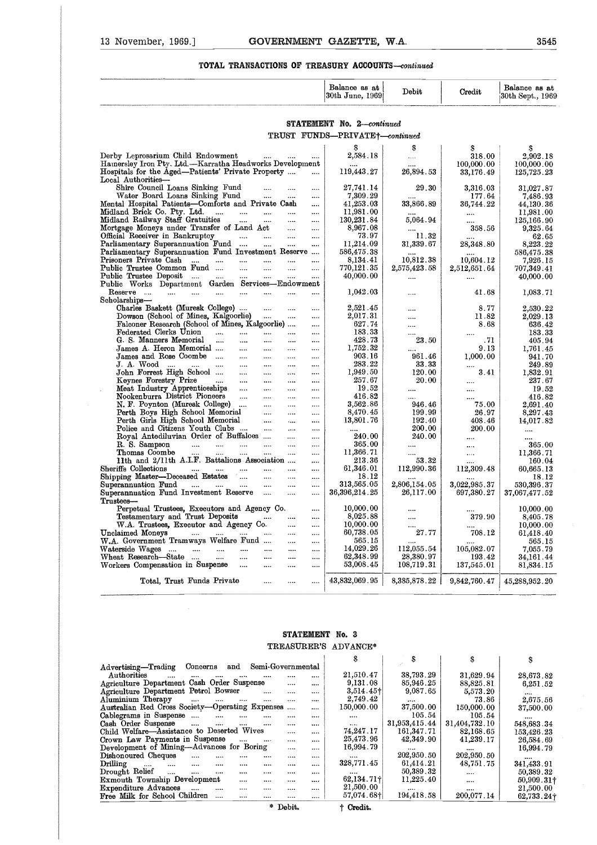#### **TOTAL TRANSACTIONS OF TREASURY ACCOUNTS--continued**

| 13 November, 1969.]<br>GOVERNMENT GAZETTE, W.A.                                                                                              |                      |                                             |                           |                                | 3545                              |
|----------------------------------------------------------------------------------------------------------------------------------------------|----------------------|---------------------------------------------|---------------------------|--------------------------------|-----------------------------------|
| TOTAL TRANSACTIONS OF TREASURY ACCOUNTS-continued                                                                                            |                      |                                             |                           |                                |                                   |
|                                                                                                                                              |                      | Balance as at<br>30th June, 1969            | Debit                     | Credit                         | Balance as at<br>30th Sept., 1969 |
|                                                                                                                                              |                      | STATEMENT No. 2-continued                   |                           |                                |                                   |
|                                                                                                                                              |                      | TRUST FUNDS-PRIVATE <sup>+</sup> -continued |                           |                                |                                   |
|                                                                                                                                              |                      |                                             |                           |                                |                                   |
| Derby Leprosarium Child Endowment                                                                                                            |                      | s<br>$2,\!584.18$                           | s                         | S<br>318.00                    | S<br>2,902.18                     |
| $\cdots$<br>Hamersley Iron Pty. Ltd.-Karratha Headworks Development<br>Hospitals for the Aged—Patients' Private Property                     |                      | 119,443.27                                  | $\cdots$<br><br>26,894.53 | 100,000.00<br>33,176.49        | 100,000.00<br>125,725.23          |
| Local Authorities-                                                                                                                           |                      |                                             |                           |                                |                                   |
| Shire Council Loans Sinking Fund<br>$\cdots$<br>                                                                                             |                      | 27,741.14                                   | 29.30                     | 3,316.03                       | 31,027.87                         |
| Water Board Loans Sinking Fund<br>$\cdots$<br>$\cdots$<br>Mental Hospital Patients-Comforts and Private Cash                                 | $\cdots$<br>         | 7,309.29<br>41,253.03                       | 33,866.89                 | 177.64<br>36,744.22            | 7,486.93<br>44,130.36             |
| Midland Brick Co. Pty. Ltd.<br>$\cdots$<br>$\cdots$<br>$\cdots$<br>$\cdots$                                                                  | $\cdots$             | 11,981.00                                   |                           |                                | 11,981.00                         |
| Midland Railway Staff Gratuities<br>$\cdots$<br>$\cdots$<br>$\cdots$                                                                         | $\cdots$             | 130,231.84                                  | 5,064.94                  |                                | 125,166.90                        |
| Mortgage Moneys under Transfer of Land Act<br>$\cdots$<br>Official Receiver in Bankruptcy<br>$\cdots$<br>$\cdots$<br>$\cdots$                | <br>                 | 8,967.08<br>73.97                           | <br>11.32                 | 358.56                         | 9,325.64<br>62.65                 |
| Parliamentary Superannuation Fund<br>$\mathbf{r}$<br>$\cdots$                                                                                | $\cdots$             | 11,214.09                                   | 31,339.67                 | <br>28,348.80                  | 8,223.22                          |
| Parliamentary Superannuation Fund Investment Reserve                                                                                         |                      | 586,475.38                                  |                           | $\cdots$                       | 586,475.38                        |
| Prisoners Private Cash<br>$\cdots$<br>$\cdots$<br>$\cdots$<br>$\cdots$<br><br>Public Trustee Common Fund<br>$\cdots$<br>$\cdots$<br>$\cdots$ |                      | 8,134.41<br>770,121.35                      | 10,812.38<br>2,575,423.58 | 10,604.12                      | 7,926.15                          |
| Public Trustee Deposit<br>$\cdots$<br>$\cdots$<br>$\cdots$                                                                                   | $\cdots$<br>         | 40,000.00                                   |                           | $2,\!512,\!651.64$<br>$\cdots$ | 707,349.41<br>40,000.00           |
| Public Works Department Garden Services-Endowment                                                                                            |                      |                                             |                           |                                |                                   |
| Reserve<br>$\cdots$<br>$\cdots$<br>$\sim$ 1000 $\sim$<br>$\cdots$<br>$\cdots$<br>$\cdots$<br>Scholarships—                                   |                      | 1,042.03                                    |                           | 41.68                          | 1,083.71                          |
| Charles Baskett (Muresk College)<br>$\cdots$<br>$\cdots$                                                                                     |                      | 2,521.45                                    |                           | 8.77                           | $2{,}530.22$                      |
| Dowson (School of Mines, Kalgoorlie)<br>$\ldots$ .<br>$\cdots$                                                                               | $\cdots$             | 2,017.31                                    |                           | 11.82                          | 2,029.13                          |
| Falconer Research (School of Mines, Kalgoorlie)<br>Federated Clerks Union<br>$\cdots$                                                        | $\cdots$             | 627.74<br>183.33                            |                           | 8.68                           | 636.42                            |
| $\cdots$<br>$\cdots$<br>$\cdots$<br>G. S. Manners Memorial<br>$\sim$<br>$\cdots$<br>$\cdots$<br>$\cdots$                                     | $\cdots$<br>$\cdots$ | 428.73                                      | <br>23.50                 | <br>.71                        | 183.33<br>405.94                  |
| James A. Heron Memorial<br>$\cdots$<br>$\cdots$<br>$\cdots$                                                                                  | $\cdots$             | 1,752.32                                    |                           | 9.13                           | 1,761.45                          |
| James and Rose Coombe<br>$\cdots$<br>$\cdots$<br>$\cdots$                                                                                    |                      | 903.16                                      | 961.46                    | 1,000.00                       | 941.70                            |
| J. A. Wood<br>$\cdots$<br>$\cdots$<br>$\cdots$<br>John Forrest High School<br>$\cdots$<br>$\cdots$<br>$\cdots$                               | $\cdots$<br>$\cdots$ | 283.22<br>1,949.50                          | 33.33<br>120.00           | <br>3.41                       | 249.89<br>1,832.91                |
| Keynes Forestry Prize<br>$\sim$ 1000 $\sim$<br>$\sim$ $\sim$<br>$\cdots$<br>$\cdots$                                                         | $\cdots$             | 257.67                                      | 20.00                     |                                | 237.67                            |
| Meat Industry Apprenticeships<br>$\sim$ $\sim$ $\sim$<br>$\cdots$<br>$\cdots$                                                                | $\cdots$             | 19.52                                       |                           |                                | 19.52                             |
| Nookenburra District Pioneers<br>$\cdots$<br>$\cdots$<br>$\cdots$<br>N. F. Poynton (Muresk College)                                          |                      | 416.82<br>3,562.86                          | $\cdots$<br>946.46        | <br>75.00                      | 416.82                            |
| <br><br>Perth Boys High School Memorial<br>$\cdots$<br>                                                                                      | <br>                 | 8,470.45                                    | 199.99                    | 26.97                          | 2,691.40<br>8,297.43              |
| Perth Girls High School Memorial<br><br>                                                                                                     |                      | 13,801.76                                   | 192.40                    | 408.46                         | 14,017.82                         |
| Police and Citizens Youth Clubs<br><br><br>Royal Antediluvian Order of Buffaloes<br>$\cdots$                                                 |                      | 240.00                                      | 200.00<br>240.00          | 200.00                         |                                   |
| <br>R. S. Sampson<br>$\cdots$<br>$\cdots$<br><br><br>                                                                                        | <br>                 | 365.00                                      |                           | <br>                           | 365.00                            |
| Thomas Coombe<br><br><br>                                                                                                                    |                      | 11,366.71                                   |                           |                                | 11,366.71                         |
| 11th and 2/11th A.I.F. Battalions Association                                                                                                |                      | 213.36                                      | 53.32                     |                                | 160.04                            |
| Sheriffs Collections<br>$\cdots$<br><br>$\cdots$<br>$\cdots$<br><br>Shipping Master-Deceased Estates<br>$\cdots$<br>$\cdots$<br>             | <br>                 | 61,346.01<br>18.12                          | 112,990.36                | 112,309.48                     | 60,665.13<br>18.12                |
| Superannuation Fund<br>$\cdots$<br>$\cdots$<br>$\cdots$<br><br>                                                                              |                      | 313,565.05                                  | 2.806,154.05              | 3,022,985.37                   | 530,396.37                        |
| Superannuation Fund Investment Reserve<br>$\cdots$<br>                                                                                       |                      | 36,396,214.25                               | 26,117.00                 | 697, 380. 27                   | 37,067,477.52                     |
| ${\rm Trustees}$ —<br>Perpetual Trustees, Executors and Agency Co.                                                                           |                      | 10,000.00                                   |                           |                                | 10,000.00                         |
| Testamentary and Trust Deposits<br><br>                                                                                                      |                      | 8,025.88                                    |                           | 379.90                         | 8,405.78                          |
| W.A. Trustees, Executor and Agency Co.<br>                                                                                                   |                      | 10,000.00                                   |                           |                                | 10,000.00                         |
| Unclaimed Moneys<br>$\cdots$<br><br>$\cdots$<br><br>W.A. Government Tramways Welfare Fund<br>                                                | <br>                 | 60,738.05<br>565.15                         | 27.77                     | 708.12                         | 61,418.40<br>565.15               |
| Waterside Wages<br>$\cdots$<br>$\cdots$<br><br><br>                                                                                          |                      | 14,029.26                                   | 112,055.54                | 105,082.07                     | 7,055.79                          |
| Wheat Research-State<br>$\cdots$<br>$\cdots$<br>$\cdots$<br>                                                                                 |                      | 62,348.99                                   | 28,380.97                 | 193.42                         | 34, 161.44                        |
| Workers Compensation in Suspense<br>$\cdots$<br>$\cdots$<br>                                                                                 |                      | 53,008.45                                   | 108,719.31                | 137,545.01                     | 81,834.15                         |
| Total, Trust Funds Private<br><br>                                                                                                           |                      | 43,832,069.95                               | 8,385,878.22              | 9,842,760.47                   | 45,288,952.20                     |

#### **STATEMENT No.** <sup>3</sup> TREASURER'S ADVANCE•

| 14,029.26<br>112,055.54<br>105,082.07<br>7.055.79<br><br>$\cdots$<br>$\cdots$<br>$\cdots$<br>$\cdots$<br>62,348.99<br>28,380.97<br>193.42<br>34.161.44<br>$\cdots$<br>$\cdots$<br>$\cdots$<br>$\cdots$<br>$\cdots$<br>53,008.45<br>Workers Compensation in Suspense<br>108,719.31<br>137,545.01<br>81,834.15<br>$\sim$ $\sim$<br><br><br><br>43,832,069.95<br>8,385,878.22<br>Total, Trust Funds Private<br>9,842,760.47<br>45,288,952.20<br><br>$\cdots$<br>STATEMENT No. 3<br>TREASURER'S ADVANCE*<br>S<br>\$<br>S<br>S                                                                                  |
|------------------------------------------------------------------------------------------------------------------------------------------------------------------------------------------------------------------------------------------------------------------------------------------------------------------------------------------------------------------------------------------------------------------------------------------------------------------------------------------------------------------------------------------------------------------------------------------------------------|
|                                                                                                                                                                                                                                                                                                                                                                                                                                                                                                                                                                                                            |
|                                                                                                                                                                                                                                                                                                                                                                                                                                                                                                                                                                                                            |
|                                                                                                                                                                                                                                                                                                                                                                                                                                                                                                                                                                                                            |
|                                                                                                                                                                                                                                                                                                                                                                                                                                                                                                                                                                                                            |
|                                                                                                                                                                                                                                                                                                                                                                                                                                                                                                                                                                                                            |
|                                                                                                                                                                                                                                                                                                                                                                                                                                                                                                                                                                                                            |
| $\rho^2$<br>Semi-Governmental<br>Concerns and                                                                                                                                                                                                                                                                                                                                                                                                                                                                                                                                                              |
| 21,510.47<br>38,793.29<br>31,629.94                                                                                                                                                                                                                                                                                                                                                                                                                                                                                                                                                                        |
| 28,673.82<br><br><br><br><br><br>Agriculture Department Cash Order Suspense<br>9,131.08<br>85,946.25<br>88,825.81                                                                                                                                                                                                                                                                                                                                                                                                                                                                                          |
| 6,251.52<br><br>$\cdots$<br>Agriculture Department Petrol Bowser<br>9,087.65<br>$3,514.45\dagger$<br>$\cdots$                                                                                                                                                                                                                                                                                                                                                                                                                                                                                              |
| 5,573.20<br><br><br><br>2,749.42                                                                                                                                                                                                                                                                                                                                                                                                                                                                                                                                                                           |
| 73.86<br>2,675.56<br>$\cdots$<br>$\cdots$<br>$\cdots$<br><br><br>$\cdots$                                                                                                                                                                                                                                                                                                                                                                                                                                                                                                                                  |
| 37,500.00                                                                                                                                                                                                                                                                                                                                                                                                                                                                                                                                                                                                  |
| <br>                                                                                                                                                                                                                                                                                                                                                                                                                                                                                                                                                                                                       |
| 548,683.34<br>$\cdots$<br>$\cdots$<br>                                                                                                                                                                                                                                                                                                                                                                                                                                                                                                                                                                     |
| 153,426.23<br><br>                                                                                                                                                                                                                                                                                                                                                                                                                                                                                                                                                                                         |
| 26,584.69<br>$\cdots$<br><br>$\cdots$                                                                                                                                                                                                                                                                                                                                                                                                                                                                                                                                                                      |
| 16,994.79<br><br><br><br>$\cdots$                                                                                                                                                                                                                                                                                                                                                                                                                                                                                                                                                                          |
| $\cdots$<br><br>$\cdots$<br><br>$\cdots$<br>                                                                                                                                                                                                                                                                                                                                                                                                                                                                                                                                                               |
| 341,433.91<br><br><br><br>$\cdots$<br>                                                                                                                                                                                                                                                                                                                                                                                                                                                                                                                                                                     |
| 50,389.32<br>$\cdots$<br><br><br><br>$\cdots$<br><br>$\cdots$                                                                                                                                                                                                                                                                                                                                                                                                                                                                                                                                              |
| 11,225.40<br>$50,909.31$ †<br>$\cdots$<br>$\cdots$<br>$\cdots$<br>$\cdots$<br>$\cdots$                                                                                                                                                                                                                                                                                                                                                                                                                                                                                                                     |
| 21,500.00<br>21,500.00<br>$\cdots$<br>$\cdots$<br>$\cdots$<br>$\cdots$<br><br>$\cdots$<br>$\cdots$                                                                                                                                                                                                                                                                                                                                                                                                                                                                                                         |
| 57.074.68+<br>194,418.58<br>200,077.14<br>Free Milk for School Children<br>62,733.24+<br><br>$\cdots$<br><br>$\cdots$                                                                                                                                                                                                                                                                                                                                                                                                                                                                                      |
| * Debit.<br>† Credit.                                                                                                                                                                                                                                                                                                                                                                                                                                                                                                                                                                                      |
| Australian Red Cross Society-Operating Expenses<br>150,000.00<br>37,500.00<br>150,000.00<br><br>105.54<br>105.54<br>$\cdots$<br>$\cdots$<br>$\cdots$<br><br><br>31,953,415.44<br>31,404,732.10<br>$\cdots$<br>$\cdots$<br>$\cdots$<br>Child Welfare-Assistance to Deserted Wives<br>74,247.17<br>161,347.71<br>82,168.65<br>Crown Law Payments in Suspense<br>25,473.96<br>42,349.90<br>41,239.17<br>$\ddotsc$<br>Development of Mining-Advances for Boring<br>16,994.79<br>202,950.50<br>202,950.50<br>328,771.45<br>61,414.21<br>48,751.75<br>50,389.32<br>$62,134.71$ †<br>Exmouth Township Development |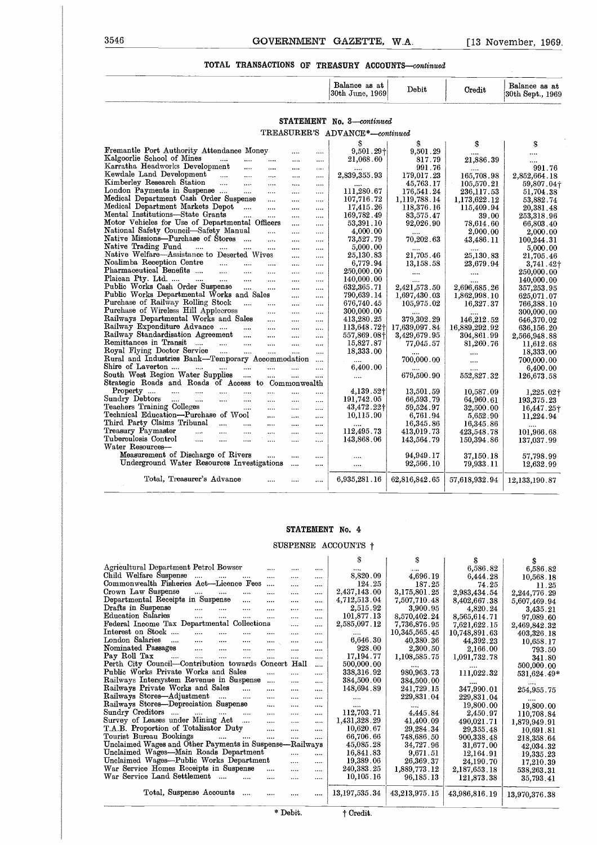# 3546 **GOVERNMENT GAZETTE, W.A.** [13 November, 1969]<br>TOTAL TRANSACTIONS OF TREASURY ACCOUNTS—continued **TOTAL TRANSACTIONS OF TREASURY ACCOUNTS—continued**

|                                       | Balance<br>at<br>aв<br> 30th<br>1969<br>June  | Debit | Credit     | Balance<br>88<br>.at<br>30th<br>1969<br>Sept., |
|---------------------------------------|-----------------------------------------------|-------|------------|------------------------------------------------|
| <b>The Color</b><br><b>The Monter</b> | <b><i><u>CONTRACTOR COMMUNICATION</u></i></b> |       | __________ |                                                |

#### **STATEMENT** No. 3—continued TREASURER'S ADVANCE\*-continued

| $3546\,$                                                                              |                       |          |           | GOVERNMENT GAZETTE. W.A.         |                            |                        | $[13$ November, 1969              |
|---------------------------------------------------------------------------------------|-----------------------|----------|-----------|----------------------------------|----------------------------|------------------------|-----------------------------------|
| TOTAL TRANSACTIONS OF TREASURY ACCOUNTS-continued                                     |                       |          |           |                                  |                            |                        |                                   |
|                                                                                       |                       |          |           | Balance as at<br>30th June, 1969 | Debit                      | Credit                 | Balance as at<br>30th Sept., 1969 |
|                                                                                       |                       |          |           |                                  |                            |                        |                                   |
|                                                                                       |                       |          |           | <b>STATEMENT</b> No. 3-continued |                            |                        |                                   |
|                                                                                       |                       |          |           | TREASURER'S ADVANCE*-continued   |                            |                        |                                   |
|                                                                                       |                       |          |           | S                                | S                          | \$                     | S                                 |
| Fremantle Port Authority Attendance Money                                             |                       | $\cdots$ | $\cdots$  | $9,501.29+$                      | 9,501.29                   |                        |                                   |
| Kalgoorlie School of Mines<br>$\sim$ $\sim$                                           | $\cdots$              | $\cdots$ | $\cdots$  | 21,068.60                        | 817.79                     | 21,886.39              | $\cdots$                          |
| Karratha Headworks Development<br><br>Kewdale Land Development                        | $\cdots$              | $\cdots$ | $\cdots$  |                                  | 991.76                     |                        | 991.76                            |
| $\cdots$<br>Kimberley Research Station                                                | $\cdots$              | $\cdots$ | $\cdots$  | 2,839,355.93                     | 179,017.23                 | 165,708.98             | 2,852,664.18                      |
| $\dddotsc$<br>$\cdots$<br>London Payments in Suspense                                 |                       | $\cdots$ | $\cdots$  |                                  | 45,763.17                  | 105,570.21             | 59,807.04+                        |
| $\cdots$<br>Medical Department Cash Order Suspense                                    | $\cdots$              | $\cdots$ | $\cdots$  | 111,280.67                       | 176,541.24                 | 236,117.53             | 51,704.38                         |
| Medical Department Markets Depot<br>$\mathbf{r}$                                      | $\cdots$              | $\cdots$ | $\cdots$  | 107,716.72<br>17,415.26          | 1,119,788.14<br>118,376.16 | 1,173,622.12           | 53,882.74                         |
| Mental Institutions-State Grants<br>$\cdots$                                          | $\cdots$<br>$\cdots$  | $\cdots$ | $\cdots$  | 169,782.49                       | 83,575.47                  | 115,409.94             | 20,381.48                         |
| Motor Vehicles for Use of Departmental Officers                                       |                       | <br>     | <br>      | 53,391.10                        | 92,026.90                  | 39.00<br>78,614.60     | 253,318.96<br>66,803.40           |
| National Safety Council-Safety Manual                                                 | $\ddotsc$             |          |           | 4,000.00                         |                            | 2,000.00               | 2,000.00                          |
| Native Missions-Purchase of Stores                                                    | $\cdots$              |          |           | 73,527.79                        | 70,202.63                  | 43,486.11              | 100.244.31                        |
| Native Trading Fund<br>$\cdots$<br>$\cdots$                                           |                       | $\cdots$ | $\cdots$  | 5,000.00                         |                            |                        | 5,000.00                          |
| Native Welfare-Assistance to Deserted Wives                                           |                       | $\cdots$ | $\cdots$  | 25,130.83                        | 21,705.46                  | 25,130.83              | 21,705.46                         |
| Noalimba Reception Centre<br>$\mathbf{r}$<br>$\cdots$                                 |                       | $\cdots$ | $\cdots$  | 6.779.94                         | 13.158.58                  | 23,679.94              | $3,741.42$ <sup>†</sup>           |
| Pharmaceutical Benefits<br>$\cdots$<br>$\cdots$                                       | $\cdots$              | $\cdots$ |           | 250,000.00                       | $\cdots$                   |                        | 250,000.00                        |
| Plaican Pty. Ltd.<br><b>Contractor</b><br>$\cdots$<br>$\cdots$                        | $\cdots$              | $\cdots$ | $\cdots$  | 140,000.00                       | $\cdots$                   | $\cdots$               | 140,000.00                        |
| Public Works Cash Order Suspense<br>$\cdots$                                          |                       | $\cdots$ | $\cdots$  | 632, 365.71                      | 2,421,573.50               | 2,696,685.26           | 357,253.95                        |
| Public Works Departmental Works and Sales                                             |                       | $\cdots$ | $\ldots$  | 790,639.14                       | 1,697,430.03               | 1,862,998.10           | 625,071.07                        |
| Purchase of Railway Rolling Stock<br>Purchase of Wireless Hill Applecross<br>$\cdots$ | $\cdots$              |          | $\cdots$  | 676,740.45                       | 105,975.02                 | 16,327.37              | 766,388.10                        |
|                                                                                       | $\cdots$              |          | $\cdots$  | 300,000.00                       |                            |                        | 300,000.00                        |
| Railways Departmental Works and Sales                                                 | $\cdots$              | $\ldots$ | $\cdots$  | 413,280.25                       | 379,302.29                 | 146,212.52             | 646,370.02                        |
| Railway Expenditure Advance<br>$\cdots$                                               | $\cdots$              | $\cdots$ | $\ldots$  | 113,648.72†                      | 17,639,097.84              | 16,889,292.92          | 636,156.20                        |
| Railway Standardisation Agreement<br>$\ldots$                                         | $\cdots$              |          |           | 557,869.08†                      | 3,429,679.95               | 304,861.99             | 2,566,948.88                      |
| Remittances in Transit<br>$\mathbf{r}$ and $\mathbf{r}$<br>$\cdots$                   | $\cdots$              |          |           | 15,827.87                        | 77,045.57                  | 81,260.76              | 11,612.68                         |
| Royal Flying Doctor Service<br>$\sim$<br>$\cdots$                                     |                       |          | $\cdots$  | 18,333.00                        |                            |                        | 18,333.00                         |
| Rural and Industries Bank-Temporary Accommodation                                     |                       |          | $\cdots$  | $\cdots$                         | 700,000.00                 |                        | 700,000.00                        |
| Shire of Laverton<br>and the mail<br>$\cdots$                                         |                       |          | $\cdots$  | 6,400.00                         |                            |                        | 6,400.00                          |
| South West Region Water Supplies<br>$\cdots$                                          |                       | $\cdots$ |           | $\cdots$                         | 679,500.90                 | 552,827.32             | 126,673.58                        |
| Strategic Roads and Roads of Access to Commonwealth                                   |                       |          |           |                                  |                            |                        |                                   |
| Property<br>$\cdots$<br>$\cdots$<br>$\cdots$<br>$\cdots$                              | $\cdots$              | $\cdots$ | $\cdots$  | 4,139.52†                        | 13,501.59                  | 10,587.09              | $1,225.02\dagger$                 |
| Sundry Debtors<br><b>Contract</b><br>$\sim$ 1000 $\mu$<br>$\cdots$<br>$\cdots$        | $\cdots$              | $\cdots$ |           | 191,742.05                       | 66,593.79                  | 64,960.61              | 193,375.23                        |
| Teachers Training Colleges<br>$\cdots$<br>Technical Education---Purchase of Wool      |                       | $\cdots$ |           | 43,472.22+                       | 59,524.97                  | 32,500.00              | 16,447.25+                        |
| Third Party Claims Tribunal<br>$\ldots$                                               | $\cdots$              | $\cdots$ |           | 10,115.90                        | 6,761.94                   | 5,652.90               | 11,224.94                         |
| $\cdots$<br>Treasury Paymaster<br>$\cdots$                                            | $\cdots$              |          |           |                                  | 16,345.86                  | 16,345.86              |                                   |
| $\cdots$<br>$\cdots$<br>Tuberculosis Control<br>$\cdots$<br>$\cdots$<br>$\cdots$      | $\cdots$<br>$\ddotsc$ | $\cdots$ | $\cdots$  | 112,495.73<br>143,868.06         | 413,019.73                 | 423,548.78             | 101,966.68                        |
| Water Resources-                                                                      |                       | $\cdots$ | $\ddotsc$ |                                  | 143,564.79                 | 150,394.86             | 137,037.99                        |
| Measurement of Discharge of Rivers                                                    | $\cdots$              |          |           |                                  | 94,949.17                  |                        |                                   |
| Underground Water Resources Investigations                                            |                       | <br>     | <br>      |                                  | 92,566.10                  | 37,150.18<br>79,933.11 | 57,798.99<br>12,632.99            |
|                                                                                       |                       |          |           |                                  |                            |                        |                                   |
| Total, Treasurer's Advance                                                            |                       |          |           | 6,935,281.16                     | 62,816,842.65              | 57,618,932.94          | 12,133,190.87                     |

#### **STATEMENT No. 4**

#### SUSPENSE ACCOUNTS  $\dagger$

|                                                                             |                      | STATEMENT No. 4     |               |                      |               |
|-----------------------------------------------------------------------------|----------------------|---------------------|---------------|----------------------|---------------|
|                                                                             |                      | SUSPENSE ACCOUNTS + |               |                      |               |
|                                                                             |                      | \$                  | S             | S                    | s             |
| Agricultural Department Petrol Bowser<br>$\cdots$                           | $\cdots$             | $\cdots$            | $\cdots$      | 6,586.82             | 6,586.82      |
| Child Welfare Suspense<br>$\cdots$<br>$\cdots$<br>$\cdots$<br>$\cdots$      | <br>$\cdots$         | 8,820.09            | 4,696.19      | 6,444.28             | 10,568.18     |
| Commonwealth Fisheries Act-Licence Fees<br>$\cdots$                         | <br>                 | 124.25              | 187.25        | 74.25                | 11.25         |
| Crown Law Suspense<br><br>$\cdots$<br>$\cdots$<br>$\cdots$                  | <br>$\cdots$         | 2,437,143.00        | 3,175,801.25  | 2,983,434.54         | 2,244,776.29  |
| Departmental Receipts in Suspense<br>$\cdots$<br>$\cdots$                   | <br>$\cdots$         | 4,712,513.04        | 7.507.710.48  | 8,402,667.38         | 5,607,469.94  |
| Drafts in Suspense<br>$\cdots$<br>$\cdots$<br>$\cdots$<br>$\cdots$          | <br>$\cdots$         | 2,515.92            | 3,900.95      | 4,820.24             | 3,435.21      |
| Education Salaries<br>$\cdots$<br>$\cdots$<br>$\cdots$<br>$\cdots$          | <br>$\cdots$         | 101,877.13          | 8,570,402.24  | 8,565,614.71         | 97,089.60     |
| Federal Income Tax Departmental Collections                                 | $\cdots$<br>$\cdots$ | 2,585,097.12        | 7,736,876.95  | 7,621,622.15         | 2,469,842.32  |
| Interest on Stock<br>$\cdots$<br>$\cdots$<br><br>$\cdots$                   | <br>$\cdots$         | $\cdots$            | 10,345,565.45 | 10,748,891.63        | 403,326.18    |
| London Salaries<br>$\cdots$<br>$\cdots$<br>$\cdots$<br>$\cdots$<br>$\cdots$ | $\cdots$<br>$\cdots$ | 6,646.30            | 40.380.36     | 44,392.23            | 10,658.17     |
| Nominated Passages<br>$\mathbf{1}$<br>$\cdots$<br>$\cdots$<br>              | $\cdots$<br>$\cdots$ | 928.00              | 2.300.50      | 2,166.00             | 793.50        |
| Pay Roll Tax<br>$\cdots$<br>$\cdots$<br>$\cdots$<br>$\cdots$<br>$\cdots$    | <br>$\cdots$         | 17,194.77           | 1,108,585.75  | 1,091,732.78         | 341.80        |
| Perth City Council-Contribution towards Concert                             | Hall<br>$\cdots$     | 500,000.00          |               |                      | 500,000.00    |
| Public Works Private Works and Sales<br>$\cdots$                            | <br>$\cdots$         | 338,316.92          | 980,963.73    | 111,022.32           | 531,624.49*   |
| Railways Intersystem Revenue in Suspense<br>$\cdots$                        | $\cdots$<br>$\cdots$ | 384,500.00          | 384,500.00    | $\cdots$             | $\cdots$      |
| Railways Private Works and Sales<br>$\cdots$<br>$\cdots$                    | $\cdots$<br>$\cdots$ | 148,694.89          | 241,729.15    | 347,990.01           | 254,955.75    |
| Railways Stores-Adjustment<br>$\cdots$<br>$\cdots$<br>$\cdots$              | $\cdots$<br>$\cdots$ | $\cdots$            | 229,831.04    | 229,831.04           | $\cdots$      |
| Railways Stores-Depreciation Suspense<br>$\cdots$                           | $\cdots$<br>$\cdots$ | $\cdots$            |               | 19,800.00            | 19,800.00     |
| Sundry Creditors<br>$\sim$<br>$\cdots$<br>$\cdots$<br>$\cdots$              | $\cdots$<br>$\cdots$ | 112,703.71          | 4,445.84      | 2,450.97             | 110,708.84    |
| Survey of Leases under Mining Act<br>$\sim$ 1000 $\sim$<br>$\cdots$         | $\cdots$<br>$\cdots$ | 1,431,328.29        | 41,400.09     | 490.021.71           | 1,879,949.91  |
| T.A.B. Proportion of Totalisator Duty<br>$\cdots$                           | $\cdots$<br>$\cdots$ | 10.620.67           | 29,284.34     | 29.355.48            | 10,691.81     |
| Tourist Bureau Bookings<br>$\cdots$<br>$\cdots$<br>$\cdots$                 | $\cdots$<br>$\cdots$ | 66,706.66           | 748,686.50    | 900, 338, 48         | 218,358.64    |
| Unclaimed Wages and Other Payments in Suspense-Railways                     |                      | 45,085.28           | 34,727.96     | 31,677,00            | 42,034.32     |
| Unclaimed Wages-Main Roads Department                                       | $\cdots$<br>         | 16,841.83           | 9,671.51      | 12,164.91            | 19,335.23     |
| Unclaimed Wages-Public Works Department                                     | $\cdots$<br>$\cdots$ | 19,389.06           | 26,369.37     | 24,190.70            | 17,210.39     |
| War Service Homes Receipts in Suspense<br>$\cdots$                          | $\cdots$<br>         | 240, 383, 25        | 1,889,773.12  | $2{,}187{,}653{,}18$ | 538,263,31    |
| War Service Land Settlement<br>$\cdots$<br>$\mathbf{r}$<br>$\cdots$         | <br>                 | 10,105.16           | 96,185.13     | 121,873.38           | 35,793.41     |
| Total, Suspense Accounts<br>$\cdots$                                        | <br>                 | 13,197,535.34       | 43,213,975.15 | 43,986,816.19        | 13,970,376.38 |
|                                                                             | * Debit.             | † Credit.           |               |                      |               |
|                                                                             |                      |                     |               |                      |               |
|                                                                             |                      |                     |               |                      |               |
|                                                                             |                      |                     |               |                      |               |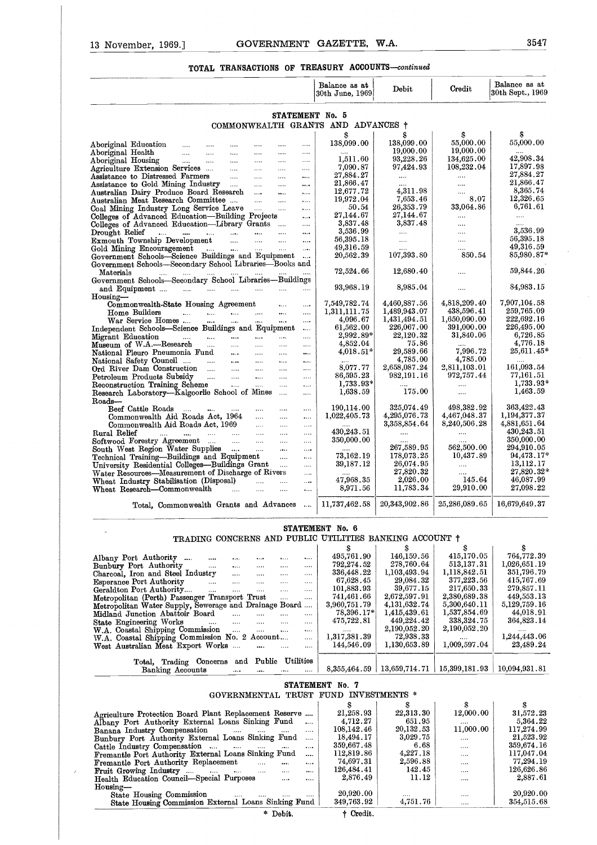#### **TOTAL TRANSACTIONS OF TREASURY ACCOUNTS—continued**

| 13 November, 1969.]                                                                                           |                               |                                         |                                           |                                                |                        |                      | GOVERNMENT GAZETTE, W.A.                |                              |                              | 3547                              |
|---------------------------------------------------------------------------------------------------------------|-------------------------------|-----------------------------------------|-------------------------------------------|------------------------------------------------|------------------------|----------------------|-----------------------------------------|------------------------------|------------------------------|-----------------------------------|
|                                                                                                               |                               |                                         |                                           |                                                | TOTAL TRANSACTIONS OF  |                      | TREASURY ACCOUNTS-continued             |                              |                              |                                   |
|                                                                                                               |                               |                                         |                                           |                                                |                        |                      | Balance as at<br>30th June, 1969        | Debit                        | Credit                       | Balance as at<br>30th Sept., 1969 |
|                                                                                                               |                               |                                         |                                           |                                                |                        |                      | STATEMENT No. 5                         |                              |                              |                                   |
|                                                                                                               |                               |                                         |                                           |                                                |                        |                      | COMMONWEALTH GRANTS AND ADVANCES +<br>Ś | S                            | S                            | s                                 |
| Aboriginal Education                                                                                          | $\cdots$                      | $\cdots$                                | $\cdots$                                  | $\cdots$                                       | $\cdots$               | $\ldots$ .           | 138,099.00                              | 138,099.00                   | 55,000.00                    | 55,000.00                         |
| Aboriginal Health<br>Aboriginal Housing                                                                       | <b>County</b><br><b>Sales</b> | $\sim 100$<br><b>Service</b>            | $\cdots$<br>$\cdots$                      | $\cdots$<br>$\cdots$                           | $\cdots$<br>$\sim 100$ | $\cdots$<br>$\cdots$ | 1,511.60                                | 19,000.00<br>93,228.26       | 19,000.00<br>134,625.00      | $\ldots$<br>42,908.34             |
| Agriculture Extension Services                                                                                |                               |                                         | $\sim 100$ and $\sim 100$                 | $\sim 10^{-11}$                                | $\cdots$               | $\cdots$             | $7,\!090.87$                            | 97,424.93                    | 108,232.04                   | 17,897.98                         |
| Assistance to Distressed Farmers                                                                              |                               |                                         | $\sim 1000$                               | $\cdots$                                       | $\ldots$ .             | $\cdots$             | 27,884.27                               | $\cdots$                     | $\sim$                       | 27,884.27                         |
| Assistance to Gold Mining Industry<br>Australian Dairy Produce Board Research                                 |                               |                                         |                                           | <b>Section</b>                                 | $\sim 100$<br>$\cdots$ | $\cdots$<br>$\cdots$ | 21,866.47<br>12,677.72                  | $\cdots$<br>4,311.98         | $\cdots$                     | 21,866.47<br>8,365.74             |
| Australian Meat Research Committee                                                                            |                               |                                         |                                           | $\mathbf{r}$                                   | $\sim 10$              | $\cdots$             | 19,972.04                               | 7,653.46                     | 8.07                         | 12,326.65                         |
| Coal Mining Industry Long Service Leave                                                                       |                               |                                         |                                           | $\sim 10^{11}$ m $^{-1}$                       | $\cdots$               | $\cdots$             | 50.54                                   | 26,353.79                    | 33,064.86                    | 6,761.61                          |
| Colleges of Advanced Education-Building Projects<br>Colleges of Advanced Education-Library Grants             |                               |                                         |                                           |                                                |                        | $\cdots$             | 27,144.67<br>3,837.48                   | 27,144.67<br>3,837.48        | $\cdots$                     | $\cdots$                          |
| Drought Relief<br>$\Delta\Delta\Delta\approx 0.01$                                                            | $\cdots$                      |                                         | <b>Service Contract Contract Contract</b> | $\cdots$                                       | $\cdots$               | $\cdots$<br>$\cdots$ | 3,536.99                                | $\cdots$                     | $\sim 100$<br>$\cdots$       | $\cdots$<br>3,536.99              |
| Exmouth Township Development                                                                                  |                               |                                         | $\sim$                                    | $\sim 10^{-1}$                                 | $\cdots$               | $\cdots$             | 56,395.18                               |                              | $\cdots$                     | 56,395.18                         |
| Gold Mining Encouragement                                                                                     |                               | $\sim$ 1000 $\sim$                      | $\cdots$                                  | $\cdots$                                       | $\cdots$               | $\cdots$             | 49,316.59                               | $\cdots$<br>107,393.80       | $\cdots$<br>850.54           | 49,316.59<br>85,980.87*           |
| Government Schools-Science Buildings and Equipment<br>Government Schools-Secondary School Libraries-Books and |                               |                                         |                                           |                                                |                        | $\cdots$             | 20,562.39                               |                              |                              |                                   |
| Materials                                                                                                     |                               |                                         |                                           | $\cdots$                                       |                        | $\cdots$             | 72,524.66                               | 12,680.40                    | $\cdots$                     | 59,844.26                         |
| Government Schools-Secondary School Libraries-Buildings                                                       |                               |                                         |                                           |                                                |                        |                      | 93,968.19                               | 8,985.04                     |                              | 84,983.15                         |
| and Equipment<br>Housing-                                                                                     | <b>Sales Communications</b>   |                                         |                                           | $\ldots$                                       | $\sim$                 | .                    |                                         |                              | $\cdots$                     |                                   |
| Commonwealth-State Housing Agreement                                                                          |                               |                                         |                                           |                                                | $\cdots$               | $\cdots$             | 7,549,782.74                            | 4,460,887.56                 | 4,818,209.40                 | 7,907,104.58                      |
| Home Builders                                                                                                 | $\ddotsc$                     | $\ldots$                                | $\cdots$                                  | $\cdots$                                       | $\cdots$               |                      | 1,311,111.75<br>4,096.67                | 1,489,943.07<br>1,431,494.51 | 438,596.41<br>1,650,090.00   | 259,765.09<br>222,692.16          |
| War Service Homes<br>Independent Schools-Science Buildings and Equipment                                      |                               | $\ldots$                                | $\cdots$                                  | $\cdots$                                       | $\cdots$               | $\cdots$<br>$\cdots$ | 61,562.00                               | 226,067.00                   | 391,000.00                   | 226,495.00                        |
| Migrant Education                                                                                             |                               | $\ldots$                                | $\cdots$                                  | $\mathbf{r}$ and $\mathbf{r}$ and $\mathbf{r}$ | $\cdots$               | $\cdots$             | $2,992.89*$                             | 22,120.32                    | 31,840.06                    | 6,726.85                          |
| Museum of W.A.-Research                                                                                       |                               |                                         | $\cdots$                                  | $\cdots$                                       | $\cdots$               | $\cdots$             | 4,852.04                                | 75.86<br>29,589.66           | 7,996.72                     | 4,776.18<br>25,611.45*            |
| National Pleuro Pneumonia Fund<br>National Safety Council                                                     |                               | $\sim 100$ km $^{-1}$                   | $\cdots$<br>$\cdots$                      | $\cdots$                                       | $\cdots$<br>$\cdots$   | <br>                 | $4,018.51*$                             | 4,785.00                     | 4,785.00                     |                                   |
| Ord River Dam Construction                                                                                    |                               | $\sim 100$                              | $\ldots$ .                                | $\cdots$                                       |                        |                      | 8,077.77                                | 2,658,087.24                 | 2,811,103.01                 | 161,093.54                        |
| Petroleum Products Subsidy                                                                                    |                               | $\sim 100$                              | $\cdots$                                  | $\ddotsc$                                      |                        | $\cdots$             | 86,595.23                               | 982,191.16                   | 972,757.44                   | 77,161.51                         |
| Reconstruction Training Scheme<br>Research Laboratory-Kalgoorlie School of Mines                              |                               |                                         |                                           | $\cdots$                                       | $\cdots$<br>$\ldots$   | .<br>                | 1,733.93*<br>1,638.59                   | 175.00                       | $\sim$<br>$\cdots$           | $1,733.93*$<br>1,463.59           |
| $\bf{Roads}-$                                                                                                 |                               |                                         |                                           |                                                |                        |                      |                                         |                              |                              |                                   |
| Beef Cattle Roads                                                                                             | $\cdots$                      |                                         |                                           | $\cdots$                                       | $\cdots$               | $\cdots$             | 190,114.00                              | 325,074.49                   | 498,382.92                   | 363,422.43                        |
| Commonwealth Aid Roads Act, 1964                                                                              |                               |                                         |                                           | $\cdots$                                       | $\cdots$<br>$\cdots$   | $\ldots$             | 1,022,405.73                            | 4,295,076.73<br>3,358,854.64 | 4,467,048.37<br>8,240,506.28 | 1,194,377.37<br>4,881,651.64      |
| Commonwealth Aid Roads Act, 1969<br>Rural Relief<br><b>Sales Controller</b>                                   | $\cdots$                      | المتناول المتناور                       |                                           | $\cdots$<br>$\sim$                             | $\cdots$               | $\cdots$<br>$\cdots$ | $\alpha$ and $\alpha$<br>430,243.51     | $\dots$                      | $\cdots$                     | 430,243.51                        |
| Softwood Forestry Agreement                                                                                   |                               |                                         |                                           | $\cdots$                                       | $\cdots$               | $\cdots$             | 350,000.00                              | $\cdots$                     | $\cdots$                     | 350,000.00                        |
| South West Region Water Supplies<br>Technical Training-Buildings and Equipment                                |                               |                                         |                                           | $\cdots$                                       | $\ldots$<br>$\cdots$   | $\cdots$             | $\cdots$<br>73,162.19                   | 267,589.95<br>178,073.25     | 562,500.00<br>10,437.89      | 294,910.05<br>94,473.17*          |
| University Residential Colleges-Buildings Grant                                                               |                               |                                         |                                           |                                                | $\cdots$               | $\ldots$<br>$\cdots$ | 39,187.12                               | 26,074.95                    | $\cdots$                     | 13.112.17                         |
| Water Resources-Measurement of Discharge of Rivers                                                            |                               |                                         |                                           |                                                |                        | $\cdots$             | $\sim 100$                              | 27,820.32                    |                              | $27,820.32*$                      |
| Wheat Industry Stabilisation (Disposal)<br>Wheat Research-Commonwealth                                        |                               |                                         | $\ddotsc$                                 | $\sim$<br>in in                                | <br>                   | $\cdots$             | 47,968.35<br>8,971.56                   | 2,026.00<br>11,783.34        | 145.64<br>29,910.00          | 46,087.99<br>27,098.22            |
|                                                                                                               |                               | Total, Commonwealth Grants and Advances |                                           |                                                |                        | $\ddotsc$            |                                         | 20,343,902.86                | 25,286,089.65                | 16,679,649.37                     |

#### **STATEMENT** No. 8

#### TRADING CONCERNS AND PUBLIC UTILITIES BANKING ACCOUNT t

| Technical Training-Buildings and Equipment<br>$\cdots$<br>$\cdots$                | 73,162.19       | 178,073.25    | 10,437.89                                      | 94,473.17     |
|-----------------------------------------------------------------------------------|-----------------|---------------|------------------------------------------------|---------------|
| University Residential Colleges-Buildings Grant<br>$\cdots$<br>$\cdots$           | 39,187.12       | 26,074.95     |                                                | 13,112.17     |
| Water Resources-Measurement of Discharge of Rivers<br>$\cdots$                    | 1.1111          | 27,820.32     |                                                | 27,820.32     |
| Wheat Industry Stabilisation (Disposal)<br>$\cdots$<br>$\cdots$                   | 47,968,35       | 2,026.00      | 145.64                                         | 46,087.99     |
| Wheat Research-Commonwealth<br>$\cdots$<br>$\cdots$<br><br>$\cdots$               | 8,971.56        | 11,783.34     | 29,910.00                                      | 27,098.22     |
| Total, Commonwealth Grants and Advances<br>$\cdots$                               | 11,737,462.58   | 20,343,902.86 | 25,286,089.65                                  | 16,679,649.37 |
|                                                                                   | STATEMENT No. 6 |               |                                                |               |
| TRADING CONCERNS AND PUBLIC UTILITIES BANKING ACCOUNT +                           |                 |               |                                                |               |
|                                                                                   | \$              | s             | S                                              | S             |
| Albany Port Authority<br><br>                                                     | 495,761.90      | 146,159.56    | 415,170.05                                     | 764,772.39    |
| Bunbury Port Authority<br>$\cdots$<br>$\cdots$<br><br>                            | 792,274.52      | 278,760.64    | 513,137.31                                     | 1,026,651.19  |
| Charcoal, Iron and Steel Industry<br>$\cdots$<br><br>$\cdots$<br>                 | 336,448.22      | l,103,493.94  | 1,118,842.51                                   | 351,796.79    |
| <b>Esperance Port Authority</b><br>$\cdots$<br><br><br><br>                       | 67,628.45       | 29,084.32     | 377,223.56                                     | 415,767.69    |
| Geraldton Port Authority<br><br>$\cdots$<br><br>.<br>                             | 101,883.93      | 39,677.15     | 217,650.33                                     | 279,857.11    |
| Metropolitan (Perth) Passenger Transport Trust<br><br>$\cdots$                    | 741,461.66      | 2,672,597.91  | 2,380,689.38                                   | 449,553.13    |
| Metropolitan Water Supply, Sewerage and Drainage Board                            | 3,960,751.79    | 4,131,632.74  | 5,300,640.11                                   | 5,129,759.16  |
| Midland Junction Abattoir Board<br>$\cdots$<br><br><br>                           | 78,396.17*      | 1,415,439.61  | 1,537,854.69                                   | 44,018.91     |
| State Engineering Works<br><b>Contract</b><br>$\sim$ . $\sim$<br>$\cdots$<br><br> | 475,722.81      | 449,224.42    | 338, 324, 75                                   | 364.823.14    |
| W.A. Coastal Shipping Commission<br>$\cdots$<br>$\cdots$<br>$\cdots$<br>$\cdots$  |                 | 2,190,052.20  | 2,190,052.20                                   |               |
| W.A. Coastal Shipping Commission No. 2 Account<br>.                               | 1,317,381.39    | 72,938.33     | 1.111                                          | 1,244,443.06  |
| West Australian Meat Export Works<br>                                             | 144,546.09      | 1,130,653.89  | 1,009,597.04                                   | 23,489.24     |
| Utilities<br>Public<br>and<br>Total, Trading Concerns                             |                 |               |                                                |               |
| Banking Accounts<br>$\cdots$<br>$\cdots$<br>.                                     |                 |               | $8,355,464.59$   13,659,714.71   15,399,181.93 | 10.094.931.81 |

#### **STATEMENT** No. 7

#### GOVERNMENTAL TRUST FUND INVESTMENTS \*

| Total, Trading Concerns and Public Utilities<br>$8,355,464.59 \mid 13,659,714.71 \mid 15,399,181.93$<br>Banking Accounts<br>$\cdots$<br>$\cdots$<br>$\cdots$<br>.<br>STATEMENT No. 7<br>TRUST FUND INVESTMENTS *<br>GOVERNMENTAL<br>\$<br>\$<br>s<br>22,313.30<br>21,258.93<br>12,000.00<br>Agriculture Protection Board Plant Replacement Reserve                                                                                                                                                                                          | 10.094.931.81<br>\$ |
|---------------------------------------------------------------------------------------------------------------------------------------------------------------------------------------------------------------------------------------------------------------------------------------------------------------------------------------------------------------------------------------------------------------------------------------------------------------------------------------------------------------------------------------------|---------------------|
|                                                                                                                                                                                                                                                                                                                                                                                                                                                                                                                                             |                     |
|                                                                                                                                                                                                                                                                                                                                                                                                                                                                                                                                             |                     |
|                                                                                                                                                                                                                                                                                                                                                                                                                                                                                                                                             |                     |
|                                                                                                                                                                                                                                                                                                                                                                                                                                                                                                                                             |                     |
|                                                                                                                                                                                                                                                                                                                                                                                                                                                                                                                                             | 31,572.23           |
| 4,712.27<br>651.95<br>Albany Port Authority External Loans Sinking Fund<br>$\cdots$<br>$\cdots$                                                                                                                                                                                                                                                                                                                                                                                                                                             | 5,364.22            |
| 20.132.53<br>11,000.00<br>108,142.46<br>Banana Industry Compensation<br>$\label{eq:1} \mathbf{1}_{\mathbf{1}_{\mathbf{2}}\mathbf{1}_{\mathbf{3}}\mathbf{1}_{\mathbf{4}}\mathbf{1}_{\mathbf{5}}\mathbf{1}_{\mathbf{6}}\mathbf{1}_{\mathbf{7}}\mathbf{1}_{\mathbf{8}}\mathbf{1}_{\mathbf{8}}\mathbf{1}_{\mathbf{9}}\mathbf{1}_{\mathbf{1}}\mathbf{1}_{\mathbf{1}}\mathbf{1}_{\mathbf{1}}\mathbf{1}_{\mathbf{1}}\mathbf{1}_{\mathbf{1}}\mathbf{1}_{\mathbf{1}}\mathbf{1}_{\mathbf{1}}\mathbf{1}_{\mathbf{1}}\mathbf$<br>$\sim 100$<br>$\cdots$ | 117,274.99          |
| 18,494.17<br>3,029.75<br>Bunbury Port Authority External Loans Sinking Fund<br>$\cdots$<br>$\cdots$                                                                                                                                                                                                                                                                                                                                                                                                                                         | 21,523.92           |
| 6.68<br>359,667.48<br>Cattle Industry Compensation<br>$\cdots$<br><b>Sales Contract Contract</b><br>$\cdots$<br>$\cdots$                                                                                                                                                                                                                                                                                                                                                                                                                    | 359,674.16          |
| 4,227.18<br>112,819.86<br>Fremantle Port Authority External Loans Sinking Fund<br>$\cdots$<br>                                                                                                                                                                                                                                                                                                                                                                                                                                              | 117,047.04          |
| 2,596.88<br>74,697.31<br>Fremantle Port Authority Replacement<br>$\cdots$<br><br>$\cdots$<br>                                                                                                                                                                                                                                                                                                                                                                                                                                               | 77,294.19           |
| 142.45<br>126,484.41<br>Fruit Growing Industry<br>$\cdots$<br>$\cdots$<br>                                                                                                                                                                                                                                                                                                                                                                                                                                                                  | 126,626.86          |
| 2,876.49<br>11.12<br>Health Education Council-Special Purposes<br>$\cdots$<br>$\cdots$<br>$\cdots$                                                                                                                                                                                                                                                                                                                                                                                                                                          | 2,887.61            |
| $Housing-$                                                                                                                                                                                                                                                                                                                                                                                                                                                                                                                                  |                     |
| 20,920.00<br>State Housing Commission<br><br><br>                                                                                                                                                                                                                                                                                                                                                                                                                                                                                           | 20,920.00           |
| 4,751.76<br>State Housing Commission External Loans Sinking Fund<br>349,763.92<br>                                                                                                                                                                                                                                                                                                                                                                                                                                                          | 354,515.68          |
| † Credit.<br>* Debit.                                                                                                                                                                                                                                                                                                                                                                                                                                                                                                                       |                     |
|                                                                                                                                                                                                                                                                                                                                                                                                                                                                                                                                             |                     |
|                                                                                                                                                                                                                                                                                                                                                                                                                                                                                                                                             |                     |
|                                                                                                                                                                                                                                                                                                                                                                                                                                                                                                                                             |                     |
|                                                                                                                                                                                                                                                                                                                                                                                                                                                                                                                                             |                     |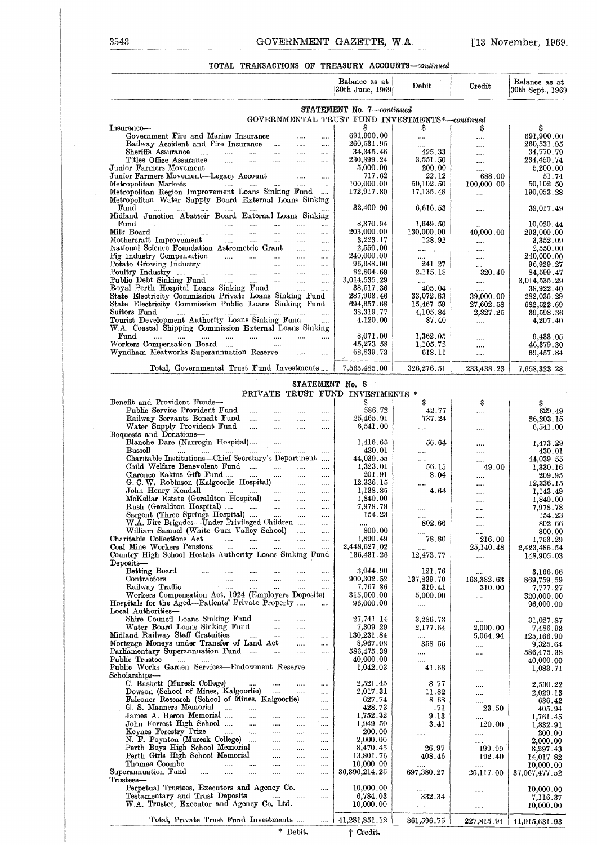# 3548 GOVERNMENT GAZETTE, W.A. [13 November, 1969]<br>TOTAL TRANSACTIONS OF TREASURY ACCOUNTS—continued **TOTAL TRANSACTIONS OF TREASURY ACCOUNTS--continued**

| 3548                                                                                                         |                             |                                                                     |                                                           |                             | GOVERNMENT GAZETTE, W.A.  |                                  | $[13$ November, 1969.                               |                        |                                   |
|--------------------------------------------------------------------------------------------------------------|-----------------------------|---------------------------------------------------------------------|-----------------------------------------------------------|-----------------------------|---------------------------|----------------------------------|-----------------------------------------------------|------------------------|-----------------------------------|
|                                                                                                              |                             |                                                                     |                                                           |                             |                           |                                  | TOTAL TRANSACTIONS OF TREASURY ACCOUNTS-continued   |                        |                                   |
|                                                                                                              |                             |                                                                     |                                                           |                             |                           | Balance as at<br>30th June, 1969 | Debit                                               | Credit                 | Balance as at<br>30th Sept., 1969 |
|                                                                                                              |                             |                                                                     |                                                           |                             |                           | STATEMENT No. 7-continued        |                                                     |                        |                                   |
| Insurance-                                                                                                   |                             |                                                                     |                                                           |                             |                           |                                  | GOVERNMENTAL TRUST FUND INVESTMENTS*-continued<br>S | S                      | s                                 |
| Government Fire and Marine Insurance                                                                         |                             |                                                                     |                                                           |                             |                           | 691,900.00                       |                                                     | $\cdots$               | 691,900.00                        |
| Railway Accident and Fire Insurance<br>Sheriffs Assurance<br>$\sim$ $\sim$                                   |                             |                                                                     | $\sim 100$                                                |                             | $\cdots$                  | 260,531.95<br>34, 345.46         | $\cdots$<br>425.33                                  | $\cdots$               | 260,531.95                        |
| Titles Office Assurance                                                                                      | $\cdots$<br>$\cdots$        | $\cdots$<br>$\cdots$                                                | $\cdots$<br>$\cdots$                                      | <br>                        | <br>                      | 230,899.24                       | 3,551.50                                            | $\cdots$               | 34,770.79<br>234,450.74           |
| Junior Farmers Movement                                                                                      |                             | $\sim$                                                              | $\cdots$                                                  | $\cdots$                    |                           | 5,000.00                         | 200.00                                              | $\cdots$               | 5,200.00                          |
| Junior Farmers Movement-Legacy Account<br>Metropolitan Markets<br>and the state of the state of the          |                             | and the                                                             |                                                           | <br>$\cdots$                | $\cdots$<br>$\cdots$      | 717.62<br>100,000.00             | 22.12<br>50,102.50                                  | 688.00<br>100,000.00   | 51.74<br>50,102.50                |
| Metropolitan Region Improvement Loans Sinking Fund<br>Metropolitan Water Supply Board External Loans Sinking |                             |                                                                     |                                                           |                             | $\cdots$                  | 172,917.80                       | 17,135.48                                           | $\cdots$               | 190,053.28                        |
| Fund<br>$\cdots$<br>$\cdots$<br><b>Contract</b><br>Midland Junction Abattoir Board External Loans Sinking    | $\cdots$                    | $\cdots$                                                            |                                                           |                             |                           | 32,400.96                        | 6,616.53                                            | $\cdots$               | 39,017.49                         |
| $\mathbf{Fund}$<br>$\cdots$<br>$\cdots$ $\cdots$<br>Milk Board<br>and the same                               | $\sim 10^{-11}$<br>$\cdots$ | <br>and .                                                           | <br>$\sim 100$                                            | <br>                        | .<br>                     | 8,370.94<br>203,000.00           | 1,649.50<br>130,000.00                              | $\cdots$<br>40,000.00  | 10,020.44<br>293,000.00           |
| $\operatorname{Motheraff}$ Improvement                                                                       | $\sim$                      |                                                                     |                                                           |                             |                           | 3,223.17                         | 128.92                                              | $\cdots$               | 3,352.09                          |
| National Science Foundation Astrometric Grant                                                                |                             |                                                                     |                                                           | $\cdots$                    | $\cdots$                  | 2,550,00                         | $\cdots$                                            | $\ldots$               | 2,550.00                          |
| Pig Industry Compensation<br>Potato Growing Industry<br>and the state of the                                 | <b>Section</b>              | <b>Service</b><br>and the                                           | $\sim 10^{-1}$<br>$\cdots$                                | $\cdots$                    | $\sim$ $\sim$<br>$\cdots$ | 240,000.00<br>96,688.00          | <br>241.27                                          | $\cdots$<br>$\cdots$   | 240,000.00<br>96,929.27           |
| Poultry Industry                                                                                             | <b>Service</b>              | $\sim 10^{11}$ m $^{-1}$                                            | $\cdots$                                                  | $\cdots$                    | $\cdots$                  | 82,804.69                        | 2.115.18                                            | 320.40                 | 84,599.47                         |
| Public Debt Sinking Fund<br>Royal Perth Hospital Loans Sinking Fund                                          | $\sim 100$ km s $^{-1}$     | $\Delta \Delta \Delta \Delta \Delta \Delta \Delta$                  | $\cdots$                                                  | and .<br>and a              | $\mathbf{r}$              | 3,014,535.29<br>38,517.36        | $\cdots$<br>405.04                                  | $\cdots$               | 3,014,535.29<br>38,922.40         |
| State Electricity Commission Private Loans Sinking Fund                                                      |                             |                                                                     |                                                           |                             |                           | 287,963.46                       | 33,072.83                                           | $\cdots$<br>39,000.00  | 282,036.29                        |
| State Electricity Commission Public Loans Sinking Fund                                                       |                             |                                                                     |                                                           |                             |                           | 694,657.68                       | 15,467.59                                           | 27,602.58              | 682,522.69                        |
| Suitors Fund<br>Tourist Development Authority Loans Sinking Fund                                             |                             |                                                                     |                                                           |                             | <br>.                     | 38,319.77<br>4,120.00            | 4,105.84<br>87.40                                   | 2,827.25<br>$\cdots$   | 39,598.36<br>4,207.40             |
| W.A. Coastal Shipping Commission External Loans Sinking                                                      |                             |                                                                     |                                                           |                             |                           |                                  |                                                     |                        |                                   |
| Fund<br><br>Workers Compensation Board                                                                       |                             | $\mathcal{L}_{\text{max}}$ and $\mathcal{L}_{\text{max}}$<br>aar in | $\sim$<br>$\cdots$                                        | $\cdots$<br>                | $\cdots$<br>              | 8,071.00<br>45,273.58            | 1,362.05<br>1,105.72                                | $\cdots$               | 9,433.05<br>46,379.30             |
| Wyndham Meatworks Superannuation Reserve                                                                     |                             |                                                                     |                                                           | $\cdots$                    | $\cdots$                  | 68,839.73                        | 618.11                                              | $\cdots$<br>           | 69,457.84                         |
| Total, Governmental Trust Fund Investments                                                                   |                             |                                                                     |                                                           |                             |                           | 7,565,485.00                     | 326,276.51                                          | 233,438.23             | 7,658,323.28                      |
|                                                                                                              |                             |                                                                     |                                                           |                             |                           | STATEMENT No. 8                  |                                                     |                        |                                   |
|                                                                                                              |                             |                                                                     |                                                           |                             |                           | PRIVATE TRUST FUND INVESTMENTS * |                                                     |                        |                                   |
| Benefit and Provident Funds-<br>Public Service Provident Fund                                                |                             |                                                                     |                                                           |                             |                           | s<br>586.72                      |                                                     | \$                     | S                                 |
| Railway Servants Benefit Fund                                                                                |                             | $\cdots$                                                            | $\cdots$                                                  |                             | <br>$\cdots$              | 25,465.91                        | 42.77<br>737.24                                     | .<br>                  | 629.49<br>26,203.15               |
| Water Supply Provident Fund                                                                                  |                             | $\cdots$                                                            | $\cdots$                                                  |                             |                           | 6,541.00                         | $\cdots$                                            | $\cdots$               | 6,541.00                          |
| Bequests and Donations-<br>Blanche Dare (Narrogin Hospital)                                                  |                             |                                                                     | $\sim$                                                    | $\cdots$                    |                           | 1,416.65                         | 56.64                                               |                        | 1,473.29                          |
| Bussell                                                                                                      |                             |                                                                     |                                                           |                             | $\cdots$                  | 430.01                           |                                                     | <br>$\cdots$           | 430.01                            |
| Charitable Institutions-Chief Secretary's Department<br>Child Welfare Benevolent Fund                        |                             |                                                                     |                                                           | $\cdots$                    |                           | 44,039.55<br>1,323.01            | $\cdots$                                            |                        | 44.039.55                         |
| Clarence Eakins Gift Fund                                                                                    |                             | $\sim 1000$ and $\sim 100$                                          | $\cdots$                                                  | $\cdots$                    | $\cdots$<br>              | 201.91                           | 56.15<br>8.04                                       | 49.00<br>              | 1,330.16<br>209.95                |
| G. C. W. Robinson (Kalgoorlie Hospital)                                                                      |                             |                                                                     |                                                           |                             |                           | 12,336.15                        |                                                     |                        | 12,336.15                         |
| John Henry Kendall<br>McKellar Estate (Geraldton Hospital)                                                   |                             | والتقطيع والمتقدم والتقييد والأراد                                  |                                                           | $\cdots$<br>$\sim$          | $\cdots$<br>$\cdots$      | 1,138.85<br>1,840.00             | 4.64<br>                                            | $\cdots$<br>           | 1,143.49<br>1,840.00              |
| Rush (Geraldton Hospital)                                                                                    |                             |                                                                     |                                                           |                             | $\cdots$                  | 7,978.78                         | $\cdots$                                            |                        | 7,978.78                          |
| Sargent (Three Springs Hospital)<br>W.A. Fire Brigades-Under Privileged Children                             |                             |                                                                     |                                                           |                             | $\cdots$<br>$\ldots$      | 154.23<br>$\sim 100$             | $\ldots$<br>802.66                                  |                        | 154.23<br>802.66                  |
| William Samuel (White Gum Valley School)                                                                     |                             |                                                                     |                                                           |                             | $\cdots$                  | 800.00                           |                                                     | <br>$\cdots$           | 800.00                            |
| Charitable Collections Act                                                                                   |                             | التبيد التبيان لتبدأ المنافس<br>المتناول المتناول                   |                                                           |                             | $\cdots$                  | 1,890.49<br>2,448,627 02         | 78.80                                               | 216.00                 | 1,753.29                          |
| Coal Mine Workers Pensions<br>Country High School Hostels Authority Loans Sinking Fund                       |                             |                                                                     | $\sim 10^{-10}$                                           | $\sim$ 1000 $\sim$          | $\cdots$                  | 136,431.26                       | 12,473.77                                           | 25,140.48<br>$\sim$    | 2,423,486 54<br>148,905.03        |
| $\mathbf{D}$ eposits—                                                                                        |                             |                                                                     |                                                           |                             |                           |                                  |                                                     |                        |                                   |
| Betting Board<br>Contractors                                                                                 |                             |                                                                     |                                                           |                             | $\cdots$<br>$\cdots$      | 3,044.90<br>900,302.52           | 121.76<br>137,839.70                                | $\cdots$<br>168,382.63 | 3,166.66<br>869,759.59            |
| Railway Traffic                                                                                              |                             |                                                                     | $\mathcal{L}_{\text{max}}$ and $\mathcal{L}_{\text{max}}$ | $\cdots$                    |                           | 7,767.86                         | 319.41                                              | 310.00                 | 7,777.27                          |
| Workers Compensation Act, 1924 (Employers Deposits)<br>Hospitals for the Aged-Patients' Private Property     |                             |                                                                     |                                                           |                             | $\cdots$                  | 315,000.00<br>96,000.00          | 5,000.00                                            | $\ldots$               | 320,000.00                        |
| Local Authorities-                                                                                           |                             |                                                                     |                                                           |                             |                           |                                  | $\cdots$                                            | $\cdots$               | 96,000.00                         |
| Shire Council Loans Sinking Fund                                                                             |                             |                                                                     |                                                           |                             | $\cdots$                  | 27,741.14<br>7,309.29            | 3,286.73                                            | $\sim$ .               | 31,027.87                         |
| Water Board Loans Sinking Fund<br>land Railway Staff Gratuities<br>Midland Railway Staff Gratuities          |                             |                                                                     |                                                           |                             | $\cdots$<br>$\cdots$      | 130,231.84                       | 2,177.64<br>$\cdots$                                | 2,000.00<br>5,064.94   | 7,486.93<br>125,166.90            |
| Mortgage Moneys under Transfer of Land Act                                                                   |                             |                                                                     |                                                           |                             | $\cdots$                  | 8,967.08                         | 358.56                                              | $\sim$ $\sim$          | 9,325.64                          |
| Parliamentary Superannuation Fund<br>Public Trustee<br>المتوارد المتناد المتوارد المتوارد المتوارد المتوارد  |                             |                                                                     |                                                           |                             | $\cdots$<br>$\cdots$      | 586,475.38<br>40,000.00          | $\cdots$<br>                                        | $\ldots$<br>$\cdots$   | 586,475.38<br>40,000.00           |
| Public Works Garden Services-Endowment Reserve                                                               |                             |                                                                     |                                                           |                             | $\cdots$                  | 1,042.03                         | 41.68                                               | $\cdots$               | 1,083.71                          |
| Scholarships—<br>C. Baskett (Muresk College)                                                                 |                             |                                                                     | $\ldots$ . $\ldots$ . $\ldots$                            |                             | $\cdots$                  | 2,521.45                         | 8.77                                                |                        |                                   |
| Dowson (School of Mines, Kalgoorlie)                                                                         |                             |                                                                     |                                                           |                             | $\cdots$                  | 2,017.31                         | 11.82                                               | <br>$\cdots$           | 2,530.22<br>2,029.13              |
| Falconer Research (School of Mines, Kalgoorlie)                                                              |                             |                                                                     |                                                           |                             | $\cdots$                  | 627.74                           | 8.68                                                |                        | 636.42                            |
| G. S. Manners Memorial<br>James A. Heron Memorial                                                            |                             |                                                                     |                                                           | $\sim$ . $\sim$<br>$\cdots$ | $\cdots$<br>$\cdots$      | 428.73<br>1,752.32               | - 71<br>9.13                                        | 23.50<br>$\cdots$      | 405.94<br>1,761 45                |
| John Forrest High School                                                                                     |                             |                                                                     |                                                           |                             | $\cdots$                  | 1,949.50                         | 3.41                                                | 120.00                 | 1,832.91                          |
| Keynes Forestry Prize<br>N. F. Poynton (Muresk College)                                                      |                             | المستحدث التبيت المتناور                                            | $\sim$                                                    | $\cdots$<br>$\cdots$        | <br>                      | 200.00<br>2,000.00               | $\cdots$<br>$\cdots$                                | <br>$\cdots$           | 200.00<br>2,000.00                |
|                                                                                                              |                             |                                                                     |                                                           | $\cdots$                    |                           | 8,470.45                         | 26.97                                               | 199.99                 | 8,297.43                          |
| Perth Boys High School Memorial<br>Perth Girls High School Memorial<br>Thomas Coombe                         |                             |                                                                     |                                                           | $\cdots$                    |                           | 13,801.76<br>10,000.00           | 408.46                                              | 192.40                 | 14,017.82                         |
| Superannuation Fund<br>المتناد المتناد المتناد                                                               |                             |                                                                     | $\cdots$                                                  | <br>$\cdots$                | $\cdots$<br>              | 36,396,214.25                    | $\cdots$<br>697,380.27                              | $\cdots$<br>26,117.00  | 10,000.00<br>37,067,477.52        |
| Trustees-                                                                                                    |                             |                                                                     |                                                           |                             |                           |                                  |                                                     |                        |                                   |
| Perpetual Trustees, Executors and Agency Co.<br>Testamentary and Trust Deposits                              |                             |                                                                     | المندار المندار المنادر                                   |                             | <br>                      | 10,000.00<br>6,784.03            | $\cdots$<br>332.34                                  | $\cdots$<br>$\ldots$   | 10,000.00<br>7,116.37             |
| W.A. Trustee, Executor and Agency Co. Ltd.                                                                   |                             |                                                                     |                                                           |                             |                           | 10,000.00                        | $\ddotsc$                                           | $\ldots$               | 10,000.00                         |
| Total, Private Trust Fund Investments     41,281,851.12                                                      |                             |                                                                     |                                                           |                             |                           |                                  | 861,596.75                                          |                        | 227,815.94   41,915,631.93        |
|                                                                                                              |                             |                                                                     |                                                           |                             |                           |                                  |                                                     |                        |                                   |

**\* Debit. t Credit.**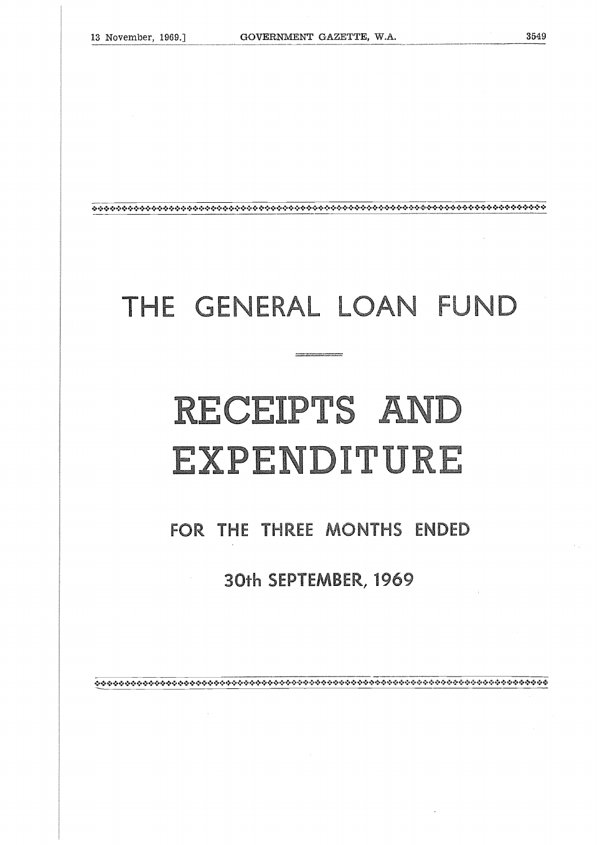### THE GENERAL LOAN FUND

## RECEIPTS AND EXPENDITURE **<u>**</u> **MON**  THE LUP<br>THE SEPTEMBER, 19<br>SEPTEMBER, 19<br>SEPTEMBER, 19

### FOR THE THREE MONTHS ENDED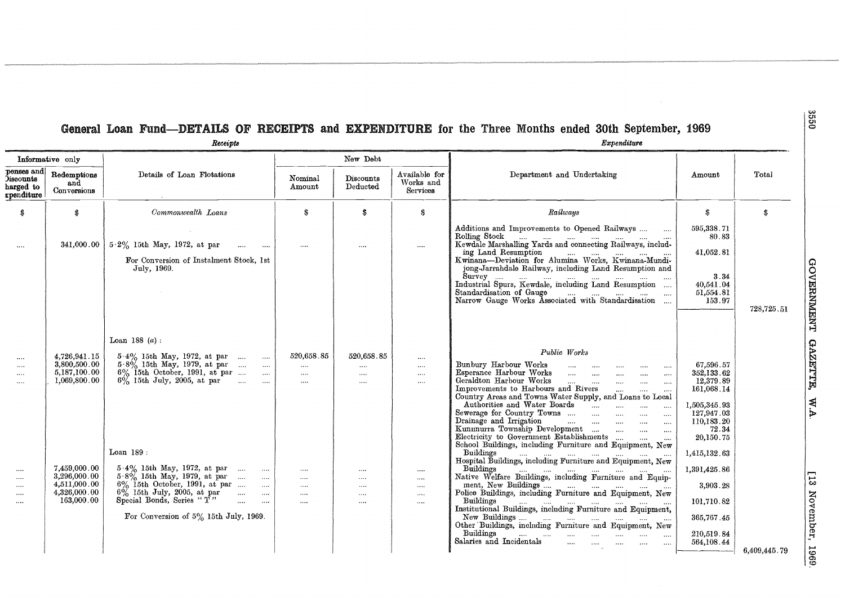### General Loan Fund—DETAILS OF RECEIPTS and EXPENDITURE for the Three Months ended 30th September, 1969<br>*Receipts*

| cecernta |  |
|----------|--|
|          |  |

| Informative only                                   |                                                              |                                                                                                                                                                                      |                                                | New Debt                                       |                                              |                                                                                                                                                                                                                                                                                                                                                                                                                                                        |                                                                                  |            |
|----------------------------------------------------|--------------------------------------------------------------|--------------------------------------------------------------------------------------------------------------------------------------------------------------------------------------|------------------------------------------------|------------------------------------------------|----------------------------------------------|--------------------------------------------------------------------------------------------------------------------------------------------------------------------------------------------------------------------------------------------------------------------------------------------------------------------------------------------------------------------------------------------------------------------------------------------------------|----------------------------------------------------------------------------------|------------|
| penses and<br>Õiscounts<br>harged to<br>rpenditure | Redemptions<br>and<br>Conversions                            | Details of Loan Flotations                                                                                                                                                           | Nominal<br>Amount                              | Discounts<br>Deducted                          | Available for<br>Works and<br>Services       | Department and Undertaking                                                                                                                                                                                                                                                                                                                                                                                                                             | Amount                                                                           | Total      |
| S                                                  | S                                                            | Commonwealth Loans                                                                                                                                                                   | s                                              | \$                                             | S                                            | Railways                                                                                                                                                                                                                                                                                                                                                                                                                                               | S.                                                                               | S.         |
| $\cdots$                                           | 341,000.00                                                   | $5.2\%$ 15th May, 1972, at par<br>$\sim 100$<br>For Conversion of Instalment Stock, 1st<br>July, 1969.                                                                               | $\cdots$                                       |                                                | $\ldots$                                     | Additions and Improvements to Opened Railways<br>ing Land Resumption<br>Kwinana--Deviation for Alumina Works, Kwinana-Mundijong-Jarrahdale Railway, including Land Resumption and                                                                                                                                                                                                                                                                      | 595,338.71<br>80.83<br>41,052.81                                                 |            |
|                                                    |                                                              |                                                                                                                                                                                      |                                                |                                                |                                              | Standardisation of Gauge  "   "<br>Narrow Gauge Works Associated with Standardisation                                                                                                                                                                                                                                                                                                                                                                  | 3.34<br>40,541.04<br>51,554.81<br>153.97                                         | 728,725.51 |
|                                                    |                                                              | Loan 188 $(a)$ :                                                                                                                                                                     |                                                |                                                |                                              |                                                                                                                                                                                                                                                                                                                                                                                                                                                        |                                                                                  |            |
| <br><br><br>$\cdots$                               | 4,726,941.15<br>3,800,500.00<br>5,187,100.00<br>1,069,800.00 | $\begin{tabular}{llllll} 5-4\% & 15th May, 1972, at par &  & \\ 5-8\% & 15th May, 1979, at par &  & \\ \end{tabular}$<br>6% 15th October, 1991, at par<br>6% 15th July, 2005, at par | 520,658.85<br>$\cdots$<br>$\cdots$<br>$\cdots$ | 520,658.85<br>$\cdots$<br>$\cdots$<br>$\cdots$ | $\cdots$<br>$\cdots$<br>$\cdots$<br>$\cdots$ | Public Works<br>Bunbury Harbour Works<br>$\ldots$ . $\ldots$<br>$\cdots$<br>$\cdots$<br>Esperance Harbour Works<br>$\dots$<br>$\cdots$<br>Geraldton Harbour Works<br>$\cdots$ $\cdots$<br>$\mathbf{r}$<br>$\cdots$<br>$\cdots$<br>Improvements to Harbours and Rivers<br>$\cdots$<br>Country Areas and Towns Water Supply, and Loans to Local<br>$\cdots$<br>$\ldots$<br>Sewerage for Country Towns<br>$\cdots$<br>$\ldots$<br>Drainage and Irrigation | 67,596.57<br>352,133.62<br>12,379.89<br>161,068.14<br>1,505,345.93<br>127,947.03 |            |
|                                                    | 7,459,000.00                                                 | Loan 189:                                                                                                                                                                            |                                                |                                                |                                              | and the company of the company of the company of the company of the company of the company of the company of the<br>$\sim$ $\sim$<br>$\sim$ . $\sim$<br>Kunnnurra Township Development<br>$\ldots$<br>$\ldots$                                                                                                                                                                                                                                         | 110,183.20<br>72.34<br>20,150.75<br>1,415,132.63                                 |            |
| $\cdots$<br>$\cdots$<br>$\cdots$                   | 3,296,000.00<br>4,511,000.00                                 |                                                                                                                                                                                      | $\cdots$<br>$\ldots$<br>$\cdots$               | $\cdots$<br><br>$\ldots$                       | $\cdots$<br>$\cdots$<br>$\ldots$             |                                                                                                                                                                                                                                                                                                                                                                                                                                                        | 1,391,425.86<br>3,903.28                                                         |            |
| $\cdots$<br>$\cdots$                               | 4,326,000.00<br>163,000.00                                   | $6\%$ 15th July, 2005, at par<br>Special Bonds, Series "T"<br>$\sim$<br>$\sim$ $\sim$ $\sim$ $\sim$ $\sim$                                                                           | $\ldots$<br>$\cdots$                           | $\cdots$<br>$\ldots$                           | $\ldots$<br>$\cdots$                         | Buildings                                                                                                                                                                                                                                                                                                                                                                                                                                              | 101,710.82                                                                       |            |
|                                                    |                                                              | For Conversion of 5% 15th July, 1969.                                                                                                                                                |                                                |                                                |                                              | Institutional Buildings, including Furniture and Equipment,<br>Buildings<br>السارة أأنشد المسار الشبار الشبار السبارة<br>$\cdots$<br>Salaries and Incidentals<br>$\cdots$                                                                                                                                                                                                                                                                              | 365,767.45<br>210.519.84<br>564,108.44                                           |            |

GOVERNMENT GAZETTE,